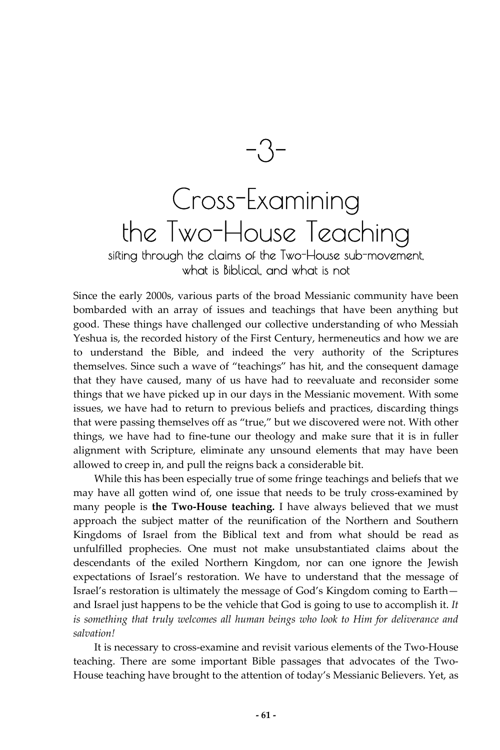$-3-$ Cross-Examining

# the Two-House Teaching sifting through the claims of the Two-House sub-movement, what is Biblical, and what is not

Since the early 2000s, various parts of the broad Messianic community have been bombarded with an array of issues and teachings that have been anything but good. These things have challenged our collective understanding of who Messiah Yeshua is, the recorded history of the First Century, hermeneutics and how we are to understand the Bible, and indeed the very authority of the Scriptures themselves. Since such a wave of "teachings" has hit, and the consequent damage that they have caused, many of us have had to reevaluate and reconsider some things that we have picked up in our days in the Messianic movement. With some issues, we have had to return to previous beliefs and practices, discarding things that were passing themselves off as "true," but we discovered were not. With other things, we have had to fine-tune our theology and make sure that it is in fuller alignment with Scripture, eliminate any unsound elements that may have been allowed to creep in, and pull the reigns back a considerable bit.

While this has been especially true of some fringe teachings and beliefs that we may have all gotten wind of, one issue that needs to be truly cross-examined by many people is **the Two-House teaching.** I have always believed that we must approach the subject matter of the reunification of the Northern and Southern Kingdoms of Israel from the Biblical text and from what should be read as unfulfilled prophecies. One must not make unsubstantiated claims about the descendants of the exiled Northern Kingdom, nor can one ignore the Jewish expectations of Israel's restoration. We have to understand that the message of Israel's restoration is ultimately the message of God's Kingdom coming to Earth and Israel just happens to be the vehicle that God is going to use to accomplish it. *It is something that truly welcomes all human beings who look to Him for deliverance and salvation!* 

It is necessary to cross-examine and revisit various elements of the Two-House teaching. There are some important Bible passages that advocates of the Two-House teaching have brought to the attention of today's Messianic Believers. Yet, as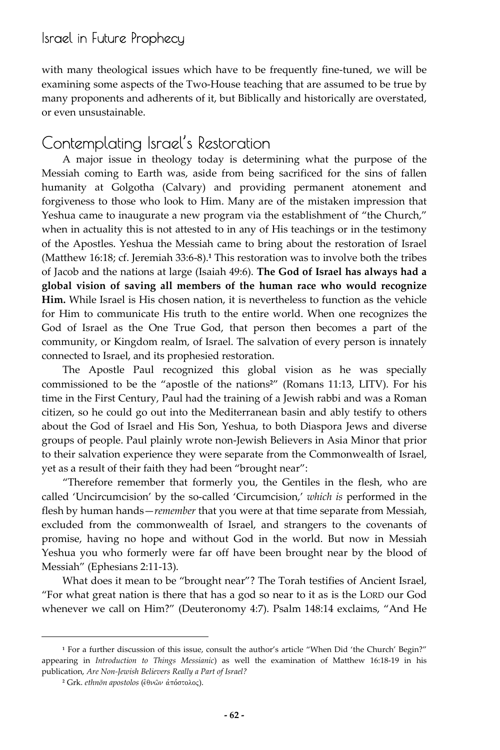with many theological issues which have to be frequently fine-tuned, we will be examining some aspects of the Two-House teaching that are assumed to be true by many proponents and adherents of it, but Biblically and historically are overstated, or even unsustainable.

## Contemplating Israel's Restoration

A major issue in theology today is determining what the purpose of the Messiah coming to Earth was, aside from being sacrificed for the sins of fallen humanity at Golgotha (Calvary) and providing permanent atonement and forgiveness to those who look to Him. Many are of the mistaken impression that Yeshua came to inaugurate a new program via the establishment of "the Church," when in actuality this is not attested to in any of His teachings or in the testimony of the Apostles. Yeshua the Messiah came to bring about the restoration of Israel (Matthew 16:18; cf. Jeremiah 33:6-8).**<sup>1</sup>** This restoration was to involve both the tribes of Jacob and the nations at large (Isaiah 49:6). **The God of Israel has always had a global vision of saving all members of the human race who would recognize Him.** While Israel is His chosen nation, it is nevertheless to function as the vehicle for Him to communicate His truth to the entire world. When one recognizes the God of Israel as the One True God, that person then becomes a part of the community, or Kingdom realm, of Israel. The salvation of every person is innately connected to Israel, and its prophesied restoration.

The Apostle Paul recognized this global vision as he was specially commissioned to be the "apostle of the nations**2**" (Romans 11:13, LITV). For his time in the First Century, Paul had the training of a Jewish rabbi and was a Roman citizen, so he could go out into the Mediterranean basin and ably testify to others about the God of Israel and His Son, Yeshua, to both Diaspora Jews and diverse groups of people. Paul plainly wrote non-Jewish Believers in Asia Minor that prior to their salvation experience they were separate from the Commonwealth of Israel, yet as a result of their faith they had been "brought near":

"Therefore remember that formerly you, the Gentiles in the flesh, who are called 'Uncircumcision' by the so-called 'Circumcision,' *which is* performed in the flesh by human hands—*remember* that you were at that time separate from Messiah, excluded from the commonwealth of Israel, and strangers to the covenants of promise, having no hope and without God in the world. But now in Messiah Yeshua you who formerly were far off have been brought near by the blood of Messiah" (Ephesians 2:11-13).

What does it mean to be "brought near"? The Torah testifies of Ancient Israel, "For what great nation is there that has a god so near to it as is the LORD our God whenever we call on Him?" (Deuteronomy 4:7). Psalm 148:14 exclaims, "And He

**<sup>1</sup>** For a further discussion of this issue, consult the author's article "When Did 'the Church' Begin?" appearing in *Introduction to Things Messianic*) as well the examination of Matthew 16:18-19 in his publication, *Are Non-Jewish Believers Really a Part of Israel?* 

<sup>&</sup>lt;sup>2</sup> Grk. ethnōn apostolos (έθνων άπόστολος).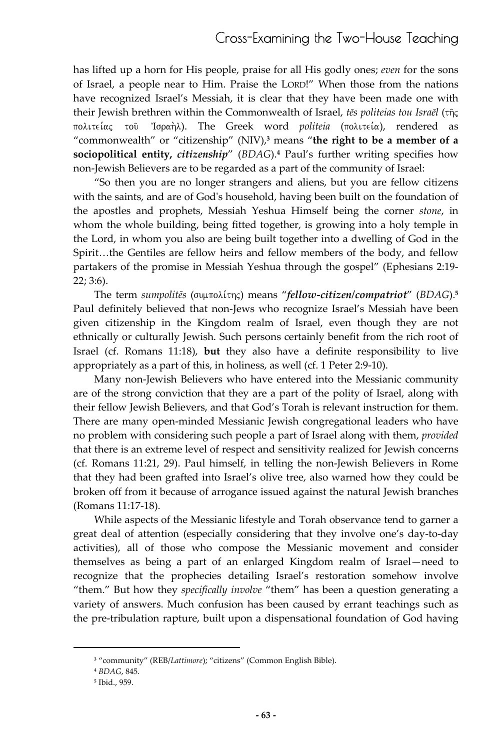has lifted up a horn for His people, praise for all His godly ones; *even* for the sons of Israel, a people near to Him. Praise the LORD!" When those from the nations have recognized Israel's Messiah, it is clear that they have been made one with their Jewish brethren within the Commonwealth of Israel, *tēs politeias tou Israēl* ( $\tau$ ŋ̂ς πολιτείας τοῦ Ἰσραὴλ). The Greek word *politeia* (πολιτεία), rendered as "commonwealth" or "citizenship" (NIV),**<sup>3</sup>** means "**the right to be a member of a sociopolitical entity,** *citizenship*" (*BDAG*).**<sup>4</sup>** Paul's further writing specifies how non-Jewish Believers are to be regarded as a part of the community of Israel:

"So then you are no longer strangers and aliens, but you are fellow citizens with the saints, and are of God's household, having been built on the foundation of the apostles and prophets, Messiah Yeshua Himself being the corner *stone*, in whom the whole building, being fitted together, is growing into a holy temple in the Lord, in whom you also are being built together into a dwelling of God in the Spirit…the Gentiles are fellow heirs and fellow members of the body, and fellow partakers of the promise in Messiah Yeshua through the gospel" (Ephesians 2:19- 22; 3:6).

The term *sumpolitēs* (συμπολίτης) means "*fellow-citizen/compatriot*" (*BDAG*).<sup>5</sup> Paul definitely believed that non-Jews who recognize Israel's Messiah have been given citizenship in the Kingdom realm of Israel, even though they are not ethnically or culturally Jewish. Such persons certainly benefit from the rich root of Israel (cf. Romans 11:18), **but** they also have a definite responsibility to live appropriately as a part of this, in holiness, as well (cf. 1 Peter 2:9-10).

Many non-Jewish Believers who have entered into the Messianic community are of the strong conviction that they are a part of the polity of Israel, along with their fellow Jewish Believers, and that God's Torah is relevant instruction for them. There are many open-minded Messianic Jewish congregational leaders who have no problem with considering such people a part of Israel along with them, *provided* that there is an extreme level of respect and sensitivity realized for Jewish concerns (cf. Romans 11:21, 29). Paul himself, in telling the non-Jewish Believers in Rome that they had been grafted into Israel's olive tree, also warned how they could be broken off from it because of arrogance issued against the natural Jewish branches (Romans 11:17-18).

While aspects of the Messianic lifestyle and Torah observance tend to garner a great deal of attention (especially considering that they involve one's day-to-day activities), all of those who compose the Messianic movement and consider themselves as being a part of an enlarged Kingdom realm of Israel—need to recognize that the prophecies detailing Israel's restoration somehow involve "them." But how they *specifically involve* "them" has been a question generating a variety of answers. Much confusion has been caused by errant teachings such as the pre-tribulation rapture, built upon a dispensational foundation of God having

**<sup>3</sup>** "community" (REB/*Lattimore*); "citizens" (Common English Bible).

**<sup>4</sup>** *BDAG*, 845.

**<sup>5</sup>** Ibid., 959.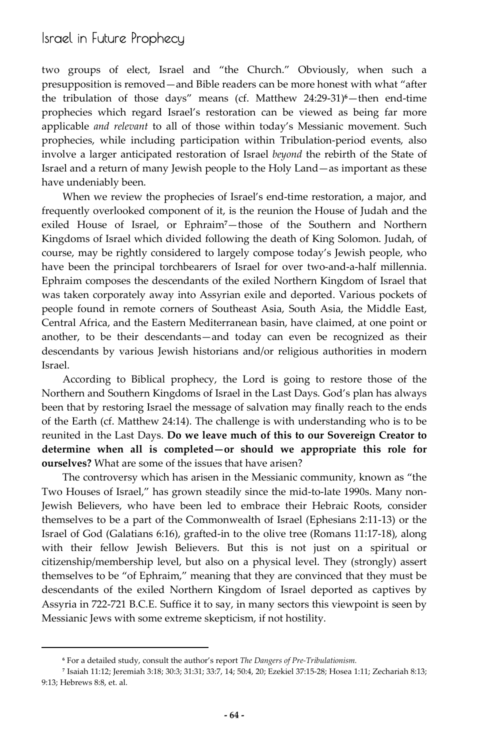two groups of elect, Israel and "the Church." Obviously, when such a presupposition is removed—and Bible readers can be more honest with what "after the tribulation of those days" means (cf. Matthew 24:29-31)**6**—then end-time prophecies which regard Israel's restoration can be viewed as being far more applicable *and relevant* to all of those within today's Messianic movement. Such prophecies, while including participation within Tribulation-period events, also involve a larger anticipated restoration of Israel *beyond* the rebirth of the State of Israel and a return of many Jewish people to the Holy Land—as important as these have undeniably been.

When we review the prophecies of Israel's end-time restoration, a major, and frequently overlooked component of it, is the reunion the House of Judah and the exiled House of Israel, or Ephraim**7**—those of the Southern and Northern Kingdoms of Israel which divided following the death of King Solomon. Judah, of course, may be rightly considered to largely compose today's Jewish people, who have been the principal torchbearers of Israel for over two-and-a-half millennia. Ephraim composes the descendants of the exiled Northern Kingdom of Israel that was taken corporately away into Assyrian exile and deported. Various pockets of people found in remote corners of Southeast Asia, South Asia, the Middle East, Central Africa, and the Eastern Mediterranean basin, have claimed, at one point or another, to be their descendants—and today can even be recognized as their descendants by various Jewish historians and/or religious authorities in modern Israel.

According to Biblical prophecy, the Lord is going to restore those of the Northern and Southern Kingdoms of Israel in the Last Days. God's plan has always been that by restoring Israel the message of salvation may finally reach to the ends of the Earth (cf. Matthew 24:14). The challenge is with understanding who is to be reunited in the Last Days. **Do we leave much of this to our Sovereign Creator to determine when all is completed—or should we appropriate this role for ourselves?** What are some of the issues that have arisen?

The controversy which has arisen in the Messianic community, known as "the Two Houses of Israel," has grown steadily since the mid-to-late 1990s. Many non-Jewish Believers, who have been led to embrace their Hebraic Roots, consider themselves to be a part of the Commonwealth of Israel (Ephesians 2:11-13) or the Israel of God (Galatians 6:16), grafted-in to the olive tree (Romans 11:17-18), along with their fellow Jewish Believers. But this is not just on a spiritual or citizenship/membership level, but also on a physical level. They (strongly) assert themselves to be "of Ephraim," meaning that they are convinced that they must be descendants of the exiled Northern Kingdom of Israel deported as captives by Assyria in 722-721 B.C.E. Suffice it to say, in many sectors this viewpoint is seen by Messianic Jews with some extreme skepticism, if not hostility.

**<sup>6</sup>** For a detailed study, consult the author's report *The Dangers of Pre-Tribulationism.* 

**<sup>7</sup>** Isaiah 11:12; Jeremiah 3:18; 30:3; 31:31; 33:7, 14; 50:4, 20; Ezekiel 37:15-28; Hosea 1:11; Zechariah 8:13; 9:13; Hebrews 8:8, et. al.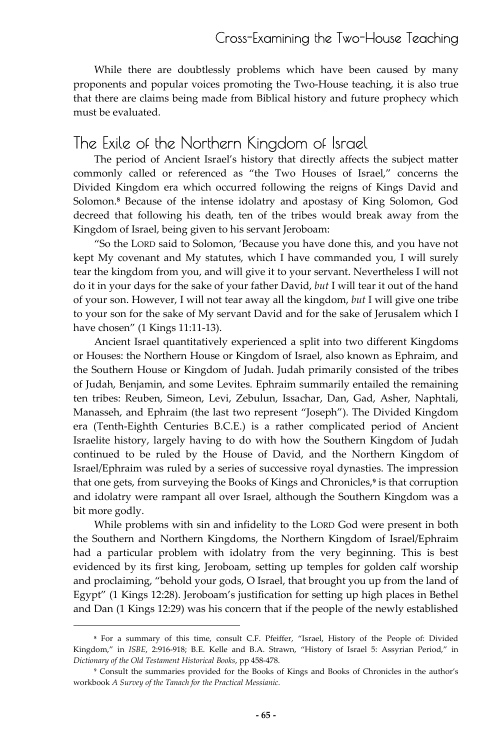While there are doubtlessly problems which have been caused by many proponents and popular voices promoting the Two-House teaching, it is also true that there are claims being made from Biblical history and future prophecy which must be evaluated.

## The Exile of the Northern Kingdom of Israel

The period of Ancient Israel's history that directly affects the subject matter commonly called or referenced as "the Two Houses of Israel," concerns the Divided Kingdom era which occurred following the reigns of Kings David and Solomon.**<sup>8</sup>** Because of the intense idolatry and apostasy of King Solomon, God decreed that following his death, ten of the tribes would break away from the Kingdom of Israel, being given to his servant Jeroboam:

"So the LORD said to Solomon, 'Because you have done this, and you have not kept My covenant and My statutes, which I have commanded you, I will surely tear the kingdom from you, and will give it to your servant. Nevertheless I will not do it in your days for the sake of your father David, *but* I will tear it out of the hand of your son. However, I will not tear away all the kingdom, *but* I will give one tribe to your son for the sake of My servant David and for the sake of Jerusalem which I have chosen" (1 Kings 11:11-13).

Ancient Israel quantitatively experienced a split into two different Kingdoms or Houses: the Northern House or Kingdom of Israel, also known as Ephraim, and the Southern House or Kingdom of Judah. Judah primarily consisted of the tribes of Judah, Benjamin, and some Levites. Ephraim summarily entailed the remaining ten tribes: Reuben, Simeon, Levi, Zebulun, Issachar, Dan, Gad, Asher, Naphtali, Manasseh, and Ephraim (the last two represent "Joseph"). The Divided Kingdom era (Tenth-Eighth Centuries B.C.E.) is a rather complicated period of Ancient Israelite history, largely having to do with how the Southern Kingdom of Judah continued to be ruled by the House of David, and the Northern Kingdom of Israel/Ephraim was ruled by a series of successive royal dynasties. The impression that one gets, from surveying the Books of Kings and Chronicles,**<sup>9</sup>** is that corruption and idolatry were rampant all over Israel, although the Southern Kingdom was a bit more godly.

While problems with sin and infidelity to the LORD God were present in both the Southern and Northern Kingdoms, the Northern Kingdom of Israel/Ephraim had a particular problem with idolatry from the very beginning. This is best evidenced by its first king, Jeroboam, setting up temples for golden calf worship and proclaiming, "behold your gods, O Israel, that brought you up from the land of Egypt" (1 Kings 12:28). Jeroboam's justification for setting up high places in Bethel and Dan (1 Kings 12:29) was his concern that if the people of the newly established

**<sup>8</sup>** For a summary of this time, consult C.F. Pfeiffer, "Israel, History of the People of: Divided Kingdom," in *ISBE*, 2:916-918; B.E. Kelle and B.A. Strawn, "History of Israel 5: Assyrian Period," in *Dictionary of the Old Testament Historical Books*, pp 458-478.

**<sup>9</sup>** Consult the summaries provided for the Books of Kings and Books of Chronicles in the author's workbook *A Survey of the Tanach for the Practical Messianic.*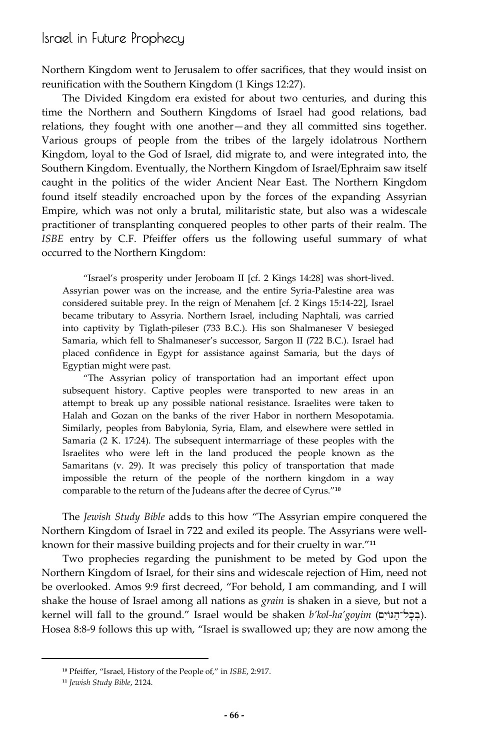Northern Kingdom went to Jerusalem to offer sacrifices, that they would insist on reunification with the Southern Kingdom (1 Kings 12:27).

The Divided Kingdom era existed for about two centuries, and during this time the Northern and Southern Kingdoms of Israel had good relations, bad relations, they fought with one another—and they all committed sins together. Various groups of people from the tribes of the largely idolatrous Northern Kingdom, loyal to the God of Israel, did migrate to, and were integrated into, the Southern Kingdom. Eventually, the Northern Kingdom of Israel/Ephraim saw itself caught in the politics of the wider Ancient Near East. The Northern Kingdom found itself steadily encroached upon by the forces of the expanding Assyrian Empire, which was not only a brutal, militaristic state, but also was a widescale practitioner of transplanting conquered peoples to other parts of their realm. The *ISBE* entry by C.F. Pfeiffer offers us the following useful summary of what occurred to the Northern Kingdom:

"Israel's prosperity under Jeroboam II [cf. 2 Kings 14:28] was short-lived. Assyrian power was on the increase, and the entire Syria-Palestine area was considered suitable prey. In the reign of Menahem [cf. 2 Kings 15:14-22], Israel became tributary to Assyria. Northern Israel, including Naphtali, was carried into captivity by Tiglath-pileser (733 B.C.). His son Shalmaneser V besieged Samaria, which fell to Shalmaneser's successor, Sargon II (722 B.C.). Israel had placed confidence in Egypt for assistance against Samaria, but the days of Egyptian might were past.

"The Assyrian policy of transportation had an important effect upon subsequent history. Captive peoples were transported to new areas in an attempt to break up any possible national resistance. Israelites were taken to Halah and Gozan on the banks of the river Habor in northern Mesopotamia. Similarly, peoples from Babylonia, Syria, Elam, and elsewhere were settled in Samaria (2 K. 17:24). The subsequent intermarriage of these peoples with the Israelites who were left in the land produced the people known as the Samaritans (v. 29). It was precisely this policy of transportation that made impossible the return of the people of the northern kingdom in a way comparable to the return of the Judeans after the decree of Cyrus."**<sup>10</sup>**

The *Jewish Study Bible* adds to this how "The Assyrian empire conquered the Northern Kingdom of Israel in 722 and exiled its people. The Assyrians were wellknown for their massive building projects and for their cruelty in war."**<sup>11</sup>**

Two prophecies regarding the punishment to be meted by God upon the Northern Kingdom of Israel, for their sins and widescale rejection of Him, need not be overlooked. Amos 9:9 first decreed, "For behold, I am commanding, and I will shake the house of Israel among all nations as *grain* is shaken in a sieve, but not a kernel will fall to the ground." Israel would be shaken *b'kol-ha'goyim* (בכל־הגוֹים). Hosea 8:8-9 follows this up with, "Israel is swallowed up; they are now among the

**<sup>10</sup>** Pfeiffer, "Israel, History of the People of," in *ISBE*, 2:917.

**<sup>11</sup>** *Jewish Study Bible*, 2124.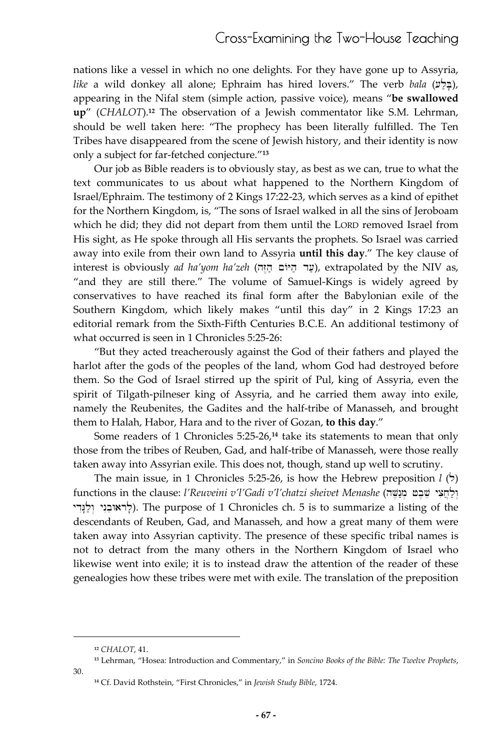nations like a vessel in which no one delights. For they have gone up to Assyria, *like* a wild donkey all alone; Ephraim has hired lovers." The verb *bala* (בַּלֵע), appearing in the Nifal stem (simple action, passive voice), means "**be swallowed up**" (*CHALOT*).**12** The observation of a Jewish commentator like S.M. Lehrman, should be well taken here: "The prophecy has been literally fulfilled. The Ten Tribes have disappeared from the scene of Jewish history, and their identity is now only a subject for far-fetched conjecture."**<sup>13</sup>**

Our job as Bible readers is to obviously stay, as best as we can, true to what the text communicates to us about what happened to the Northern Kingdom of Israel/Ephraim. The testimony of 2 Kings 17:22-23, which serves as a kind of epithet for the Northern Kingdom, is, "The sons of Israel walked in all the sins of Jeroboam which he did; they did not depart from them until the LORD removed Israel from His sight, as He spoke through all His servants the prophets. So Israel was carried away into exile from their own land to Assyria **until this day**." The key clause of interest is obviously *ad ha'yom ha'zeh* (עָר הַיוֹם הַיָּה), extrapolated by the NIV as, "and they are still there." The volume of Samuel-Kings is widely agreed by conservatives to have reached its final form after the Babylonian exile of the Southern Kingdom, which likely makes "until this day" in 2 Kings 17:23 an editorial remark from the Sixth-Fifth Centuries B.C.E. An additional testimony of what occurred is seen in 1 Chronicles 5:25-26:

"But they acted treacherously against the God of their fathers and played the harlot after the gods of the peoples of the land, whom God had destroyed before them. So the God of Israel stirred up the spirit of Pul, king of Assyria, even the spirit of Tilgath-pilneser king of Assyria, and he carried them away into exile, namely the Reubenites, the Gadites and the half-tribe of Manasseh, and brought them to Halah, Habor, Hara and to the river of Gozan, **to this day**."

Some readers of 1 Chronicles 5:25-26,**14** take its statements to mean that only those from the tribes of Reuben, Gad, and half-tribe of Manasseh, were those really taken away into Assyrian exile. This does not, though, stand up well to scrutiny.

The main issue, in 1 Chronicles 5:25-26, is how the Hebrew preposition  $l(\tau)$ functions in the clause: *l'Reuveini v'l'Gadi v'l'chatzi sheivet Menashe* (hV,n:m. jb,v e ycix]l;w> לְרֹאוּבֵנִי וְלָנְדִי). The purpose of 1 Chronicles ch. 5 is to summarize a listing of the descendants of Reuben, Gad, and Manasseh, and how a great many of them were taken away into Assyrian captivity. The presence of these specific tribal names is not to detract from the many others in the Northern Kingdom of Israel who likewise went into exile; it is to instead draw the attention of the reader of these genealogies how these tribes were met with exile. The translation of the preposition

30.

**<sup>12</sup>** *CHALOT*, 41.

**<sup>13</sup>** Lehrman, "Hosea: Introduction and Commentary," in *Soncino Books of the Bible: The Twelve Prophets*,

**<sup>14</sup>** Cf. David Rothstein, "First Chronicles," in *Jewish Study Bible*, 1724.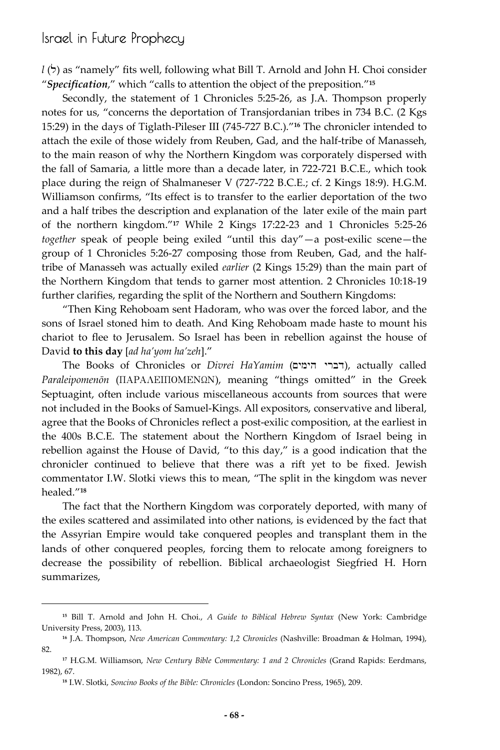*l* (5) as "namely" fits well, following what Bill T. Arnold and John H. Choi consider "*Specification*," which "calls to attention the object of the preposition."**<sup>15</sup>**

Secondly, the statement of 1 Chronicles 5:25-26, as J.A. Thompson properly notes for us, "concerns the deportation of Transjordanian tribes in 734 B.C. (2 Kgs 15:29) in the days of Tiglath-Pileser III (745-727 B.C.)."**16** The chronicler intended to attach the exile of those widely from Reuben, Gad, and the half-tribe of Manasseh, to the main reason of why the Northern Kingdom was corporately dispersed with the fall of Samaria, a little more than a decade later, in 722-721 B.C.E., which took place during the reign of Shalmaneser V (727-722 B.C.E.; cf. 2 Kings 18:9). H.G.M. Williamson confirms, "Its effect is to transfer to the earlier deportation of the two and a half tribes the description and explanation of the later exile of the main part of the northern kingdom."**17** While 2 Kings 17:22-23 and 1 Chronicles 5:25-26 *together* speak of people being exiled "until this day"—a post-exilic scene—the group of 1 Chronicles 5:26-27 composing those from Reuben, Gad, and the halftribe of Manasseh was actually exiled *earlier* (2 Kings 15:29) than the main part of the Northern Kingdom that tends to garner most attention. 2 Chronicles 10:18-19 further clarifies, regarding the split of the Northern and Southern Kingdoms:

"Then King Rehoboam sent Hadoram, who was over the forced labor, and the sons of Israel stoned him to death. And King Rehoboam made haste to mount his chariot to flee to Jerusalem. So Israel has been in rebellion against the house of David **to this day** [*ad ha'yom ha'zeh*]."

The Books of Chronicles or *Divrei HaYamim* (רברי הימים), actually called Paraleipomenōn (ΠΑΡΑΛΕΙΠΟΜΕΝΩΝ), meaning "things omitted" in the Greek Septuagint, often include various miscellaneous accounts from sources that were not included in the Books of Samuel-Kings. All expositors, conservative and liberal, agree that the Books of Chronicles reflect a post-exilic composition, at the earliest in the 400s B.C.E. The statement about the Northern Kingdom of Israel being in rebellion against the House of David, "to this day," is a good indication that the chronicler continued to believe that there was a rift yet to be fixed. Jewish commentator I.W. Slotki views this to mean, "The split in the kingdom was never healed."**<sup>18</sup>**

The fact that the Northern Kingdom was corporately deported, with many of the exiles scattered and assimilated into other nations, is evidenced by the fact that the Assyrian Empire would take conquered peoples and transplant them in the lands of other conquered peoples, forcing them to relocate among foreigners to decrease the possibility of rebellion. Biblical archaeologist Siegfried H. Horn summarizes,

**<sup>15</sup>** Bill T. Arnold and John H. Choi., *A Guide to Biblical Hebrew Syntax* (New York: Cambridge University Press, 2003), 113.

**<sup>16</sup>** J.A. Thompson, *New American Commentary: 1,2 Chronicles* (Nashville: Broadman & Holman, 1994), 82.

**<sup>17</sup>** H.G.M. Williamson, *New Century Bible Commentary: 1 and 2 Chronicles* (Grand Rapids: Eerdmans, 1982), 67.

**<sup>18</sup>** I.W. Slotki, *Soncino Books of the Bible: Chronicles* (London: Soncino Press, 1965), 209.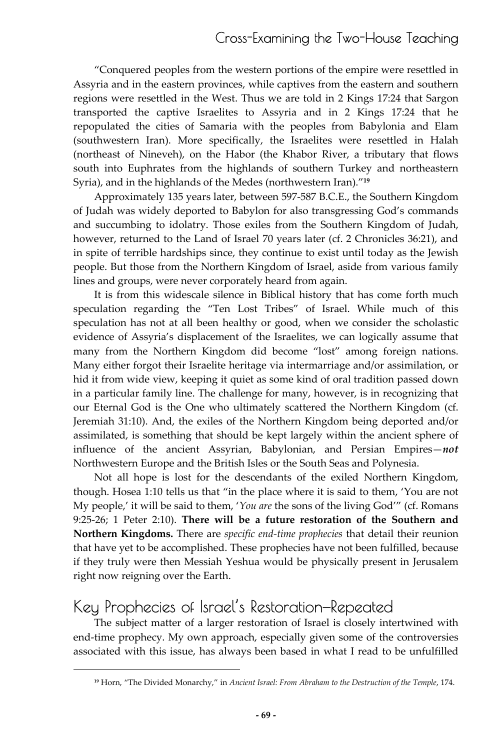"Conquered peoples from the western portions of the empire were resettled in Assyria and in the eastern provinces, while captives from the eastern and southern regions were resettled in the West. Thus we are told in 2 Kings 17:24 that Sargon transported the captive Israelites to Assyria and in 2 Kings 17:24 that he repopulated the cities of Samaria with the peoples from Babylonia and Elam (southwestern Iran). More specifically, the Israelites were resettled in Halah (northeast of Nineveh), on the Habor (the Khabor River, a tributary that flows south into Euphrates from the highlands of southern Turkey and northeastern Syria), and in the highlands of the Medes (northwestern Iran)."**<sup>19</sup>**

Approximately 135 years later, between 597-587 B.C.E., the Southern Kingdom of Judah was widely deported to Babylon for also transgressing God's commands and succumbing to idolatry. Those exiles from the Southern Kingdom of Judah, however, returned to the Land of Israel 70 years later (cf. 2 Chronicles 36:21), and in spite of terrible hardships since, they continue to exist until today as the Jewish people. But those from the Northern Kingdom of Israel, aside from various family lines and groups, were never corporately heard from again.

It is from this widescale silence in Biblical history that has come forth much speculation regarding the "Ten Lost Tribes" of Israel. While much of this speculation has not at all been healthy or good, when we consider the scholastic evidence of Assyria's displacement of the Israelites, we can logically assume that many from the Northern Kingdom did become "lost" among foreign nations. Many either forgot their Israelite heritage via intermarriage and/or assimilation, or hid it from wide view, keeping it quiet as some kind of oral tradition passed down in a particular family line. The challenge for many, however, is in recognizing that our Eternal God is the One who ultimately scattered the Northern Kingdom (cf. Jeremiah 31:10). And, the exiles of the Northern Kingdom being deported and/or assimilated, is something that should be kept largely within the ancient sphere of influence of the ancient Assyrian, Babylonian, and Persian Empires—*not* Northwestern Europe and the British Isles or the South Seas and Polynesia.

Not all hope is lost for the descendants of the exiled Northern Kingdom, though. Hosea 1:10 tells us that "in the place where it is said to them, 'You are not My people,' it will be said to them, '*You are* the sons of the living God'" (cf. Romans 9:25-26; 1 Peter 2:10). **There will be a future restoration of the Southern and Northern Kingdoms.** There are *specific end-time prophecies* that detail their reunion that have yet to be accomplished. These prophecies have not been fulfilled, because if they truly were then Messiah Yeshua would be physically present in Jerusalem right now reigning over the Earth.

## Key Prophecies of Israel's Restoration—Repeated

The subject matter of a larger restoration of Israel is closely intertwined with end-time prophecy. My own approach, especially given some of the controversies associated with this issue, has always been based in what I read to be unfulfilled

**<sup>19</sup>** Horn, "The Divided Monarchy," in *Ancient Israel: From Abraham to the Destruction of the Temple*, 174.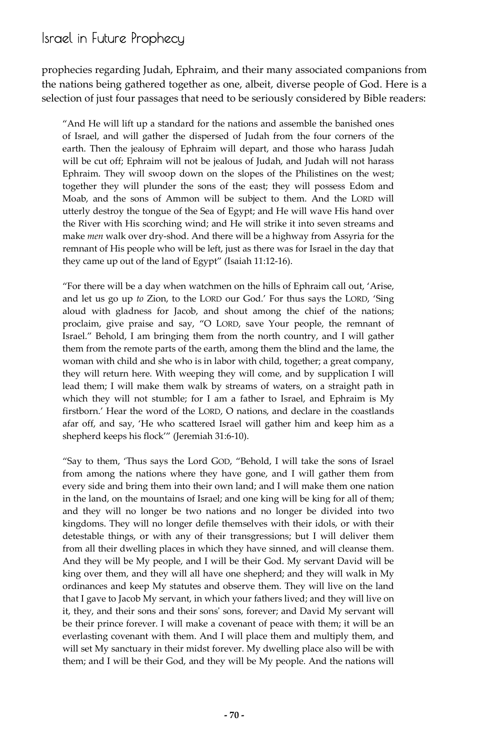prophecies regarding Judah, Ephraim, and their many associated companions from the nations being gathered together as one, albeit, diverse people of God. Here is a selection of just four passages that need to be seriously considered by Bible readers:

"And He will lift up a standard for the nations and assemble the banished ones of Israel, and will gather the dispersed of Judah from the four corners of the earth. Then the jealousy of Ephraim will depart, and those who harass Judah will be cut off; Ephraim will not be jealous of Judah, and Judah will not harass Ephraim. They will swoop down on the slopes of the Philistines on the west; together they will plunder the sons of the east; they will possess Edom and Moab, and the sons of Ammon will be subject to them. And the LORD will utterly destroy the tongue of the Sea of Egypt; and He will wave His hand over the River with His scorching wind; and He will strike it into seven streams and make *men* walk over dry-shod. And there will be a highway from Assyria for the remnant of His people who will be left, just as there was for Israel in the day that they came up out of the land of Egypt" (Isaiah 11:12-16).

"For there will be a day when watchmen on the hills of Ephraim call out, 'Arise, and let us go up *to* Zion, to the LORD our God.' For thus says the LORD, 'Sing aloud with gladness for Jacob, and shout among the chief of the nations; proclaim, give praise and say, "O LORD, save Your people, the remnant of Israel." Behold, I am bringing them from the north country, and I will gather them from the remote parts of the earth, among them the blind and the lame, the woman with child and she who is in labor with child, together; a great company, they will return here. With weeping they will come, and by supplication I will lead them; I will make them walk by streams of waters, on a straight path in which they will not stumble; for I am a father to Israel, and Ephraim is My firstborn.' Hear the word of the LORD, O nations, and declare in the coastlands afar off, and say, 'He who scattered Israel will gather him and keep him as a shepherd keeps his flock'" (Jeremiah 31:6-10).

"Say to them, 'Thus says the Lord GOD, "Behold, I will take the sons of Israel from among the nations where they have gone, and I will gather them from every side and bring them into their own land; and I will make them one nation in the land, on the mountains of Israel; and one king will be king for all of them; and they will no longer be two nations and no longer be divided into two kingdoms. They will no longer defile themselves with their idols, or with their detestable things, or with any of their transgressions; but I will deliver them from all their dwelling places in which they have sinned, and will cleanse them. And they will be My people, and I will be their God. My servant David will be king over them, and they will all have one shepherd; and they will walk in My ordinances and keep My statutes and observe them. They will live on the land that I gave to Jacob My servant, in which your fathers lived; and they will live on it, they, and their sons and their sons' sons, forever; and David My servant will be their prince forever. I will make a covenant of peace with them; it will be an everlasting covenant with them. And I will place them and multiply them, and will set My sanctuary in their midst forever. My dwelling place also will be with them; and I will be their God, and they will be My people. And the nations will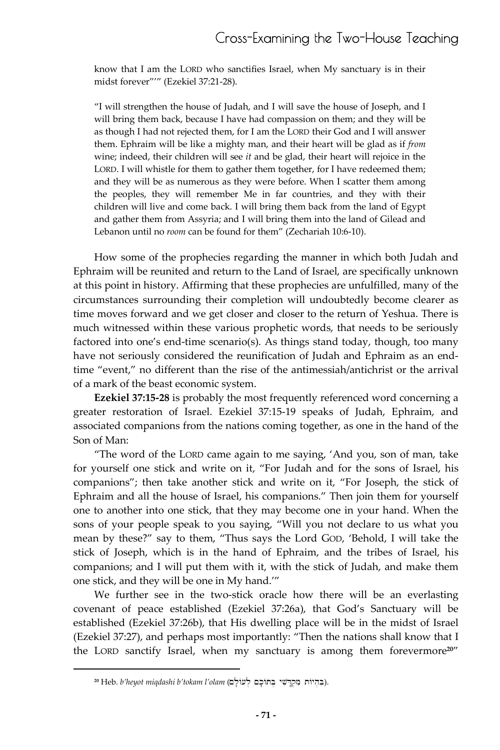know that I am the LORD who sanctifies Israel, when My sanctuary is in their midst forever"'" (Ezekiel 37:21-28).

"I will strengthen the house of Judah, and I will save the house of Joseph, and I will bring them back, because I have had compassion on them; and they will be as though I had not rejected them, for I am the LORD their God and I will answer them. Ephraim will be like a mighty man, and their heart will be glad as if *from*  wine; indeed, their children will see *it* and be glad, their heart will rejoice in the LORD. I will whistle for them to gather them together, for I have redeemed them; and they will be as numerous as they were before. When I scatter them among the peoples, they will remember Me in far countries, and they with their children will live and come back. I will bring them back from the land of Egypt and gather them from Assyria; and I will bring them into the land of Gilead and Lebanon until no *room* can be found for them" (Zechariah 10:6-10).

How some of the prophecies regarding the manner in which both Judah and Ephraim will be reunited and return to the Land of Israel, are specifically unknown at this point in history. Affirming that these prophecies are unfulfilled, many of the circumstances surrounding their completion will undoubtedly become clearer as time moves forward and we get closer and closer to the return of Yeshua. There is much witnessed within these various prophetic words, that needs to be seriously factored into one's end-time scenario(s). As things stand today, though, too many have not seriously considered the reunification of Judah and Ephraim as an endtime "event," no different than the rise of the antimessiah/antichrist or the arrival of a mark of the beast economic system.

**Ezekiel 37:15-28** is probably the most frequently referenced word concerning a greater restoration of Israel. Ezekiel 37:15-19 speaks of Judah, Ephraim, and associated companions from the nations coming together, as one in the hand of the Son of Man:

"The word of the LORD came again to me saying, 'And you, son of man, take for yourself one stick and write on it, "For Judah and for the sons of Israel, his companions"; then take another stick and write on it, "For Joseph, the stick of Ephraim and all the house of Israel, his companions." Then join them for yourself one to another into one stick, that they may become one in your hand. When the sons of your people speak to you saying, "Will you not declare to us what you mean by these?" say to them, "Thus says the Lord GOD, 'Behold, I will take the stick of Joseph, which is in the hand of Ephraim, and the tribes of Israel, his companions; and I will put them with it, with the stick of Judah, and make them one stick, and they will be one in My hand.'"

We further see in the two-stick oracle how there will be an everlasting covenant of peace established (Ezekiel 37:26a), that God's Sanctuary will be established (Ezekiel 37:26b), that His dwelling place will be in the midst of Israel (Ezekiel 37:27), and perhaps most importantly: "Then the nations shall know that I the LORD sanctify Israel, when my sanctuary is among them forevermore**20**"

**<sup>20</sup>** Heb. *b'heyot miqdashi b'tokam l'olam* (~l 'A[l. ~k'AtB. yviD"q.mi tAyh.Bi).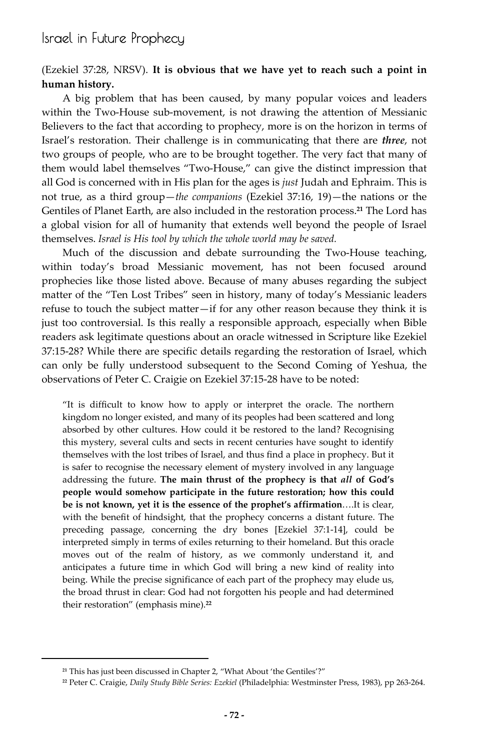#### (Ezekiel 37:28, NRSV). **It is obvious that we have yet to reach such a point in human history.**

A big problem that has been caused, by many popular voices and leaders within the Two-House sub-movement, is not drawing the attention of Messianic Believers to the fact that according to prophecy, more is on the horizon in terms of Israel's restoration. Their challenge is in communicating that there are *three*, not two groups of people, who are to be brought together. The very fact that many of them would label themselves "Two-House," can give the distinct impression that all God is concerned with in His plan for the ages is *just* Judah and Ephraim. This is not true, as a third group—*the companions* (Ezekiel 37:16, 19)—the nations or the Gentiles of Planet Earth, are also included in the restoration process.**21** The Lord has a global vision for all of humanity that extends well beyond the people of Israel themselves. *Israel is His tool by which the whole world may be saved.* 

Much of the discussion and debate surrounding the Two-House teaching, within today's broad Messianic movement, has not been focused around prophecies like those listed above. Because of many abuses regarding the subject matter of the "Ten Lost Tribes" seen in history, many of today's Messianic leaders refuse to touch the subject matter—if for any other reason because they think it is just too controversial. Is this really a responsible approach, especially when Bible readers ask legitimate questions about an oracle witnessed in Scripture like Ezekiel 37:15-28? While there are specific details regarding the restoration of Israel, which can only be fully understood subsequent to the Second Coming of Yeshua, the observations of Peter C. Craigie on Ezekiel 37:15-28 have to be noted:

"It is difficult to know how to apply or interpret the oracle. The northern kingdom no longer existed, and many of its peoples had been scattered and long absorbed by other cultures. How could it be restored to the land? Recognising this mystery, several cults and sects in recent centuries have sought to identify themselves with the lost tribes of Israel, and thus find a place in prophecy. But it is safer to recognise the necessary element of mystery involved in any language addressing the future. **The main thrust of the prophecy is that** *all* **of God's people would somehow participate in the future restoration; how this could be is not known, yet it is the essence of the prophet's affirmation**….It is clear, with the benefit of hindsight, that the prophecy concerns a distant future. The preceding passage, concerning the dry bones [Ezekiel 37:1-14], could be interpreted simply in terms of exiles returning to their homeland. But this oracle moves out of the realm of history, as we commonly understand it, and anticipates a future time in which God will bring a new kind of reality into being. While the precise significance of each part of the prophecy may elude us, the broad thrust in clear: God had not forgotten his people and had determined their restoration" (emphasis mine).**<sup>22</sup>**

**<sup>21</sup>** This has just been discussed in Chapter 2, "What About 'the Gentiles'?"

**<sup>22</sup>** Peter C. Craigie, *Daily Study Bible Series: Ezekiel* (Philadelphia: Westminster Press, 1983), pp 263-264.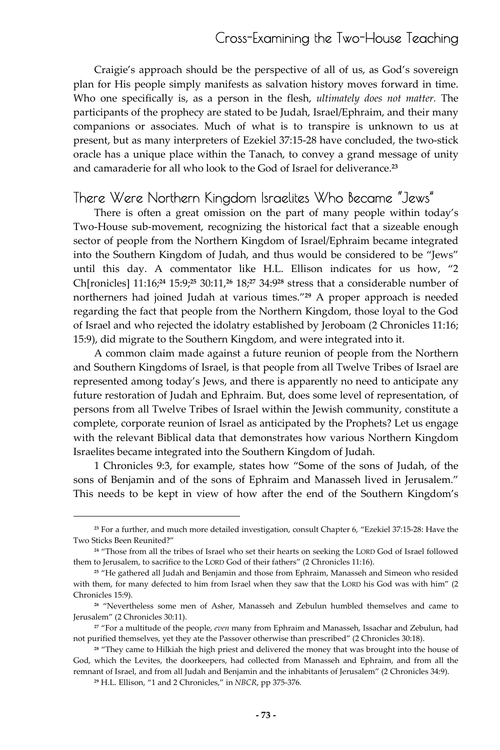Craigie's approach should be the perspective of all of us, as God's sovereign plan for His people simply manifests as salvation history moves forward in time. Who one specifically is, as a person in the flesh, *ultimately does not matter.* The participants of the prophecy are stated to be Judah, Israel/Ephraim, and their many companions or associates. Much of what is to transpire is unknown to us at present, but as many interpreters of Ezekiel 37:15-28 have concluded, the two-stick oracle has a unique place within the Tanach, to convey a grand message of unity and camaraderie for all who look to the God of Israel for deliverance.**<sup>23</sup>**

#### There Were Northern Kingdom Israelites Who Became "Jews"

There is often a great omission on the part of many people within today's Two-House sub-movement, recognizing the historical fact that a sizeable enough sector of people from the Northern Kingdom of Israel/Ephraim became integrated into the Southern Kingdom of Judah, and thus would be considered to be "Jews" until this day. A commentator like H.L. Ellison indicates for us how, "2 Ch[ronicles] 11:16;**24** 15:9;**25** 30:11,**26** 18;**27** 34:9**28** stress that a considerable number of northerners had joined Judah at various times."**29** A proper approach is needed regarding the fact that people from the Northern Kingdom, those loyal to the God of Israel and who rejected the idolatry established by Jeroboam (2 Chronicles 11:16; 15:9), did migrate to the Southern Kingdom, and were integrated into it.

A common claim made against a future reunion of people from the Northern and Southern Kingdoms of Israel, is that people from all Twelve Tribes of Israel are represented among today's Jews, and there is apparently no need to anticipate any future restoration of Judah and Ephraim. But, does some level of representation, of persons from all Twelve Tribes of Israel within the Jewish community, constitute a complete, corporate reunion of Israel as anticipated by the Prophets? Let us engage with the relevant Biblical data that demonstrates how various Northern Kingdom Israelites became integrated into the Southern Kingdom of Judah.

1 Chronicles 9:3, for example, states how "Some of the sons of Judah, of the sons of Benjamin and of the sons of Ephraim and Manasseh lived in Jerusalem." This needs to be kept in view of how after the end of the Southern Kingdom's

**<sup>23</sup>** For a further, and much more detailed investigation, consult Chapter 6, "Ezekiel 37:15-28: Have the Two Sticks Been Reunited?"

**<sup>24</sup>** "Those from all the tribes of Israel who set their hearts on seeking the LORD God of Israel followed them to Jerusalem, to sacrifice to the LORD God of their fathers" (2 Chronicles 11:16).

**<sup>25</sup>** "He gathered all Judah and Benjamin and those from Ephraim, Manasseh and Simeon who resided with them, for many defected to him from Israel when they saw that the LORD his God was with him" (2 Chronicles 15:9).

**<sup>26</sup>** "Nevertheless some men of Asher, Manasseh and Zebulun humbled themselves and came to Jerusalem" (2 Chronicles 30:11).

**<sup>27</sup>** "For a multitude of the people, *even* many from Ephraim and Manasseh, Issachar and Zebulun, had not purified themselves, yet they ate the Passover otherwise than prescribed" (2 Chronicles 30:18).

**<sup>28</sup>** "They came to Hilkiah the high priest and delivered the money that was brought into the house of God, which the Levites, the doorkeepers, had collected from Manasseh and Ephraim, and from all the remnant of Israel, and from all Judah and Benjamin and the inhabitants of Jerusalem" (2 Chronicles 34:9).

**<sup>29</sup>** H.L. Ellison, "1 and 2 Chronicles," in *NBCR*, pp 375-376.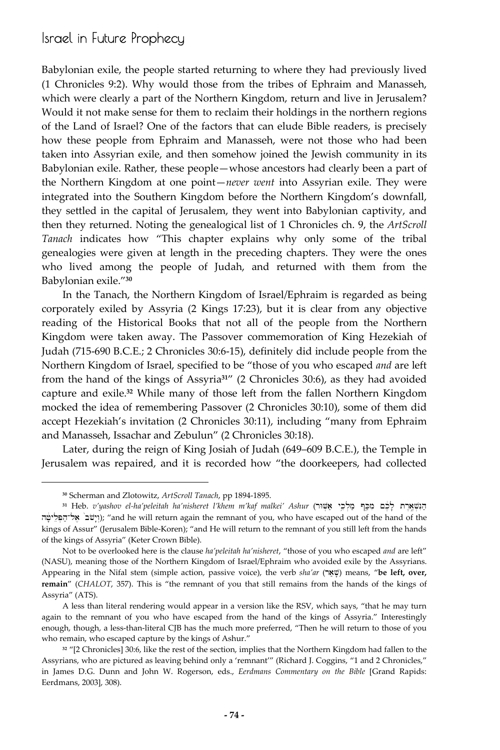Babylonian exile, the people started returning to where they had previously lived (1 Chronicles 9:2). Why would those from the tribes of Ephraim and Manasseh, which were clearly a part of the Northern Kingdom, return and live in Jerusalem? Would it not make sense for them to reclaim their holdings in the northern regions of the Land of Israel? One of the factors that can elude Bible readers, is precisely how these people from Ephraim and Manasseh, were not those who had been taken into Assyrian exile, and then somehow joined the Jewish community in its Babylonian exile. Rather, these people—whose ancestors had clearly been a part of the Northern Kingdom at one point—*never went* into Assyrian exile. They were integrated into the Southern Kingdom before the Northern Kingdom's downfall, they settled in the capital of Jerusalem, they went into Babylonian captivity, and then they returned. Noting the genealogical list of 1 Chronicles ch. 9, the *ArtScroll Tanach* indicates how "This chapter explains why only some of the tribal genealogies were given at length in the preceding chapters. They were the ones who lived among the people of Judah, and returned with them from the Babylonian exile."**<sup>30</sup>**

In the Tanach, the Northern Kingdom of Israel/Ephraim is regarded as being corporately exiled by Assyria (2 Kings 17:23), but it is clear from any objective reading of the Historical Books that not all of the people from the Northern Kingdom were taken away. The Passover commemoration of King Hezekiah of Judah (715-690 B.C.E.; 2 Chronicles 30:6-15), definitely did include people from the Northern Kingdom of Israel, specified to be "those of you who escaped *and* are left from the hand of the kings of Assyria**31**" (2 Chronicles 30:6), as they had avoided capture and exile.**32** While many of those left from the fallen Northern Kingdom mocked the idea of remembering Passover (2 Chronicles 30:10), some of them did accept Hezekiah's invitation (2 Chronicles 30:11), including "many from Ephraim and Manasseh, Issachar and Zebulun" (2 Chronicles 30:18).

Later, during the reign of King Josiah of Judah (649–609 B.C.E.), the Temple in Jerusalem was repaired, and it is recorded how "the doorkeepers, had collected

**<sup>30</sup>** Scherman and Zlotowitz, *ArtScroll Tanach*, pp 1894-1895.

**<sup>31</sup>** Heb. *v'yashov el-ha'peleitah ha'nisheret l'khem m'kaf malkei' Ashur* (rWV)a; yk eîl.m; @K ;Þmi ~k,êl' tr<a<åv .N Ih; hj'êyleP.h;-la, 'bv oy "w >); "and he will return again the remnant of you, who have escaped out of the hand of the kings of Assur" (Jerusalem Bible-Koren); "and He will return to the remnant of you still left from the hands of the kings of Assyria" (Keter Crown Bible).

Not to be overlooked here is the clause *ha'peleitah ha'nisheret*, "those of you who escaped *and* are left" (NASU), meaning those of the Northern Kingdom of Israel/Ephraim who avoided exile by the Assyrians. Appearing in the Nifal stem (simple action, passive voice), the verb *sha'ar* (ra;v ') means, "**be left, over, remain**" (*CHALOT*, 357). This is "the remnant of you that still remains from the hands of the kings of Assyria" (ATS).

A less than literal rendering would appear in a version like the RSV, which says, "that he may turn again to the remnant of you who have escaped from the hand of the kings of Assyria." Interestingly enough, though, a less-than-literal CJB has the much more preferred, "Then he will return to those of you who remain, who escaped capture by the kings of Ashur."

**<sup>32</sup>** "[2 Chronicles] 30:6, like the rest of the section, implies that the Northern Kingdom had fallen to the Assyrians, who are pictured as leaving behind only a 'remnant'" (Richard J. Coggins, "1 and 2 Chronicles," in James D.G. Dunn and John W. Rogerson, eds., *Eerdmans Commentary on the Bible* [Grand Rapids: Eerdmans, 2003], 308).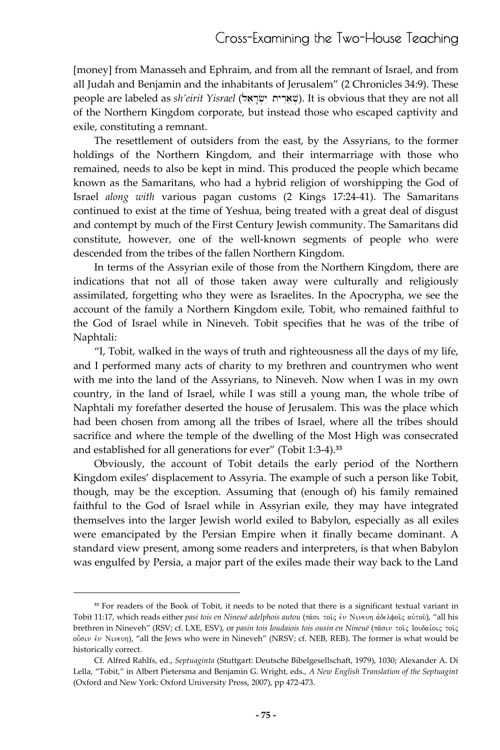[money] from Manasseh and Ephraim, and from all the remnant of Israel, and from all Judah and Benjamin and the inhabitants of Jerusalem" (2 Chronicles 34:9). These people are labeled as *sh'eirit Yisrael* (laer"f.yI tyrIaev .). It is obvious that they are not all of the Northern Kingdom corporate, but instead those who escaped captivity and exile, constituting a remnant.

The resettlement of outsiders from the east, by the Assyrians, to the former holdings of the Northern Kingdom, and their intermarriage with those who remained, needs to also be kept in mind. This produced the people which became known as the Samaritans, who had a hybrid religion of worshipping the God of Israel *along with* various pagan customs (2 Kings 17:24-41). The Samaritans continued to exist at the time of Yeshua, being treated with a great deal of disgust and contempt by much of the First Century Jewish community. The Samaritans did constitute, however, one of the well-known segments of people who were descended from the tribes of the fallen Northern Kingdom.

In terms of the Assyrian exile of those from the Northern Kingdom, there are indications that not all of those taken away were culturally and religiously assimilated, forgetting who they were as Israelites. In the Apocrypha, we see the account of the family a Northern Kingdom exile, Tobit, who remained faithful to the God of Israel while in Nineveh. Tobit specifies that he was of the tribe of Naphtali:

"I, Tobit, walked in the ways of truth and righteousness all the days of my life, and I performed many acts of charity to my brethren and countrymen who went with me into the land of the Assyrians, to Nineveh. Now when I was in my own country, in the land of Israel, while I was still a young man, the whole tribe of Naphtali my forefather deserted the house of Jerusalem. This was the place which had been chosen from among all the tribes of Israel, where all the tribes should sacrifice and where the temple of the dwelling of the Most High was consecrated and established for all generations for ever" (Tobit 1:3-4).**<sup>33</sup>**

Obviously, the account of Tobit details the early period of the Northern Kingdom exiles' displacement to Assyria. The example of such a person like Tobit, though, may be the exception. Assuming that (enough of) his family remained faithful to the God of Israel while in Assyrian exile, they may have integrated themselves into the larger Jewish world exiled to Babylon, especially as all exiles were emancipated by the Persian Empire when it finally became dominant. A standard view present, among some readers and interpreters, is that when Babylon was engulfed by Persia, a major part of the exiles made their way back to the Land

**<sup>33</sup>** For readers of the Book of Tobit, it needs to be noted that there is a significant textual variant in Tobit 11:17, which reads either *pasi tois en Nineuē adelphois autou* (πᾶσι τοῖς ἐν Νινευη ἀδελφοῖς αὐτοῦ), "all his brethren in Nineveh" (RSV; cf. LXE, ESV), or *pasin tois Ioudaiois tois ousin en Nineuē* (πᾶσιν τοις Ιουδαίοις τοις  $\omega$  $\omega$   $\omega$  N<sub>1</sub> $\nu$ <sub>E</sub>vn), "all the Jews who were in Nineveh" (NRSV; cf. NEB, REB). The former is what would be historically correct.

Cf. Alfred Rahlfs, ed., *Septuaginta* (Stuttgart: Deutsche Bibelgesellschaft, 1979), 1030; Alexander A. Di Lella, "Tobit," in Albert Pietersma and Benjamin G. Wright, eds., *A New English Translation of the Septuagint* (Oxford and New York: Oxford University Press, 2007), pp 472-473.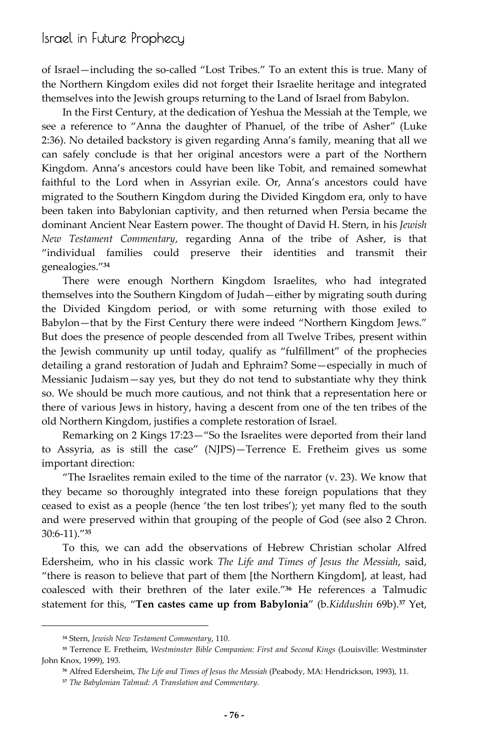of Israel—including the so-called "Lost Tribes." To an extent this is true. Many of the Northern Kingdom exiles did not forget their Israelite heritage and integrated themselves into the Jewish groups returning to the Land of Israel from Babylon.

In the First Century, at the dedication of Yeshua the Messiah at the Temple, we see a reference to "Anna the daughter of Phanuel, of the tribe of Asher" (Luke 2:36). No detailed backstory is given regarding Anna's family, meaning that all we can safely conclude is that her original ancestors were a part of the Northern Kingdom. Anna's ancestors could have been like Tobit, and remained somewhat faithful to the Lord when in Assyrian exile. Or, Anna's ancestors could have migrated to the Southern Kingdom during the Divided Kingdom era, only to have been taken into Babylonian captivity, and then returned when Persia became the dominant Ancient Near Eastern power. The thought of David H. Stern, in his *Jewish New Testament Commentary*, regarding Anna of the tribe of Asher, is that "individual families could preserve their identities and transmit their genealogies."**<sup>34</sup>**

There were enough Northern Kingdom Israelites, who had integrated themselves into the Southern Kingdom of Judah—either by migrating south during the Divided Kingdom period, or with some returning with those exiled to Babylon—that by the First Century there were indeed "Northern Kingdom Jews." But does the presence of people descended from all Twelve Tribes, present within the Jewish community up until today, qualify as "fulfillment" of the prophecies detailing a grand restoration of Judah and Ephraim? Some—especially in much of Messianic Judaism—say yes, but they do not tend to substantiate why they think so. We should be much more cautious, and not think that a representation here or there of various Jews in history, having a descent from one of the ten tribes of the old Northern Kingdom, justifies a complete restoration of Israel.

Remarking on 2 Kings 17:23—"So the Israelites were deported from their land to Assyria, as is still the case" (NJPS)—Terrence E. Fretheim gives us some important direction:

"The Israelites remain exiled to the time of the narrator  $(v. 23)$ . We know that they became so thoroughly integrated into these foreign populations that they ceased to exist as a people (hence 'the ten lost tribes'); yet many fled to the south and were preserved within that grouping of the people of God (see also 2 Chron. 30:6-11)."**<sup>35</sup>**

To this, we can add the observations of Hebrew Christian scholar Alfred Edersheim, who in his classic work *The Life and Times of Jesus the Messiah*, said, "there is reason to believe that part of them [the Northern Kingdom], at least, had coalesced with their brethren of the later exile."**36** He references a Talmudic statement for this, "**Ten castes came up from Babylonia**" (b.*Kiddushin* 69b).**37** Yet,

**<sup>34</sup>** Stern, *Jewish New Testament Commentary*, 110.

**<sup>35</sup>** Terrence E. Fretheim, *Westminster Bible Companion: First and Second Kings* (Louisville: Westminster John Knox, 1999), 193.

**<sup>36</sup>** Alfred Edersheim, *The Life and Times of Jesus the Messiah* (Peabody, MA: Hendrickson, 1993), 11.

**<sup>37</sup>** *The Babylonian Talmud: A Translation and Commentary.*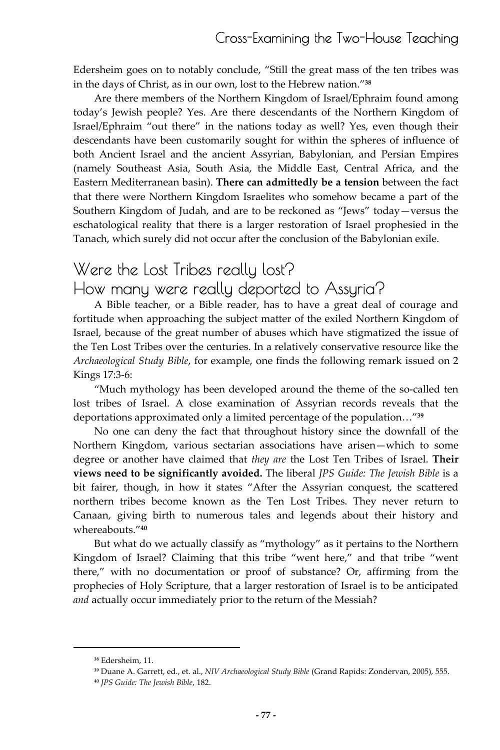Edersheim goes on to notably conclude, "Still the great mass of the ten tribes was in the days of Christ, as in our own, lost to the Hebrew nation."**<sup>38</sup>**

Are there members of the Northern Kingdom of Israel/Ephraim found among today's Jewish people? Yes. Are there descendants of the Northern Kingdom of Israel/Ephraim "out there" in the nations today as well? Yes, even though their descendants have been customarily sought for within the spheres of influence of both Ancient Israel and the ancient Assyrian, Babylonian, and Persian Empires (namely Southeast Asia, South Asia, the Middle East, Central Africa, and the Eastern Mediterranean basin). **There can admittedly be a tension** between the fact that there were Northern Kingdom Israelites who somehow became a part of the Southern Kingdom of Judah, and are to be reckoned as "Jews" today—versus the eschatological reality that there is a larger restoration of Israel prophesied in the Tanach, which surely did not occur after the conclusion of the Babylonian exile.

## Were the Lost Tribes really lost? How many were really deported to Assyria?

A Bible teacher, or a Bible reader, has to have a great deal of courage and fortitude when approaching the subject matter of the exiled Northern Kingdom of Israel, because of the great number of abuses which have stigmatized the issue of the Ten Lost Tribes over the centuries. In a relatively conservative resource like the *Archaeological Study Bible*, for example, one finds the following remark issued on 2 Kings 17:3-6:

"Much mythology has been developed around the theme of the so-called ten lost tribes of Israel. A close examination of Assyrian records reveals that the deportations approximated only a limited percentage of the population…"**<sup>39</sup>**

No one can deny the fact that throughout history since the downfall of the Northern Kingdom, various sectarian associations have arisen—which to some degree or another have claimed that *they are* the Lost Ten Tribes of Israel. **Their views need to be significantly avoided.** The liberal *JPS Guide: The Jewish Bible* is a bit fairer, though, in how it states "After the Assyrian conquest, the scattered northern tribes become known as the Ten Lost Tribes. They never return to Canaan, giving birth to numerous tales and legends about their history and whereabouts."**<sup>40</sup>**

But what do we actually classify as "mythology" as it pertains to the Northern Kingdom of Israel? Claiming that this tribe "went here," and that tribe "went there," with no documentation or proof of substance? Or, affirming from the prophecies of Holy Scripture, that a larger restoration of Israel is to be anticipated *and* actually occur immediately prior to the return of the Messiah?

**<sup>38</sup>** Edersheim, 11.

**<sup>39</sup>** Duane A. Garrett, ed., et. al., *NIV Archaeological Study Bible* (Grand Rapids: Zondervan, 2005), 555.

**<sup>40</sup>** *JPS Guide: The Jewish Bible*, 182.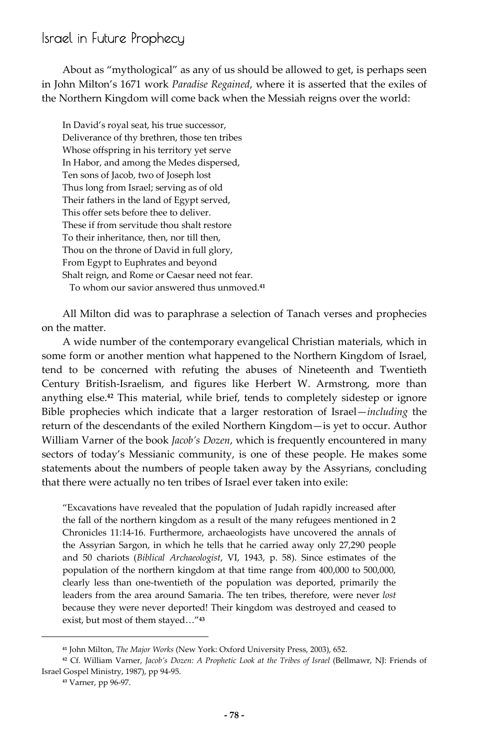About as "mythological" as any of us should be allowed to get, is perhaps seen in John Milton's 1671 work *Paradise Regained*, where it is asserted that the exiles of the Northern Kingdom will come back when the Messiah reigns over the world:

In David's royal seat, his true successor, Deliverance of thy brethren, those ten tribes Whose offspring in his territory yet serve In Habor, and among the Medes dispersed, Ten sons of Jacob, two of Joseph lost Thus long from Israel; serving as of old Their fathers in the land of Egypt served, This offer sets before thee to deliver. These if from servitude thou shalt restore To their inheritance, then, nor till then, Thou on the throne of David in full glory, From Egypt to Euphrates and beyond Shalt reign, and Rome or Caesar need not fear. To whom our savior answered thus unmoved.**<sup>41</sup>**

All Milton did was to paraphrase a selection of Tanach verses and prophecies on the matter.

A wide number of the contemporary evangelical Christian materials, which in some form or another mention what happened to the Northern Kingdom of Israel, tend to be concerned with refuting the abuses of Nineteenth and Twentieth Century British-Israelism, and figures like Herbert W. Armstrong, more than anything else.**42** This material, while brief, tends to completely sidestep or ignore Bible prophecies which indicate that a larger restoration of Israel—*including* the return of the descendants of the exiled Northern Kingdom—is yet to occur. Author William Varner of the book *Jacob's Dozen*, which is frequently encountered in many sectors of today's Messianic community, is one of these people. He makes some statements about the numbers of people taken away by the Assyrians, concluding that there were actually no ten tribes of Israel ever taken into exile:

"Excavations have revealed that the population of Judah rapidly increased after the fall of the northern kingdom as a result of the many refugees mentioned in 2 Chronicles 11:14-16. Furthermore, archaeologists have uncovered the annals of the Assyrian Sargon, in which he tells that he carried away only 27,290 people and 50 chariots (*Biblical Archaeologist*, VI, 1943, p. 58). Since estimates of the population of the northern kingdom at that time range from 400,000 to 500,000, clearly less than one-twentieth of the population was deported, primarily the leaders from the area around Samaria. The ten tribes, therefore, were never *lost* because they were never deported! Their kingdom was destroyed and ceased to exist, but most of them stayed…"**<sup>43</sup>**

**<sup>41</sup>** John Milton, *The Major Works* (New York: Oxford University Press, 2003), 652.

**<sup>42</sup>** Cf. William Varner, *Jacob's Dozen: A Prophetic Look at the Tribes of Israel* (Bellmawr, NJ: Friends of Israel Gospel Ministry, 1987), pp 94-95.

**<sup>43</sup>** Varner, pp 96-97.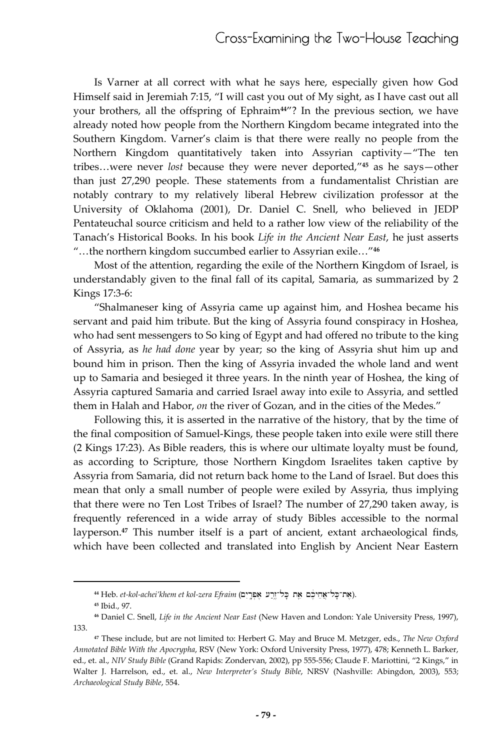Is Varner at all correct with what he says here, especially given how God Himself said in Jeremiah 7:15, "I will cast you out of My sight, as I have cast out all your brothers, all the offspring of Ephraim**44**"? In the previous section, we have already noted how people from the Northern Kingdom became integrated into the Southern Kingdom. Varner's claim is that there were really no people from the Northern Kingdom quantitatively taken into Assyrian captivity—"The ten tribes…were never *lost* because they were never deported,"**45** as he says—other than just 27,290 people. These statements from a fundamentalist Christian are notably contrary to my relatively liberal Hebrew civilization professor at the University of Oklahoma (2001), Dr. Daniel C. Snell, who believed in JEDP Pentateuchal source criticism and held to a rather low view of the reliability of the Tanach's Historical Books. In his book *Life in the Ancient Near East*, he just asserts "…the northern kingdom succumbed earlier to Assyrian exile…"**<sup>46</sup>**

Most of the attention, regarding the exile of the Northern Kingdom of Israel, is understandably given to the final fall of its capital, Samaria, as summarized by 2 Kings 17:3-6:

"Shalmaneser king of Assyria came up against him, and Hoshea became his servant and paid him tribute. But the king of Assyria found conspiracy in Hoshea, who had sent messengers to So king of Egypt and had offered no tribute to the king of Assyria, as *he had done* year by year; so the king of Assyria shut him up and bound him in prison. Then the king of Assyria invaded the whole land and went up to Samaria and besieged it three years. In the ninth year of Hoshea, the king of Assyria captured Samaria and carried Israel away into exile to Assyria, and settled them in Halah and Habor, *on* the river of Gozan, and in the cities of the Medes."

Following this, it is asserted in the narrative of the history, that by the time of the final composition of Samuel-Kings, these people taken into exile were still there (2 Kings 17:23). As Bible readers, this is where our ultimate loyalty must be found, as according to Scripture, those Northern Kingdom Israelites taken captive by Assyria from Samaria, did not return back home to the Land of Israel. But does this mean that only a small number of people were exiled by Assyria, thus implying that there were no Ten Lost Tribes of Israel? The number of 27,290 taken away, is frequently referenced in a wide array of study Bibles accessible to the normal layperson.**47** This number itself is a part of ancient, extant archaeological finds, which have been collected and translated into English by Ancient Near Eastern

**<sup>44</sup>** Heb. *et-kol-achei'khem et kol-zera Efraim* (~y Ir")p .a, [r;z<ï-lK ' taeÞ ~k,êyxea]-lK '-ta,).

**<sup>45</sup>** Ibid., 97.

**<sup>46</sup>** Daniel C. Snell, *Life in the Ancient Near East* (New Haven and London: Yale University Press, 1997), 133.

**<sup>47</sup>** These include, but are not limited to: Herbert G. May and Bruce M. Metzger, eds., *The New Oxford Annotated Bible With the Apocrypha*, RSV (New York: Oxford University Press, 1977), 478; Kenneth L. Barker, ed., et. al., *NIV Study Bible* (Grand Rapids: Zondervan, 2002), pp 555-556; Claude F. Mariottini, "2 Kings," in Walter J. Harrelson, ed., et. al., *New Interpreter's Study Bible*, NRSV (Nashville: Abingdon, 2003), 553; *Archaeological Study Bible*, 554.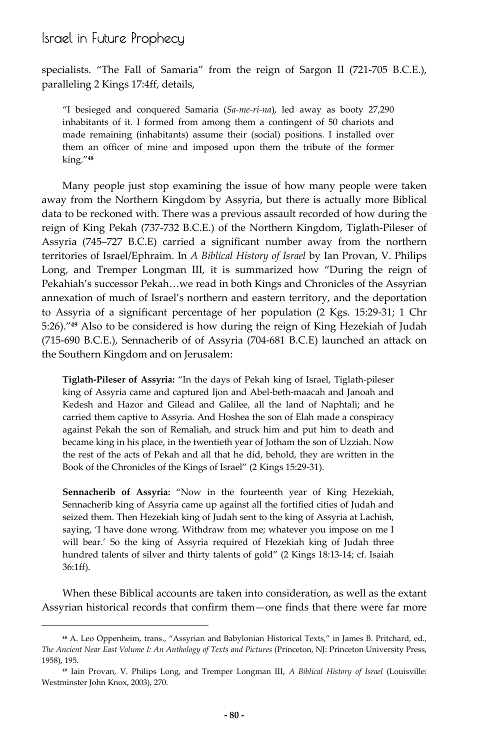specialists. "The Fall of Samaria" from the reign of Sargon II (721-705 B.C.E.), paralleling 2 Kings 17:4ff, details,

"I besieged and conquered Samaria (*Sa-me-ri-na*), led away as booty 27,290 inhabitants of it. I formed from among them a contingent of 50 chariots and made remaining (inhabitants) assume their (social) positions. I installed over them an officer of mine and imposed upon them the tribute of the former king."**<sup>48</sup>**

Many people just stop examining the issue of how many people were taken away from the Northern Kingdom by Assyria, but there is actually more Biblical data to be reckoned with. There was a previous assault recorded of how during the reign of King Pekah (737-732 B.C.E.) of the Northern Kingdom, Tiglath-Pileser of Assyria (745–727 B.C.E) carried a significant number away from the northern territories of Israel/Ephraim. In *A Biblical History of Israel* by Ian Provan, V. Philips Long, and Tremper Longman III, it is summarized how "During the reign of Pekahiah's successor Pekah…we read in both Kings and Chronicles of the Assyrian annexation of much of Israel's northern and eastern territory, and the deportation to Assyria of a significant percentage of her population (2 Kgs. 15:29-31; 1 Chr 5:26)."**49** Also to be considered is how during the reign of King Hezekiah of Judah (715-690 B.C.E.), Sennacherib of of Assyria (704-681 B.C.E) launched an attack on the Southern Kingdom and on Jerusalem:

**Tiglath-Pileser of Assyria:** "In the days of Pekah king of Israel, Tiglath-pileser king of Assyria came and captured Ijon and Abel-beth-maacah and Janoah and Kedesh and Hazor and Gilead and Galilee, all the land of Naphtali; and he carried them captive to Assyria. And Hoshea the son of Elah made a conspiracy against Pekah the son of Remaliah, and struck him and put him to death and became king in his place, in the twentieth year of Jotham the son of Uzziah. Now the rest of the acts of Pekah and all that he did, behold, they are written in the Book of the Chronicles of the Kings of Israel" (2 Kings 15:29-31).

**Sennacherib of Assyria:** "Now in the fourteenth year of King Hezekiah, Sennacherib king of Assyria came up against all the fortified cities of Judah and seized them. Then Hezekiah king of Judah sent to the king of Assyria at Lachish, saying, 'I have done wrong. Withdraw from me; whatever you impose on me I will bear.' So the king of Assyria required of Hezekiah king of Judah three hundred talents of silver and thirty talents of gold" (2 Kings 18:13-14; cf. Isaiah 36:1ff).

When these Biblical accounts are taken into consideration, as well as the extant Assyrian historical records that confirm them—one finds that there were far more

**<sup>48</sup>** A. Leo Oppenheim, trans., "Assyrian and Babylonian Historical Texts," in James B. Pritchard, ed., *The Ancient Near East Volume I: An Anthology of Texts and Pictures* (Princeton, NJ: Princeton University Press, 1958), 195.

**<sup>49</sup>** Iain Provan, V. Philips Long, and Tremper Longman III, *A Biblical History of Israel* (Louisville: Westminster John Knox, 2003), 270.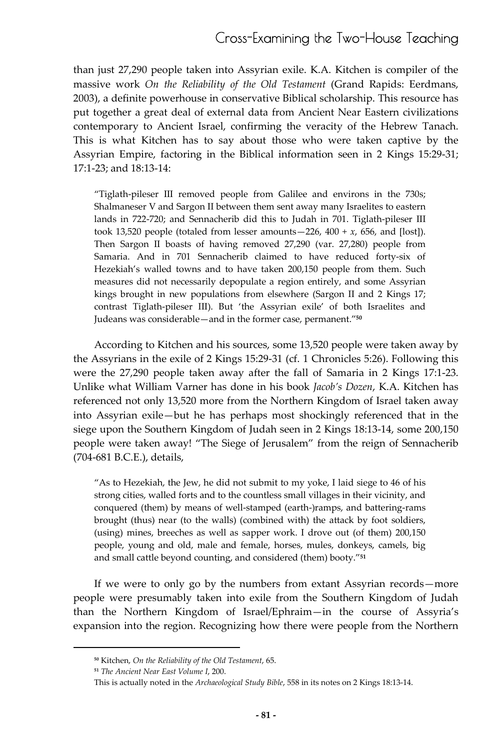than just 27,290 people taken into Assyrian exile. K.A. Kitchen is compiler of the massive work *On the Reliability of the Old Testament* (Grand Rapids: Eerdmans, 2003), a definite powerhouse in conservative Biblical scholarship. This resource has put together a great deal of external data from Ancient Near Eastern civilizations contemporary to Ancient Israel, confirming the veracity of the Hebrew Tanach. This is what Kitchen has to say about those who were taken captive by the Assyrian Empire, factoring in the Biblical information seen in 2 Kings 15:29-31; 17:1-23; and 18:13-14:

"Tiglath-pileser III removed people from Galilee and environs in the 730s; Shalmaneser V and Sargon II between them sent away many Israelites to eastern lands in 722-720; and Sennacherib did this to Judah in 701. Tiglath-pileser III took 13,520 people (totaled from lesser amounts—226, 400 + *x*, 656, and [lost]). Then Sargon II boasts of having removed 27,290 (var. 27,280) people from Samaria. And in 701 Sennacherib claimed to have reduced forty-six of Hezekiah's walled towns and to have taken 200,150 people from them. Such measures did not necessarily depopulate a region entirely, and some Assyrian kings brought in new populations from elsewhere (Sargon II and 2 Kings 17; contrast Tiglath-pileser III). But 'the Assyrian exile' of both Israelites and Judeans was considerable—and in the former case, permanent."**<sup>50</sup>**

According to Kitchen and his sources, some 13,520 people were taken away by the Assyrians in the exile of 2 Kings 15:29-31 (cf. 1 Chronicles 5:26). Following this were the 27,290 people taken away after the fall of Samaria in 2 Kings 17:1-23. Unlike what William Varner has done in his book *Jacob's Dozen*, K.A. Kitchen has referenced not only 13,520 more from the Northern Kingdom of Israel taken away into Assyrian exile—but he has perhaps most shockingly referenced that in the siege upon the Southern Kingdom of Judah seen in 2 Kings 18:13-14, some 200,150 people were taken away! "The Siege of Jerusalem" from the reign of Sennacherib (704-681 B.C.E.), details,

"As to Hezekiah, the Jew, he did not submit to my yoke, I laid siege to 46 of his strong cities, walled forts and to the countless small villages in their vicinity, and conquered (them) by means of well-stamped (earth-)ramps, and battering-rams brought (thus) near (to the walls) (combined with) the attack by foot soldiers, (using) mines, breeches as well as sapper work. I drove out (of them) 200,150 people, young and old, male and female, horses, mules, donkeys, camels, big and small cattle beyond counting, and considered (them) booty."**<sup>51</sup>**

If we were to only go by the numbers from extant Assyrian records—more people were presumably taken into exile from the Southern Kingdom of Judah than the Northern Kingdom of Israel/Ephraim—in the course of Assyria's expansion into the region. Recognizing how there were people from the Northern

**<sup>50</sup>** Kitchen, *On the Reliability of the Old Testament*, 65.

**<sup>51</sup>** *The Ancient Near East Volume I*, 200.

This is actually noted in the *Archaeological Study Bible*, 558 in its notes on 2 Kings 18:13-14.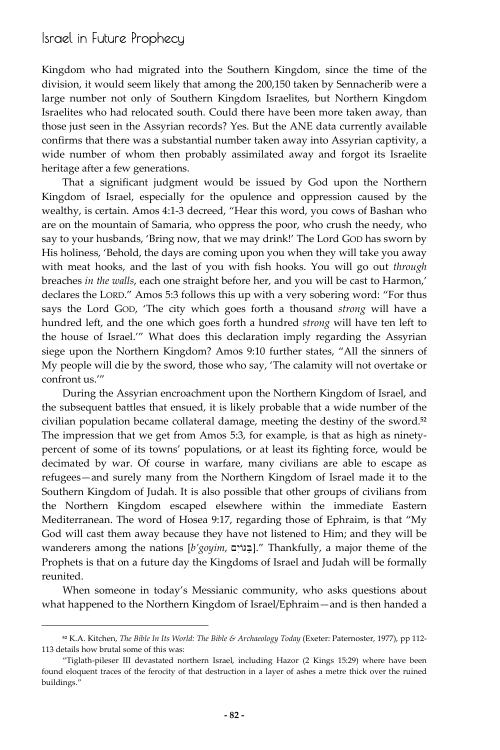Kingdom who had migrated into the Southern Kingdom, since the time of the division, it would seem likely that among the 200,150 taken by Sennacherib were a large number not only of Southern Kingdom Israelites, but Northern Kingdom Israelites who had relocated south. Could there have been more taken away, than those just seen in the Assyrian records? Yes. But the ANE data currently available confirms that there was a substantial number taken away into Assyrian captivity, a wide number of whom then probably assimilated away and forgot its Israelite heritage after a few generations.

That a significant judgment would be issued by God upon the Northern Kingdom of Israel, especially for the opulence and oppression caused by the wealthy, is certain. Amos 4:1-3 decreed, "Hear this word, you cows of Bashan who are on the mountain of Samaria, who oppress the poor, who crush the needy, who say to your husbands, 'Bring now, that we may drink!' The Lord GOD has sworn by His holiness, 'Behold, the days are coming upon you when they will take you away with meat hooks, and the last of you with fish hooks. You will go out *through*  breaches *in the walls*, each one straight before her, and you will be cast to Harmon,' declares the LORD." Amos 5:3 follows this up with a very sobering word: "For thus says the Lord GOD, 'The city which goes forth a thousand *strong* will have a hundred left, and the one which goes forth a hundred *strong* will have ten left to the house of Israel.'" What does this declaration imply regarding the Assyrian siege upon the Northern Kingdom? Amos 9:10 further states, "All the sinners of My people will die by the sword, those who say, 'The calamity will not overtake or confront us.'"

During the Assyrian encroachment upon the Northern Kingdom of Israel, and the subsequent battles that ensued, it is likely probable that a wide number of the civilian population became collateral damage, meeting the destiny of the sword.**<sup>52</sup>** The impression that we get from Amos 5:3, for example, is that as high as ninetypercent of some of its towns' populations, or at least its fighting force, would be decimated by war. Of course in warfare, many civilians are able to escape as refugees—and surely many from the Northern Kingdom of Israel made it to the Southern Kingdom of Judah. It is also possible that other groups of civilians from the Northern Kingdom escaped elsewhere within the immediate Eastern Mediterranean. The word of Hosea 9:17, regarding those of Ephraim, is that "My God will cast them away because they have not listened to Him; and they will be wanderers among the nations [*b'goyim*, *z*[sid]." Thankfully, a major theme of the Prophets is that on a future day the Kingdoms of Israel and Judah will be formally reunited.

When someone in today's Messianic community, who asks questions about what happened to the Northern Kingdom of Israel/Ephraim—and is then handed a

**<sup>52</sup>** K.A. Kitchen, *The Bible In Its World: The Bible & Archaeology Today* (Exeter: Paternoster, 1977), pp 112- 113 details how brutal some of this was:

<sup>&</sup>quot;Tiglath-pileser III devastated northern Israel, including Hazor (2 Kings 15:29) where have been found eloquent traces of the ferocity of that destruction in a layer of ashes a metre thick over the ruined buildings."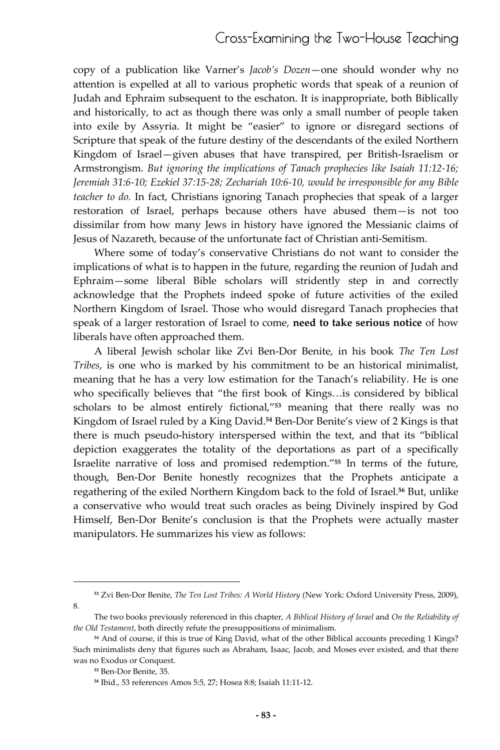copy of a publication like Varner's *Jacob's Dozen*—one should wonder why no attention is expelled at all to various prophetic words that speak of a reunion of Judah and Ephraim subsequent to the eschaton. It is inappropriate, both Biblically and historically, to act as though there was only a small number of people taken into exile by Assyria. It might be "easier" to ignore or disregard sections of Scripture that speak of the future destiny of the descendants of the exiled Northern Kingdom of Israel—given abuses that have transpired, per British-Israelism or Armstrongism. *But ignoring the implications of Tanach prophecies like Isaiah 11:12-16; Jeremiah 31:6-10; Ezekiel 37:15-28; Zechariah 10:6-10, would be irresponsible for any Bible teacher to do.* In fact, Christians ignoring Tanach prophecies that speak of a larger restoration of Israel, perhaps because others have abused them—is not too dissimilar from how many Jews in history have ignored the Messianic claims of Jesus of Nazareth, because of the unfortunate fact of Christian anti-Semitism.

Where some of today's conservative Christians do not want to consider the implications of what is to happen in the future, regarding the reunion of Judah and Ephraim—some liberal Bible scholars will stridently step in and correctly acknowledge that the Prophets indeed spoke of future activities of the exiled Northern Kingdom of Israel. Those who would disregard Tanach prophecies that speak of a larger restoration of Israel to come, **need to take serious notice** of how liberals have often approached them.

A liberal Jewish scholar like Zvi Ben-Dor Benite, in his book *The Ten Lost Tribes*, is one who is marked by his commitment to be an historical minimalist, meaning that he has a very low estimation for the Tanach's reliability. He is one who specifically believes that "the first book of Kings…is considered by biblical scholars to be almost entirely fictional,"**53** meaning that there really was no Kingdom of Israel ruled by a King David.**54** Ben-Dor Benite's view of 2 Kings is that there is much pseudo-history interspersed within the text, and that its "biblical depiction exaggerates the totality of the deportations as part of a specifically Israelite narrative of loss and promised redemption."**55** In terms of the future, though, Ben-Dor Benite honestly recognizes that the Prophets anticipate a regathering of the exiled Northern Kingdom back to the fold of Israel.**56** But, unlike a conservative who would treat such oracles as being Divinely inspired by God Himself, Ben-Dor Benite's conclusion is that the Prophets were actually master manipulators. He summarizes his view as follows:

**<sup>53</sup>** Zvi Ben-Dor Benite, *The Ten Lost Tribes: A World History* (New York: Oxford University Press, 2009), 8.

The two books previously referenced in this chapter, *A Biblical History of Israel* and *On the Reliability of the Old Testament*, both directly refute the presuppositions of minimalism.

**<sup>54</sup>** And of course, if this is true of King David, what of the other Biblical accounts preceding 1 Kings? Such minimalists deny that figures such as Abraham, Isaac, Jacob, and Moses ever existed, and that there was no Exodus or Conquest.

**<sup>55</sup>** Ben-Dor Benite, 35.

**<sup>56</sup>** Ibid., 53 references Amos 5:5, 27; Hosea 8:8; Isaiah 11:11-12.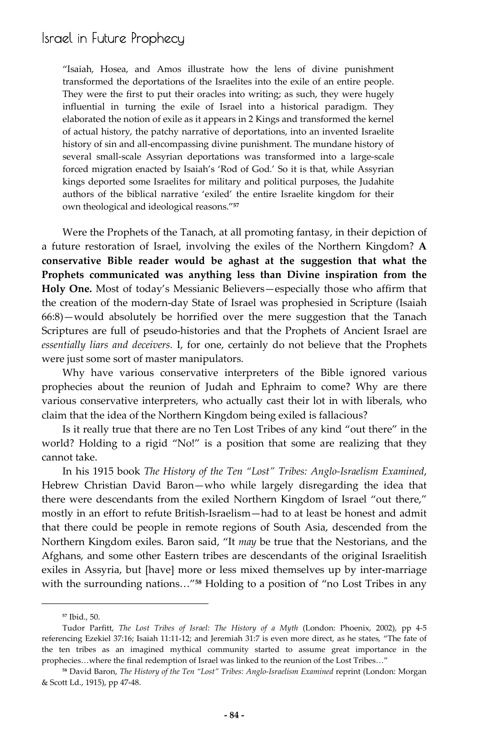"Isaiah, Hosea, and Amos illustrate how the lens of divine punishment transformed the deportations of the Israelites into the exile of an entire people. They were the first to put their oracles into writing; as such, they were hugely influential in turning the exile of Israel into a historical paradigm. They elaborated the notion of exile as it appears in 2 Kings and transformed the kernel of actual history, the patchy narrative of deportations, into an invented Israelite history of sin and all-encompassing divine punishment. The mundane history of several small-scale Assyrian deportations was transformed into a large-scale forced migration enacted by Isaiah's 'Rod of God.' So it is that, while Assyrian kings deported some Israelites for military and political purposes, the Judahite authors of the biblical narrative 'exiled' the entire Israelite kingdom for their own theological and ideological reasons."**<sup>57</sup>**

Were the Prophets of the Tanach, at all promoting fantasy, in their depiction of a future restoration of Israel, involving the exiles of the Northern Kingdom? **A conservative Bible reader would be aghast at the suggestion that what the Prophets communicated was anything less than Divine inspiration from the Holy One.** Most of today's Messianic Believers—especially those who affirm that the creation of the modern-day State of Israel was prophesied in Scripture (Isaiah 66:8)—would absolutely be horrified over the mere suggestion that the Tanach Scriptures are full of pseudo-histories and that the Prophets of Ancient Israel are *essentially liars and deceivers.* I, for one, certainly do not believe that the Prophets were just some sort of master manipulators.

Why have various conservative interpreters of the Bible ignored various prophecies about the reunion of Judah and Ephraim to come? Why are there various conservative interpreters, who actually cast their lot in with liberals, who claim that the idea of the Northern Kingdom being exiled is fallacious?

Is it really true that there are no Ten Lost Tribes of any kind "out there" in the world? Holding to a rigid "No!" is a position that some are realizing that they cannot take.

In his 1915 book *The History of the Ten "Lost" Tribes: Anglo-Israelism Examined*, Hebrew Christian David Baron—who while largely disregarding the idea that there were descendants from the exiled Northern Kingdom of Israel "out there," mostly in an effort to refute British-Israelism—had to at least be honest and admit that there could be people in remote regions of South Asia, descended from the Northern Kingdom exiles. Baron said, "It *may* be true that the Nestorians, and the Afghans, and some other Eastern tribes are descendants of the original Israelitish exiles in Assyria, but [have] more or less mixed themselves up by inter-marriage with the surrounding nations…"**58** Holding to a position of "no Lost Tribes in any

**<sup>57</sup>** Ibid., 50.

Tudor Parfitt, *The Lost Tribes of Israel: The History of a Myth* (London: Phoenix, 2002), pp 4-5 referencing Ezekiel 37:16; Isaiah 11:11-12; and Jeremiah 31:7 is even more direct, as he states, "The fate of the ten tribes as an imagined mythical community started to assume great importance in the prophecies…where the final redemption of Israel was linked to the reunion of the Lost Tribes…"

**<sup>58</sup>** David Baron, *The History of the Ten "Lost" Tribes: Anglo-Israelism Examined* reprint (London: Morgan & Scott Ld., 1915), pp 47-48.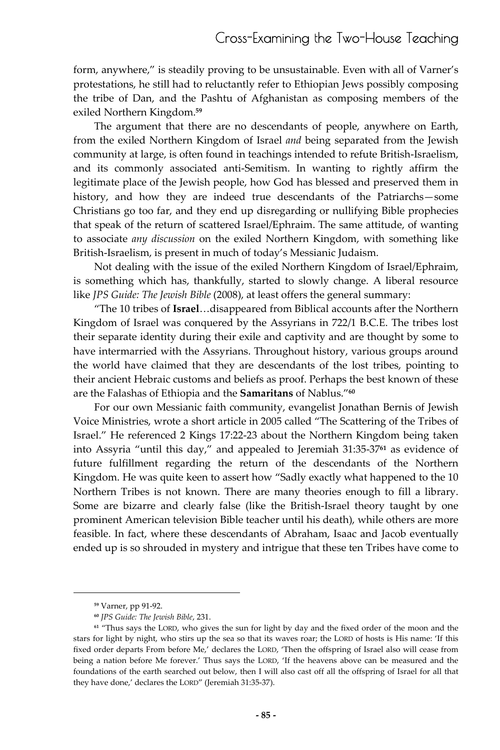form, anywhere," is steadily proving to be unsustainable. Even with all of Varner's protestations, he still had to reluctantly refer to Ethiopian Jews possibly composing the tribe of Dan, and the Pashtu of Afghanistan as composing members of the exiled Northern Kingdom.**<sup>59</sup>**

The argument that there are no descendants of people, anywhere on Earth, from the exiled Northern Kingdom of Israel *and* being separated from the Jewish community at large, is often found in teachings intended to refute British-Israelism, and its commonly associated anti-Semitism. In wanting to rightly affirm the legitimate place of the Jewish people, how God has blessed and preserved them in history, and how they are indeed true descendants of the Patriarchs—some Christians go too far, and they end up disregarding or nullifying Bible prophecies that speak of the return of scattered Israel/Ephraim. The same attitude, of wanting to associate *any discussion* on the exiled Northern Kingdom, with something like British-Israelism, is present in much of today's Messianic Judaism.

Not dealing with the issue of the exiled Northern Kingdom of Israel/Ephraim, is something which has, thankfully, started to slowly change. A liberal resource like *JPS Guide: The Jewish Bible* (2008), at least offers the general summary:

"The 10 tribes of **Israel**…disappeared from Biblical accounts after the Northern Kingdom of Israel was conquered by the Assyrians in 722/1 B.C.E. The tribes lost their separate identity during their exile and captivity and are thought by some to have intermarried with the Assyrians. Throughout history, various groups around the world have claimed that they are descendants of the lost tribes, pointing to their ancient Hebraic customs and beliefs as proof. Perhaps the best known of these are the Falashas of Ethiopia and the **Samaritans** of Nablus."**<sup>60</sup>**

For our own Messianic faith community, evangelist Jonathan Bernis of Jewish Voice Ministries, wrote a short article in 2005 called "The Scattering of the Tribes of Israel." He referenced 2 Kings 17:22-23 about the Northern Kingdom being taken into Assyria "until this day," and appealed to Jeremiah 31:35-37**61** as evidence of future fulfillment regarding the return of the descendants of the Northern Kingdom. He was quite keen to assert how "Sadly exactly what happened to the 10 Northern Tribes is not known. There are many theories enough to fill a library. Some are bizarre and clearly false (like the British-Israel theory taught by one prominent American television Bible teacher until his death), while others are more feasible. In fact, where these descendants of Abraham, Isaac and Jacob eventually ended up is so shrouded in mystery and intrigue that these ten Tribes have come to

**<sup>59</sup>** Varner, pp 91-92.

**<sup>60</sup>** *JPS Guide: The Jewish Bible*, 231.

**<sup>61</sup>** "Thus says the LORD, who gives the sun for light by day and the fixed order of the moon and the stars for light by night, who stirs up the sea so that its waves roar; the LORD of hosts is His name: 'If this fixed order departs From before Me,' declares the LORD, 'Then the offspring of Israel also will cease from being a nation before Me forever.' Thus says the LORD, 'If the heavens above can be measured and the foundations of the earth searched out below, then I will also cast off all the offspring of Israel for all that they have done,' declares the LORD" (Jeremiah 31:35-37).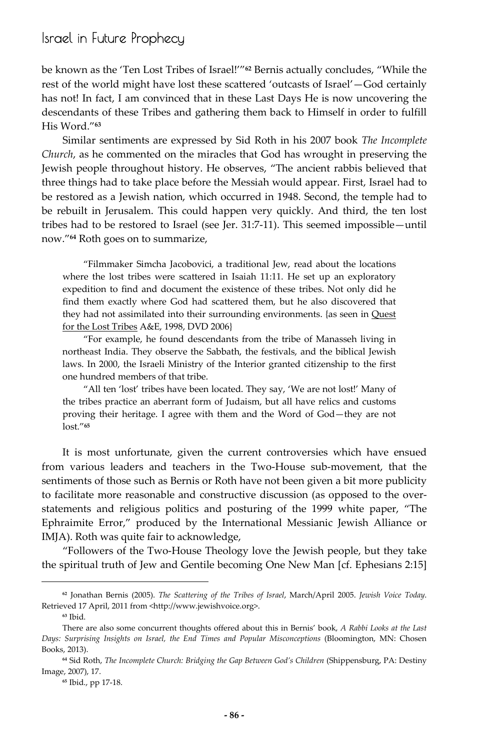be known as the 'Ten Lost Tribes of Israel!'"**62** Bernis actually concludes, "While the rest of the world might have lost these scattered 'outcasts of Israel'—God certainly has not! In fact, I am convinced that in these Last Days He is now uncovering the descendants of these Tribes and gathering them back to Himself in order to fulfill His Word."**<sup>63</sup>**

Similar sentiments are expressed by Sid Roth in his 2007 book *The Incomplete Church*, as he commented on the miracles that God has wrought in preserving the Jewish people throughout history. He observes, "The ancient rabbis believed that three things had to take place before the Messiah would appear. First, Israel had to be restored as a Jewish nation, which occurred in 1948. Second, the temple had to be rebuilt in Jerusalem. This could happen very quickly. And third, the ten lost tribes had to be restored to Israel (see Jer. 31:7-11). This seemed impossible—until now."**64** Roth goes on to summarize,

"Filmmaker Simcha Jacobovici, a traditional Jew, read about the locations where the lost tribes were scattered in Isaiah 11:11. He set up an exploratory expedition to find and document the existence of these tribes. Not only did he find them exactly where God had scattered them, but he also discovered that they had not assimilated into their surrounding environments. {as seen in Quest for the Lost Tribes A&E, 1998, DVD 2006}

"For example, he found descendants from the tribe of Manasseh living in northeast India. They observe the Sabbath, the festivals, and the biblical Jewish laws. In 2000, the Israeli Ministry of the Interior granted citizenship to the first one hundred members of that tribe.

"All ten 'lost' tribes have been located. They say, 'We are not lost!' Many of the tribes practice an aberrant form of Judaism, but all have relics and customs proving their heritage. I agree with them and the Word of God—they are not lost."**<sup>65</sup>**

It is most unfortunate, given the current controversies which have ensued from various leaders and teachers in the Two-House sub-movement, that the sentiments of those such as Bernis or Roth have not been given a bit more publicity to facilitate more reasonable and constructive discussion (as opposed to the overstatements and religious politics and posturing of the 1999 white paper, "The Ephraimite Error," produced by the International Messianic Jewish Alliance or IMJA). Roth was quite fair to acknowledge,

"Followers of the Two-House Theology love the Jewish people, but they take the spiritual truth of Jew and Gentile becoming One New Man [cf. Ephesians 2:15]

**<sup>62</sup>** Jonathan Bernis (2005). *The Scattering of the Tribes of Israel*, March/April 2005. *Jewish Voice Today*. Retrieved 17 April, 2011 from <http://www.jewishvoice.org>.

**<sup>63</sup>** Ibid.

There are also some concurrent thoughts offered about this in Bernis' book, *A Rabbi Looks at the Last Days: Surprising Insights on Israel, the End Times and Popular Misconceptions* (Bloomington, MN: Chosen Books, 2013).

**<sup>64</sup>** Sid Roth, *The Incomplete Church: Bridging the Gap Between God's Children* (Shippensburg, PA: Destiny Image, 2007), 17.

**<sup>65</sup>** Ibid., pp 17-18.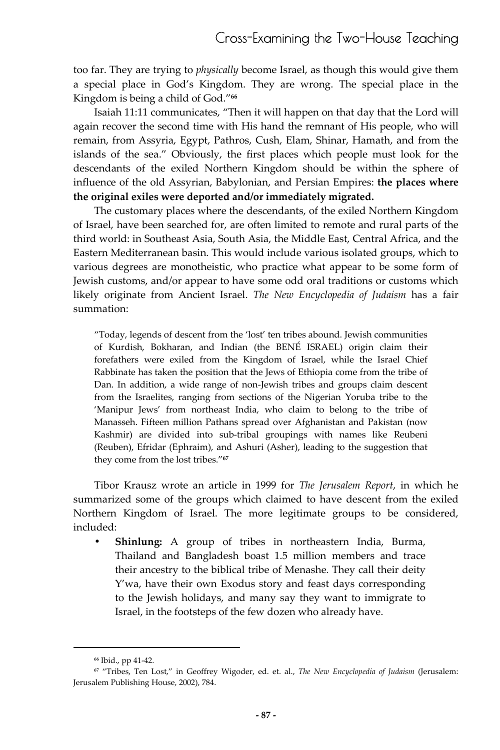too far. They are trying to *physically* become Israel, as though this would give them a special place in God's Kingdom. They are wrong. The special place in the Kingdom is being a child of God."**<sup>66</sup>**

Isaiah 11:11 communicates, "Then it will happen on that day that the Lord will again recover the second time with His hand the remnant of His people, who will remain, from Assyria, Egypt, Pathros, Cush, Elam, Shinar, Hamath, and from the islands of the sea." Obviously, the first places which people must look for the descendants of the exiled Northern Kingdom should be within the sphere of influence of the old Assyrian, Babylonian, and Persian Empires: **the places where the original exiles were deported and/or immediately migrated.** 

The customary places where the descendants, of the exiled Northern Kingdom of Israel, have been searched for, are often limited to remote and rural parts of the third world: in Southeast Asia, South Asia, the Middle East, Central Africa, and the Eastern Mediterranean basin. This would include various isolated groups, which to various degrees are monotheistic, who practice what appear to be some form of Jewish customs, and/or appear to have some odd oral traditions or customs which likely originate from Ancient Israel. *The New Encyclopedia of Judaism* has a fair summation:

"Today, legends of descent from the 'lost' ten tribes abound. Jewish communities of Kurdish, Bokharan, and Indian (the BENÉ ISRAEL) origin claim their forefathers were exiled from the Kingdom of Israel, while the Israel Chief Rabbinate has taken the position that the Jews of Ethiopia come from the tribe of Dan. In addition, a wide range of non-Jewish tribes and groups claim descent from the Israelites, ranging from sections of the Nigerian Yoruba tribe to the 'Manipur Jews' from northeast India, who claim to belong to the tribe of Manasseh. Fifteen million Pathans spread over Afghanistan and Pakistan (now Kashmir) are divided into sub-tribal groupings with names like Reubeni (Reuben), Efridar (Ephraim), and Ashuri (Asher), leading to the suggestion that they come from the lost tribes."**<sup>67</sup>**

Tibor Krausz wrote an article in 1999 for *The Jerusalem Report*, in which he summarized some of the groups which claimed to have descent from the exiled Northern Kingdom of Israel. The more legitimate groups to be considered, included:

• **Shinlung:** A group of tribes in northeastern India, Burma, Thailand and Bangladesh boast 1.5 million members and trace their ancestry to the biblical tribe of Menashe. They call their deity Y'wa, have their own Exodus story and feast days corresponding to the Jewish holidays, and many say they want to immigrate to Israel, in the footsteps of the few dozen who already have.

**<sup>66</sup>** Ibid., pp 41-42.

**<sup>67</sup>** "Tribes, Ten Lost," in Geoffrey Wigoder, ed. et. al., *The New Encyclopedia of Judaism* (Jerusalem: Jerusalem Publishing House, 2002), 784.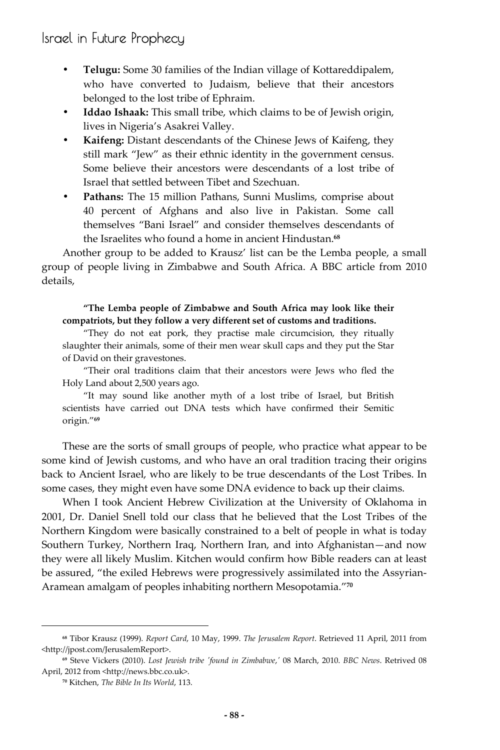- **Telugu:** Some 30 families of the Indian village of Kottareddipalem, who have converted to Judaism, believe that their ancestors belonged to the lost tribe of Ephraim.
- **Iddao Ishaak:** This small tribe, which claims to be of Jewish origin, lives in Nigeria's Asakrei Valley.
- **Kaifeng:** Distant descendants of the Chinese Jews of Kaifeng, they still mark "Jew" as their ethnic identity in the government census. Some believe their ancestors were descendants of a lost tribe of Israel that settled between Tibet and Szechuan.
- **Pathans:** The 15 million Pathans, Sunni Muslims, comprise about 40 percent of Afghans and also live in Pakistan. Some call themselves "Bani Israel" and consider themselves descendants of the Israelites who found a home in ancient Hindustan.**<sup>68</sup>**

Another group to be added to Krausz' list can be the Lemba people, a small group of people living in Zimbabwe and South Africa. A BBC article from 2010 details,

#### **"The Lemba people of Zimbabwe and South Africa may look like their compatriots, but they follow a very different set of customs and traditions.**

"They do not eat pork, they practise male circumcision, they ritually slaughter their animals, some of their men wear skull caps and they put the Star of David on their gravestones.

"Their oral traditions claim that their ancestors were Jews who fled the Holy Land about 2,500 years ago.

"It may sound like another myth of a lost tribe of Israel, but British scientists have carried out DNA tests which have confirmed their Semitic origin."**<sup>69</sup>**

These are the sorts of small groups of people, who practice what appear to be some kind of Jewish customs, and who have an oral tradition tracing their origins back to Ancient Israel, who are likely to be true descendants of the Lost Tribes. In some cases, they might even have some DNA evidence to back up their claims.

When I took Ancient Hebrew Civilization at the University of Oklahoma in 2001, Dr. Daniel Snell told our class that he believed that the Lost Tribes of the Northern Kingdom were basically constrained to a belt of people in what is today Southern Turkey, Northern Iraq, Northern Iran, and into Afghanistan—and now they were all likely Muslim. Kitchen would confirm how Bible readers can at least be assured, "the exiled Hebrews were progressively assimilated into the Assyrian-Aramean amalgam of peoples inhabiting northern Mesopotamia."**<sup>70</sup>**

**<sup>68</sup>** Tibor Krausz (1999). *Report Card*, 10 May, 1999. *The Jerusalem Report*. Retrieved 11 April, 2011 from <http://jpost.com/JerusalemReport>.

**<sup>69</sup>** Steve Vickers (2010). *Lost Jewish tribe 'found in Zimbabwe*,*'* 08 March, 2010. *BBC News*. Retrived 08 April, 2012 from <http://news.bbc.co.uk>.

**<sup>70</sup>** Kitchen, *The Bible In Its World*, 113.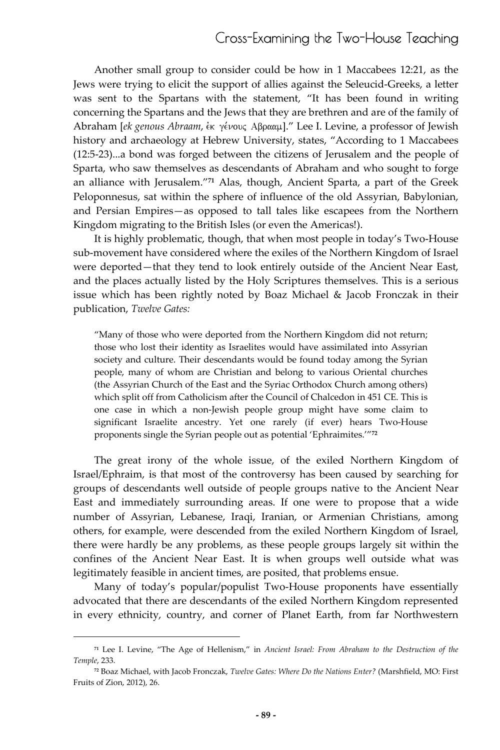Another small group to consider could be how in 1 Maccabees 12:21, as the Jews were trying to elicit the support of allies against the Seleucid-Greeks, a letter was sent to the Spartans with the statement, "It has been found in writing concerning the Spartans and the Jews that they are brethren and are of the family of Abraham *[ek genous Abraam, έκ γένους Αβρααμ].*" Lee I. Levine, a professor of Jewish history and archaeology at Hebrew University, states, "According to 1 Maccabees (12:5-23)...a bond was forged between the citizens of Jerusalem and the people of Sparta, who saw themselves as descendants of Abraham and who sought to forge an alliance with Jerusalem."**71** Alas, though, Ancient Sparta, a part of the Greek Peloponnesus, sat within the sphere of influence of the old Assyrian, Babylonian, and Persian Empires—as opposed to tall tales like escapees from the Northern Kingdom migrating to the British Isles (or even the Americas!).

It is highly problematic, though, that when most people in today's Two-House sub-movement have considered where the exiles of the Northern Kingdom of Israel were deported—that they tend to look entirely outside of the Ancient Near East, and the places actually listed by the Holy Scriptures themselves. This is a serious issue which has been rightly noted by Boaz Michael & Jacob Fronczak in their publication, *Twelve Gates:*

"Many of those who were deported from the Northern Kingdom did not return; those who lost their identity as Israelites would have assimilated into Assyrian society and culture. Their descendants would be found today among the Syrian people, many of whom are Christian and belong to various Oriental churches (the Assyrian Church of the East and the Syriac Orthodox Church among others) which split off from Catholicism after the Council of Chalcedon in 451 CE. This is one case in which a non-Jewish people group might have some claim to significant Israelite ancestry. Yet one rarely (if ever) hears Two-House proponents single the Syrian people out as potential 'Ephraimites.'"**<sup>72</sup>**

The great irony of the whole issue, of the exiled Northern Kingdom of Israel/Ephraim, is that most of the controversy has been caused by searching for groups of descendants well outside of people groups native to the Ancient Near East and immediately surrounding areas. If one were to propose that a wide number of Assyrian, Lebanese, Iraqi, Iranian, or Armenian Christians, among others, for example, were descended from the exiled Northern Kingdom of Israel, there were hardly be any problems, as these people groups largely sit within the confines of the Ancient Near East. It is when groups well outside what was legitimately feasible in ancient times, are posited, that problems ensue.

Many of today's popular/populist Two-House proponents have essentially advocated that there are descendants of the exiled Northern Kingdom represented in every ethnicity, country, and corner of Planet Earth, from far Northwestern

**<sup>71</sup>** Lee I. Levine, "The Age of Hellenism," in *Ancient Israel: From Abraham to the Destruction of the Temple*, 233.

**<sup>72</sup>** Boaz Michael, with Jacob Fronczak, *Twelve Gates: Where Do the Nations Enter?* (Marshfield, MO: First Fruits of Zion, 2012), 26.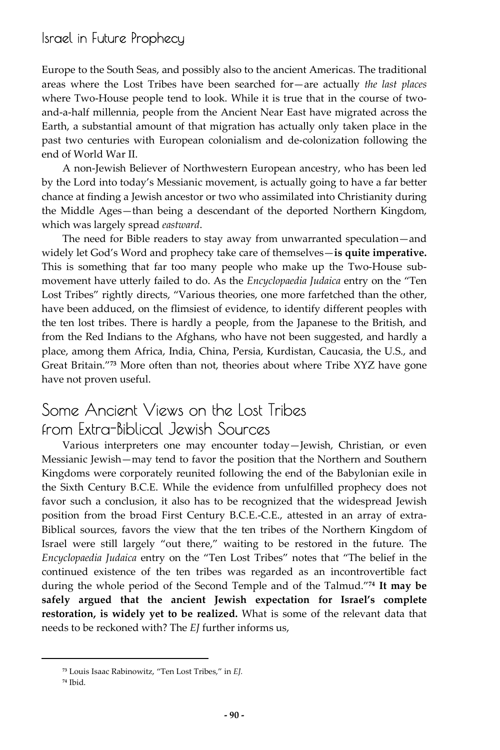Europe to the South Seas, and possibly also to the ancient Americas. The traditional areas where the Lost Tribes have been searched for—are actually *the last places* where Two-House people tend to look. While it is true that in the course of twoand-a-half millennia, people from the Ancient Near East have migrated across the Earth, a substantial amount of that migration has actually only taken place in the past two centuries with European colonialism and de-colonization following the end of World War II.

A non-Jewish Believer of Northwestern European ancestry, who has been led by the Lord into today's Messianic movement, is actually going to have a far better chance at finding a Jewish ancestor or two who assimilated into Christianity during the Middle Ages—than being a descendant of the deported Northern Kingdom, which was largely spread *eastward*.

The need for Bible readers to stay away from unwarranted speculation—and widely let God's Word and prophecy take care of themselves—**is quite imperative.** This is something that far too many people who make up the Two-House submovement have utterly failed to do. As the *Encyclopaedia Judaica* entry on the "Ten Lost Tribes" rightly directs, "Various theories, one more farfetched than the other, have been adduced, on the flimsiest of evidence, to identify different peoples with the ten lost tribes. There is hardly a people, from the Japanese to the British, and from the Red Indians to the Afghans, who have not been suggested, and hardly a place, among them Africa, India, China, Persia, Kurdistan, Caucasia, the U.S., and Great Britain."**73** More often than not, theories about where Tribe XYZ have gone have not proven useful.

## Some Ancient Views on the Lost Tribes from Extra-Biblical Jewish Sources

Various interpreters one may encounter today—Jewish, Christian, or even Messianic Jewish—may tend to favor the position that the Northern and Southern Kingdoms were corporately reunited following the end of the Babylonian exile in the Sixth Century B.C.E. While the evidence from unfulfilled prophecy does not favor such a conclusion, it also has to be recognized that the widespread Jewish position from the broad First Century B.C.E.-C.E., attested in an array of extra-Biblical sources, favors the view that the ten tribes of the Northern Kingdom of Israel were still largely "out there," waiting to be restored in the future. The *Encyclopaedia Judaica* entry on the "Ten Lost Tribes" notes that "The belief in the continued existence of the ten tribes was regarded as an incontrovertible fact during the whole period of the Second Temple and of the Talmud."**<sup>74</sup> It may be safely argued that the ancient Jewish expectation for Israel's complete restoration, is widely yet to be realized.** What is some of the relevant data that needs to be reckoned with? The *EJ* further informs us,

**<sup>73</sup>** Louis Isaac Rabinowitz, "Ten Lost Tribes," in *EJ.*

**<sup>74</sup>** Ibid.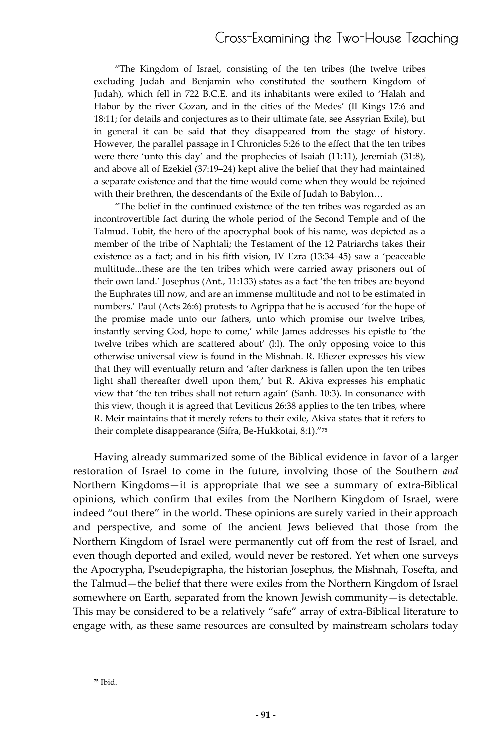"The Kingdom of Israel, consisting of the ten tribes (the twelve tribes excluding Judah and Benjamin who constituted the southern Kingdom of Judah), which fell in 722 B.C.E. and its inhabitants were exiled to 'Halah and Habor by the river Gozan, and in the cities of the Medes' (II Kings 17:6 and 18:11; for details and conjectures as to their ultimate fate, see Assyrian Exile), but in general it can be said that they disappeared from the stage of history. However, the parallel passage in I Chronicles 5:26 to the effect that the ten tribes were there 'unto this day' and the prophecies of Isaiah (11:11), Jeremiah (31:8), and above all of Ezekiel (37:19–24) kept alive the belief that they had maintained a separate existence and that the time would come when they would be rejoined with their brethren, the descendants of the Exile of Judah to Babylon…

"The belief in the continued existence of the ten tribes was regarded as an incontrovertible fact during the whole period of the Second Temple and of the Talmud. Tobit, the hero of the apocryphal book of his name, was depicted as a member of the tribe of Naphtali; the Testament of the 12 Patriarchs takes their existence as a fact; and in his fifth vision, IV Ezra (13:34–45) saw a 'peaceable multitude...these are the ten tribes which were carried away prisoners out of their own land.' Josephus (Ant., 11:133) states as a fact 'the ten tribes are beyond the Euphrates till now, and are an immense multitude and not to be estimated in numbers.' Paul (Acts 26:6) protests to Agrippa that he is accused 'for the hope of the promise made unto our fathers, unto which promise our twelve tribes, instantly serving God, hope to come,' while James addresses his epistle to 'the twelve tribes which are scattered about' (l:l). The only opposing voice to this otherwise universal view is found in the Mishnah. R. Eliezer expresses his view that they will eventually return and 'after darkness is fallen upon the ten tribes light shall thereafter dwell upon them,' but R. Akiva expresses his emphatic view that 'the ten tribes shall not return again' (Sanh. 10:3). In consonance with this view, though it is agreed that Leviticus 26:38 applies to the ten tribes, where R. Meir maintains that it merely refers to their exile, Akiva states that it refers to their complete disappearance (Sifra, Be-Hukkotai, 8:1)."**<sup>75</sup>**

Having already summarized some of the Biblical evidence in favor of a larger restoration of Israel to come in the future, involving those of the Southern *and* Northern Kingdoms—it is appropriate that we see a summary of extra-Biblical opinions, which confirm that exiles from the Northern Kingdom of Israel, were indeed "out there" in the world. These opinions are surely varied in their approach and perspective, and some of the ancient Jews believed that those from the Northern Kingdom of Israel were permanently cut off from the rest of Israel, and even though deported and exiled, would never be restored. Yet when one surveys the Apocrypha, Pseudepigrapha, the historian Josephus, the Mishnah, Tosefta, and the Talmud—the belief that there were exiles from the Northern Kingdom of Israel somewhere on Earth, separated from the known Jewish community—is detectable. This may be considered to be a relatively "safe" array of extra-Biblical literature to engage with, as these same resources are consulted by mainstream scholars today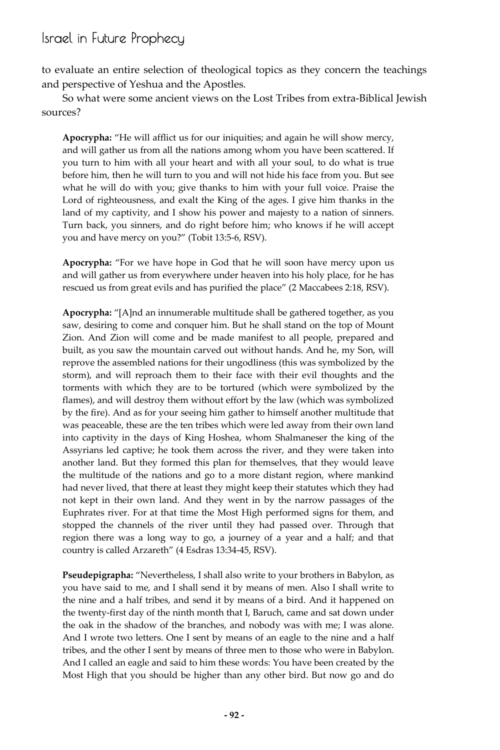to evaluate an entire selection of theological topics as they concern the teachings and perspective of Yeshua and the Apostles.

So what were some ancient views on the Lost Tribes from extra-Biblical Jewish sources?

**Apocrypha:** "He will afflict us for our iniquities; and again he will show mercy, and will gather us from all the nations among whom you have been scattered. If you turn to him with all your heart and with all your soul, to do what is true before him, then he will turn to you and will not hide his face from you. But see what he will do with you; give thanks to him with your full voice. Praise the Lord of righteousness, and exalt the King of the ages. I give him thanks in the land of my captivity, and I show his power and majesty to a nation of sinners. Turn back, you sinners, and do right before him; who knows if he will accept you and have mercy on you?" (Tobit 13:5-6, RSV).

**Apocrypha:** "For we have hope in God that he will soon have mercy upon us and will gather us from everywhere under heaven into his holy place, for he has rescued us from great evils and has purified the place" (2 Maccabees 2:18, RSV).

**Apocrypha:** "[A]nd an innumerable multitude shall be gathered together, as you saw, desiring to come and conquer him. But he shall stand on the top of Mount Zion. And Zion will come and be made manifest to all people, prepared and built, as you saw the mountain carved out without hands. And he, my Son, will reprove the assembled nations for their ungodliness (this was symbolized by the storm), and will reproach them to their face with their evil thoughts and the torments with which they are to be tortured (which were symbolized by the flames), and will destroy them without effort by the law (which was symbolized by the fire). And as for your seeing him gather to himself another multitude that was peaceable, these are the ten tribes which were led away from their own land into captivity in the days of King Hoshea, whom Shalmaneser the king of the Assyrians led captive; he took them across the river, and they were taken into another land. But they formed this plan for themselves, that they would leave the multitude of the nations and go to a more distant region, where mankind had never lived, that there at least they might keep their statutes which they had not kept in their own land. And they went in by the narrow passages of the Euphrates river. For at that time the Most High performed signs for them, and stopped the channels of the river until they had passed over. Through that region there was a long way to go, a journey of a year and a half; and that country is called Arzareth" (4 Esdras 13:34-45, RSV).

**Pseudepigrapha:** "Nevertheless, I shall also write to your brothers in Babylon, as you have said to me, and I shall send it by means of men. Also I shall write to the nine and a half tribes, and send it by means of a bird. And it happened on the twenty-first day of the ninth month that I, Baruch, came and sat down under the oak in the shadow of the branches, and nobody was with me; I was alone. And I wrote two letters. One I sent by means of an eagle to the nine and a half tribes, and the other I sent by means of three men to those who were in Babylon. And I called an eagle and said to him these words: You have been created by the Most High that you should be higher than any other bird. But now go and do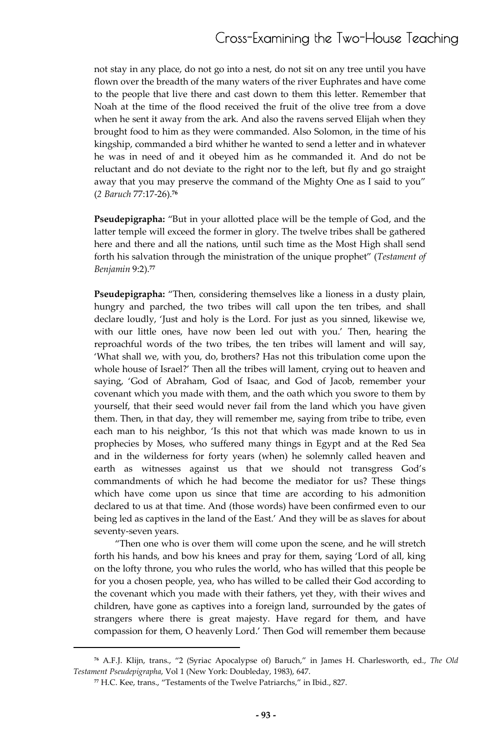not stay in any place, do not go into a nest, do not sit on any tree until you have flown over the breadth of the many waters of the river Euphrates and have come to the people that live there and cast down to them this letter. Remember that Noah at the time of the flood received the fruit of the olive tree from a dove when he sent it away from the ark. And also the ravens served Elijah when they brought food to him as they were commanded. Also Solomon, in the time of his kingship, commanded a bird whither he wanted to send a letter and in whatever he was in need of and it obeyed him as he commanded it. And do not be reluctant and do not deviate to the right nor to the left, but fly and go straight away that you may preserve the command of the Mighty One as I said to you" (*2 Baruch* 77:17-26).**<sup>76</sup>**

**Pseudepigrapha:** "But in your allotted place will be the temple of God, and the latter temple will exceed the former in glory. The twelve tribes shall be gathered here and there and all the nations, until such time as the Most High shall send forth his salvation through the ministration of the unique prophet" (*Testament of Benjamin* 9:2).**<sup>77</sup>**

**Pseudepigrapha:** "Then, considering themselves like a lioness in a dusty plain, hungry and parched, the two tribes will call upon the ten tribes, and shall declare loudly, 'Just and holy is the Lord. For just as you sinned, likewise we, with our little ones, have now been led out with you.' Then, hearing the reproachful words of the two tribes, the ten tribes will lament and will say, 'What shall we, with you, do, brothers? Has not this tribulation come upon the whole house of Israel?' Then all the tribes will lament, crying out to heaven and saying, 'God of Abraham, God of Isaac, and God of Jacob, remember your covenant which you made with them, and the oath which you swore to them by yourself, that their seed would never fail from the land which you have given them. Then, in that day, they will remember me, saying from tribe to tribe, even each man to his neighbor, 'Is this not that which was made known to us in prophecies by Moses, who suffered many things in Egypt and at the Red Sea and in the wilderness for forty years (when) he solemnly called heaven and earth as witnesses against us that we should not transgress God's commandments of which he had become the mediator for us? These things which have come upon us since that time are according to his admonition declared to us at that time. And (those words) have been confirmed even to our being led as captives in the land of the East.' And they will be as slaves for about seventy-seven years.

"Then one who is over them will come upon the scene, and he will stretch forth his hands, and bow his knees and pray for them, saying 'Lord of all, king on the lofty throne, you who rules the world, who has willed that this people be for you a chosen people, yea, who has willed to be called their God according to the covenant which you made with their fathers, yet they, with their wives and children, have gone as captives into a foreign land, surrounded by the gates of strangers where there is great majesty. Have regard for them, and have compassion for them, O heavenly Lord.' Then God will remember them because

**<sup>76</sup>** A.F.J. Klijn, trans., "2 (Syriac Apocalypse of) Baruch," in James H. Charlesworth, ed., *The Old Testament Pseudepigrapha*, Vol 1 (New York: Doubleday, 1983), 647.

**<sup>77</sup>** H.C. Kee, trans., "Testaments of the Twelve Patriarchs," in Ibid., 827.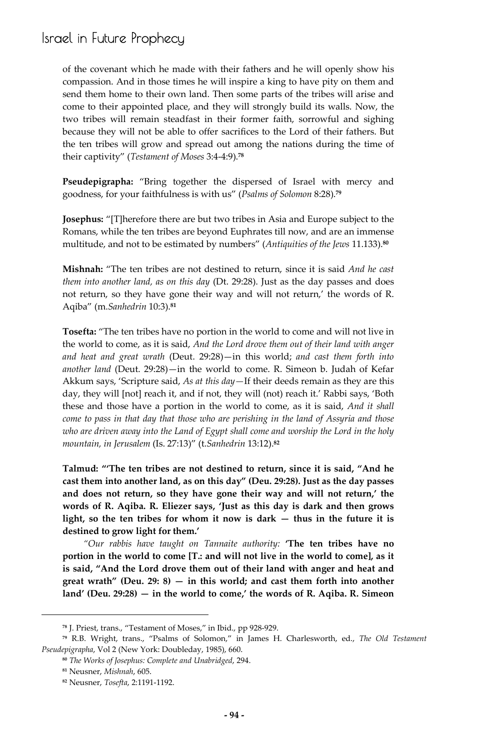of the covenant which he made with their fathers and he will openly show his compassion. And in those times he will inspire a king to have pity on them and send them home to their own land. Then some parts of the tribes will arise and come to their appointed place, and they will strongly build its walls. Now, the two tribes will remain steadfast in their former faith, sorrowful and sighing because they will not be able to offer sacrifices to the Lord of their fathers. But the ten tribes will grow and spread out among the nations during the time of their captivity" (*Testament of Moses* 3:4-4:9).**<sup>78</sup>**

**Pseudepigrapha:** "Bring together the dispersed of Israel with mercy and goodness, for your faithfulness is with us" (*Psalms of Solomon* 8:28).**<sup>79</sup>**

**Josephus:** "[T]herefore there are but two tribes in Asia and Europe subject to the Romans, while the ten tribes are beyond Euphrates till now, and are an immense multitude, and not to be estimated by numbers" (*Antiquities of the Jews* 11.133).**<sup>80</sup>**

**Mishnah:** "The ten tribes are not destined to return, since it is said *And he cast them into another land, as on this day* (Dt. 29:28). Just as the day passes and does not return, so they have gone their way and will not return,' the words of R. Aqiba" (m.*Sanhedrin* 10:3).**<sup>81</sup>**

**Tosefta:** "The ten tribes have no portion in the world to come and will not live in the world to come, as it is said, *And the Lord drove them out of their land with anger and heat and great wrath* (Deut. 29:28)—in this world; *and cast them forth into another land* (Deut. 29:28)—in the world to come. R. Simeon b. Judah of Kefar Akkum says, 'Scripture said, *As at this day—*If their deeds remain as they are this day, they will [not] reach it, and if not, they will (not) reach it.' Rabbi says, 'Both these and those have a portion in the world to come, as it is said, *And it shall come to pass in that day that those who are perishing in the land of Assyria and those who are driven away into the Land of Egypt shall come and worship the Lord in the holy mountain, in Jerusalem* (Is. 27:13)" (t.*Sanhedrin* 13:12).**<sup>82</sup>**

**Talmud: "'The ten tribes are not destined to return, since it is said, "And he cast them into another land, as on this day" (Deu. 29:28). Just as the day passes and does not return, so they have gone their way and will not return,' the words of R. Aqiba. R. Eliezer says, 'Just as this day is dark and then grows light, so the ten tribes for whom it now is dark — thus in the future it is destined to grow light for them.'** 

*"Our rabbis have taught on Tannaite authority:* **'The ten tribes have no portion in the world to come [T.: and will not live in the world to come], as it is said, "And the Lord drove them out of their land with anger and heat and great wrath" (Deu. 29: 8) — in this world; and cast them forth into another land' (Deu. 29:28) — in the world to come,' the words of R. Aqiba. R. Simeon** 

**<sup>78</sup>** J. Priest, trans., "Testament of Moses," in Ibid., pp 928-929.

**<sup>79</sup>** R.B. Wright, trans., "Psalms of Solomon," in James H. Charlesworth, ed., *The Old Testament Pseudepigrapha*, Vol 2 (New York: Doubleday, 1985), 660.

**<sup>80</sup>** *The Works of Josephus: Complete and Unabridged*, 294.

**<sup>81</sup>** Neusner, *Mishnah*, 605.

**<sup>82</sup>** Neusner, *Tosefta*, 2:1191-1192.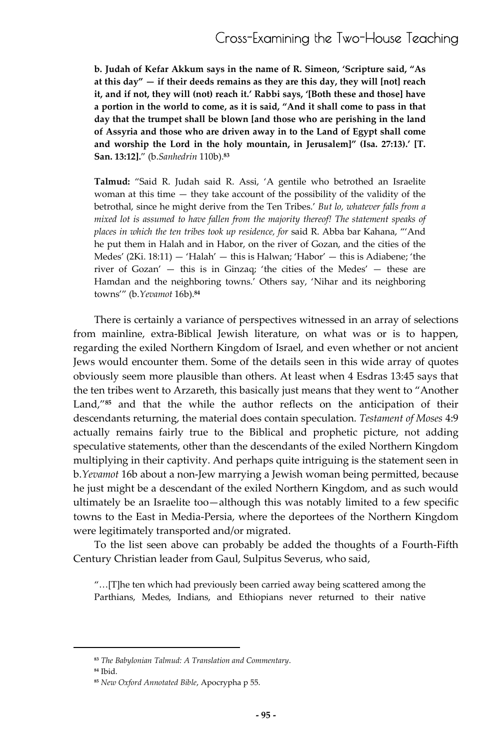**b. Judah of Kefar Akkum says in the name of R. Simeon, 'Scripture said, "As at this day" — if their deeds remains as they are this day, they will [not] reach it, and if not, they will (not) reach it.' Rabbi says, '[Both these and those] have a portion in the world to come, as it is said, "And it shall come to pass in that day that the trumpet shall be blown [and those who are perishing in the land of Assyria and those who are driven away in to the Land of Egypt shall come and worship the Lord in the holy mountain, in Jerusalem]" (Isa. 27:13).' [T. San. 13:12].**" (b.*Sanhedrin* 110b).**<sup>83</sup>**

**Talmud:** "Said R. Judah said R. Assi, 'A gentile who betrothed an Israelite woman at this time — they take account of the possibility of the validity of the betrothal, since he might derive from the Ten Tribes.' *But lo, whatever falls from a mixed lot is assumed to have fallen from the majority thereof! The statement speaks of places in which the ten tribes took up residence, for* said R. Abba bar Kahana, "'And he put them in Halah and in Habor, on the river of Gozan, and the cities of the Medes' (2Ki. 18:11) — 'Halah' — this is Halwan; 'Habor' — this is Adiabene; 'the river of Gozan' — this is in Ginzaq; 'the cities of the Medes' — these are Hamdan and the neighboring towns.' Others say, 'Nihar and its neighboring towns'" (b.*Yevamot* 16b).**<sup>84</sup>**

There is certainly a variance of perspectives witnessed in an array of selections from mainline, extra-Biblical Jewish literature, on what was or is to happen, regarding the exiled Northern Kingdom of Israel, and even whether or not ancient Jews would encounter them. Some of the details seen in this wide array of quotes obviously seem more plausible than others. At least when 4 Esdras 13:45 says that the ten tribes went to Arzareth, this basically just means that they went to "Another Land,"**85** and that the while the author reflects on the anticipation of their descendants returning, the material does contain speculation. *Testament of Moses* 4:9 actually remains fairly true to the Biblical and prophetic picture, not adding speculative statements, other than the descendants of the exiled Northern Kingdom multiplying in their captivity. And perhaps quite intriguing is the statement seen in b.*Yevamot* 16b about a non-Jew marrying a Jewish woman being permitted, because he just might be a descendant of the exiled Northern Kingdom, and as such would ultimately be an Israelite too—although this was notably limited to a few specific towns to the East in Media-Persia, where the deportees of the Northern Kingdom were legitimately transported and/or migrated.

To the list seen above can probably be added the thoughts of a Fourth-Fifth Century Christian leader from Gaul, Sulpitus Severus, who said,

"…[T]he ten which had previously been carried away being scattered among the Parthians, Medes, Indians, and Ethiopians never returned to their native

**<sup>83</sup>** *The Babylonian Talmud: A Translation and Commentary*.

**<sup>84</sup>** Ibid.

**<sup>85</sup>** *New Oxford Annotated Bible*, Apocrypha p 55.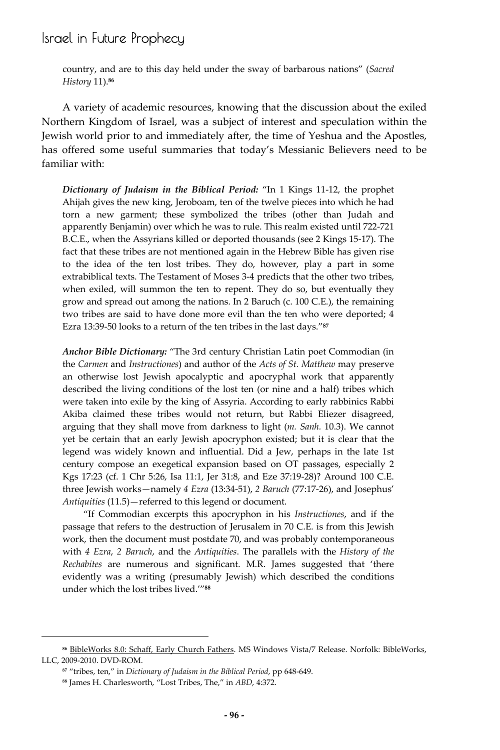country, and are to this day held under the sway of barbarous nations" (*Sacred History* 11).**<sup>86</sup>**

A variety of academic resources, knowing that the discussion about the exiled Northern Kingdom of Israel, was a subject of interest and speculation within the Jewish world prior to and immediately after, the time of Yeshua and the Apostles, has offered some useful summaries that today's Messianic Believers need to be familiar with:

*Dictionary of Judaism in the Biblical Period:* "In 1 Kings 11-12, the prophet Ahijah gives the new king, Jeroboam, ten of the twelve pieces into which he had torn a new garment; these symbolized the tribes (other than Judah and apparently Benjamin) over which he was to rule. This realm existed until 722-721 B.C.E., when the Assyrians killed or deported thousands (see 2 Kings 15-17). The fact that these tribes are not mentioned again in the Hebrew Bible has given rise to the idea of the ten lost tribes. They do, however, play a part in some extrabiblical texts. The Testament of Moses 3-4 predicts that the other two tribes, when exiled, will summon the ten to repent. They do so, but eventually they grow and spread out among the nations. In 2 Baruch (c. 100 C.E.), the remaining two tribes are said to have done more evil than the ten who were deported; 4 Ezra 13:39-50 looks to a return of the ten tribes in the last days."**<sup>87</sup>**

*Anchor Bible Dictionary:* "The 3rd century Christian Latin poet Commodian (in the *Carmen* and *Instructiones*) and author of the *Acts of St. Matthew* may preserve an otherwise lost Jewish apocalyptic and apocryphal work that apparently described the living conditions of the lost ten (or nine and a half) tribes which were taken into exile by the king of Assyria. According to early rabbinics Rabbi Akiba claimed these tribes would not return, but Rabbi Eliezer disagreed, arguing that they shall move from darkness to light (*m. Sanh.* 10.3). We cannot yet be certain that an early Jewish apocryphon existed; but it is clear that the legend was widely known and influential. Did a Jew, perhaps in the late 1st century compose an exegetical expansion based on OT passages, especially 2 Kgs 17:23 (cf. 1 Chr 5:26, Isa 11:1, Jer 31:8, and Eze 37:19-28)? Around 100 C.E. three Jewish works—namely *4 Ezra* (13:34-51), *2 Baruch* (77:17-26), and Josephus' *Antiquities* (11.5)—referred to this legend or document.

"If Commodian excerpts this apocryphon in his *Instructiones*, and if the passage that refers to the destruction of Jerusalem in 70 C.E. is from this Jewish work, then the document must postdate 70, and was probably contemporaneous with *4 Ezra*, *2 Baruch*, and the *Antiquities*. The parallels with the *History of the Rechabites* are numerous and significant. M.R. James suggested that 'there evidently was a writing (presumably Jewish) which described the conditions under which the lost tribes lived.'"**<sup>88</sup>**

**<sup>86</sup>** BibleWorks 8.0: Schaff, Early Church Fathers. MS Windows Vista/7 Release. Norfolk: BibleWorks, LLC, 2009-2010. DVD-ROM.

**<sup>87</sup>** "tribes, ten," in *Dictionary of Judaism in the Biblical Period*, pp 648-649.

**<sup>88</sup>** James H. Charlesworth, "Lost Tribes, The," in *ABD*, 4:372.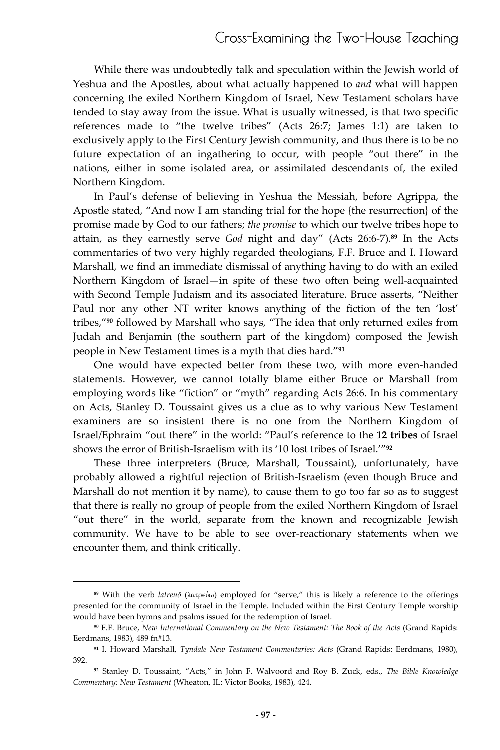While there was undoubtedly talk and speculation within the Jewish world of Yeshua and the Apostles, about what actually happened to *and* what will happen concerning the exiled Northern Kingdom of Israel, New Testament scholars have tended to stay away from the issue. What is usually witnessed, is that two specific references made to "the twelve tribes" (Acts 26:7; James 1:1) are taken to exclusively apply to the First Century Jewish community, and thus there is to be no future expectation of an ingathering to occur, with people "out there" in the nations, either in some isolated area, or assimilated descendants of, the exiled Northern Kingdom.

In Paul's defense of believing in Yeshua the Messiah, before Agrippa, the Apostle stated, "And now I am standing trial for the hope {the resurrection} of the promise made by God to our fathers; *the promise* to which our twelve tribes hope to attain, as they earnestly serve *God* night and day" (Acts 26:6-7).**89** In the Acts commentaries of two very highly regarded theologians, F.F. Bruce and I. Howard Marshall, we find an immediate dismissal of anything having to do with an exiled Northern Kingdom of Israel—in spite of these two often being well-acquainted with Second Temple Judaism and its associated literature. Bruce asserts, "Neither Paul nor any other NT writer knows anything of the fiction of the ten 'lost' tribes,"**90** followed by Marshall who says, "The idea that only returned exiles from Judah and Benjamin (the southern part of the kingdom) composed the Jewish people in New Testament times is a myth that dies hard."**<sup>91</sup>**

One would have expected better from these two, with more even-handed statements. However, we cannot totally blame either Bruce or Marshall from employing words like "fiction" or "myth" regarding Acts 26:6. In his commentary on Acts, Stanley D. Toussaint gives us a clue as to why various New Testament examiners are so insistent there is no one from the Northern Kingdom of Israel/Ephraim "out there" in the world: "Paul's reference to the **12 tribes** of Israel shows the error of British-Israelism with its '10 lost tribes of Israel.'"**<sup>92</sup>**

These three interpreters (Bruce, Marshall, Toussaint), unfortunately, have probably allowed a rightful rejection of British-Israelism (even though Bruce and Marshall do not mention it by name), to cause them to go too far so as to suggest that there is really no group of people from the exiled Northern Kingdom of Israel "out there" in the world, separate from the known and recognizable Jewish community. We have to be able to see over-reactionary statements when we encounter them, and think critically.

<sup>&</sup>lt;sup>89</sup> With the verb *latreuō* (λατρεύω) employed for "serve," this is likely a reference to the offerings presented for the community of Israel in the Temple. Included within the First Century Temple worship would have been hymns and psalms issued for the redemption of Israel.

**<sup>90</sup>** F.F. Bruce, *New International Commentary on the New Testament: The Book of the Acts* (Grand Rapids: Eerdmans, 1983), 489 fn#13.

**<sup>91</sup>** I. Howard Marshall, *Tyndale New Testament Commentaries: Acts* (Grand Rapids: Eerdmans, 1980), 392.

**<sup>92</sup>** Stanley D. Toussaint, "Acts," in John F. Walvoord and Roy B. Zuck, eds., *The Bible Knowledge Commentary: New Testament* (Wheaton, IL: Victor Books, 1983), 424.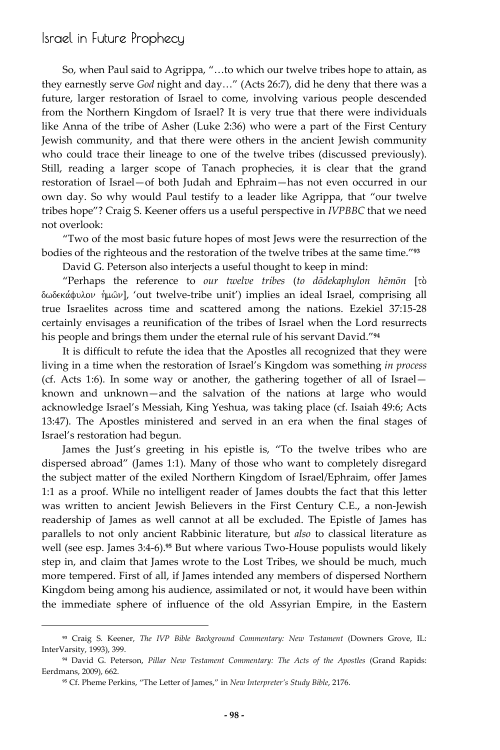So, when Paul said to Agrippa, "…to which our twelve tribes hope to attain, as they earnestly serve *God* night and day…" (Acts 26:7), did he deny that there was a future, larger restoration of Israel to come, involving various people descended from the Northern Kingdom of Israel? It is very true that there were individuals like Anna of the tribe of Asher (Luke 2:36) who were a part of the First Century Jewish community, and that there were others in the ancient Jewish community who could trace their lineage to one of the twelve tribes (discussed previously). Still, reading a larger scope of Tanach prophecies, it is clear that the grand restoration of Israel—of both Judah and Ephraim—has not even occurred in our own day. So why would Paul testify to a leader like Agrippa, that "our twelve tribes hope"? Craig S. Keener offers us a useful perspective in *IVPBBC* that we need not overlook:

"Two of the most basic future hopes of most Jews were the resurrection of the bodies of the righteous and the restoration of the twelve tribes at the same time."**<sup>93</sup>**

David G. Peterson also interjects a useful thought to keep in mind:

"Perhaps the reference to *our twelve tribes* (*to dōdekaphylon hēmōn* [to. δωδεκάφυλον ήμων], 'out twelve-tribe unit') implies an ideal Israel, comprising all true Israelites across time and scattered among the nations. Ezekiel 37:15-28 certainly envisages a reunification of the tribes of Israel when the Lord resurrects his people and brings them under the eternal rule of his servant David."**<sup>94</sup>**

It is difficult to refute the idea that the Apostles all recognized that they were living in a time when the restoration of Israel's Kingdom was something *in process* (cf. Acts 1:6). In some way or another, the gathering together of all of Israel known and unknown—and the salvation of the nations at large who would acknowledge Israel's Messiah, King Yeshua, was taking place (cf. Isaiah 49:6; Acts 13:47). The Apostles ministered and served in an era when the final stages of Israel's restoration had begun.

James the Just's greeting in his epistle is, "To the twelve tribes who are dispersed abroad" (James 1:1). Many of those who want to completely disregard the subject matter of the exiled Northern Kingdom of Israel/Ephraim, offer James 1:1 as a proof. While no intelligent reader of James doubts the fact that this letter was written to ancient Jewish Believers in the First Century C.E., a non-Jewish readership of James as well cannot at all be excluded. The Epistle of James has parallels to not only ancient Rabbinic literature, but *also* to classical literature as well (see esp. James 3:4-6).**95** But where various Two-House populists would likely step in, and claim that James wrote to the Lost Tribes, we should be much, much more tempered. First of all, if James intended any members of dispersed Northern Kingdom being among his audience, assimilated or not, it would have been within the immediate sphere of influence of the old Assyrian Empire, in the Eastern

**<sup>93</sup>** Craig S. Keener, *The IVP Bible Background Commentary: New Testament* (Downers Grove, IL: InterVarsity, 1993), 399.

**<sup>94</sup>** David G. Peterson, *Pillar New Testament Commentary: The Acts of the Apostles* (Grand Rapids: Eerdmans, 2009), 662.

**<sup>95</sup>** Cf. Pheme Perkins, "The Letter of James," in *New Interpreter's Study Bible*, 2176.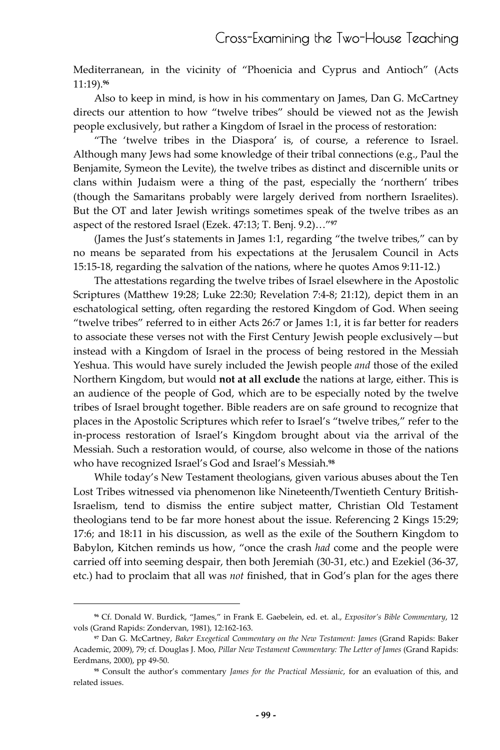Mediterranean, in the vicinity of "Phoenicia and Cyprus and Antioch" (Acts 11:19).**<sup>96</sup>**

Also to keep in mind, is how in his commentary on James, Dan G. McCartney directs our attention to how "twelve tribes" should be viewed not as the Jewish people exclusively, but rather a Kingdom of Israel in the process of restoration:

"The 'twelve tribes in the Diaspora' is, of course, a reference to Israel. Although many Jews had some knowledge of their tribal connections (e.g., Paul the Benjamite, Symeon the Levite), the twelve tribes as distinct and discernible units or clans within Judaism were a thing of the past, especially the 'northern' tribes (though the Samaritans probably were largely derived from northern Israelites). But the OT and later Jewish writings sometimes speak of the twelve tribes as an aspect of the restored Israel (Ezek. 47:13; T. Benj. 9.2)…"**<sup>97</sup>**

(James the Just's statements in James 1:1, regarding "the twelve tribes," can by no means be separated from his expectations at the Jerusalem Council in Acts 15:15-18, regarding the salvation of the nations, where he quotes Amos 9:11-12.)

The attestations regarding the twelve tribes of Israel elsewhere in the Apostolic Scriptures (Matthew 19:28; Luke 22:30; Revelation 7:4-8; 21:12), depict them in an eschatological setting, often regarding the restored Kingdom of God. When seeing "twelve tribes" referred to in either Acts 26:7 or James 1:1, it is far better for readers to associate these verses not with the First Century Jewish people exclusively—but instead with a Kingdom of Israel in the process of being restored in the Messiah Yeshua. This would have surely included the Jewish people *and* those of the exiled Northern Kingdom, but would **not at all exclude** the nations at large, either. This is an audience of the people of God, which are to be especially noted by the twelve tribes of Israel brought together. Bible readers are on safe ground to recognize that places in the Apostolic Scriptures which refer to Israel's "twelve tribes," refer to the in-process restoration of Israel's Kingdom brought about via the arrival of the Messiah. Such a restoration would, of course, also welcome in those of the nations who have recognized Israel's God and Israel's Messiah.**<sup>98</sup>**

While today's New Testament theologians, given various abuses about the Ten Lost Tribes witnessed via phenomenon like Nineteenth/Twentieth Century British-Israelism, tend to dismiss the entire subject matter, Christian Old Testament theologians tend to be far more honest about the issue. Referencing 2 Kings 15:29; 17:6; and 18:11 in his discussion, as well as the exile of the Southern Kingdom to Babylon, Kitchen reminds us how, "once the crash *had* come and the people were carried off into seeming despair, then both Jeremiah (30-31, etc.) and Ezekiel (36-37, etc.) had to proclaim that all was *not* finished, that in God's plan for the ages there

**<sup>96</sup>** Cf. Donald W. Burdick, "James," in Frank E. Gaebelein, ed. et. al., *Expositor's Bible Commentary*, 12 vols (Grand Rapids: Zondervan, 1981), 12:162-163.

**<sup>97</sup>** Dan G. McCartney, *Baker Exegetical Commentary on the New Testament: James* (Grand Rapids: Baker Academic, 2009), 79; cf. Douglas J. Moo, *Pillar New Testament Commentary: The Letter of James* (Grand Rapids: Eerdmans, 2000), pp 49-50.

**<sup>98</sup>** Consult the author's commentary *James for the Practical Messianic*, for an evaluation of this, and related issues.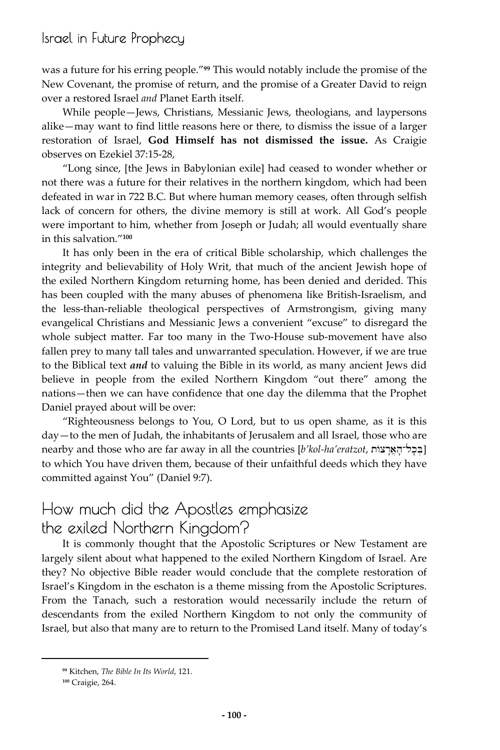was a future for his erring people."**99** This would notably include the promise of the New Covenant, the promise of return, and the promise of a Greater David to reign over a restored Israel *and* Planet Earth itself.

While people—Jews, Christians, Messianic Jews, theologians, and laypersons alike—may want to find little reasons here or there, to dismiss the issue of a larger restoration of Israel, **God Himself has not dismissed the issue.** As Craigie observes on Ezekiel 37:15-28,

"Long since, [the Jews in Babylonian exile] had ceased to wonder whether or not there was a future for their relatives in the northern kingdom, which had been defeated in war in 722 B.C. But where human memory ceases, often through selfish lack of concern for others, the divine memory is still at work. All God's people were important to him, whether from Joseph or Judah; all would eventually share in this salvation."**<sup>100</sup>**

It has only been in the era of critical Bible scholarship, which challenges the integrity and believability of Holy Writ, that much of the ancient Jewish hope of the exiled Northern Kingdom returning home, has been denied and derided. This has been coupled with the many abuses of phenomena like British-Israelism, and the less-than-reliable theological perspectives of Armstrongism, giving many evangelical Christians and Messianic Jews a convenient "excuse" to disregard the whole subject matter. Far too many in the Two-House sub-movement have also fallen prey to many tall tales and unwarranted speculation. However, if we are true to the Biblical text *and* to valuing the Bible in its world, as many ancient Jews did believe in people from the exiled Northern Kingdom "out there" among the nations—then we can have confidence that one day the dilemma that the Prophet Daniel prayed about will be over:

"Righteousness belongs to You, O Lord, but to us open shame, as it is this day—to the men of Judah, the inhabitants of Jerusalem and all Israel, those who are nearby and those who are far away in all the countries [b'kol-ha'eratzot, בְּכַל-הָאֲרָצוֹת [b to which You have driven them, because of their unfaithful deeds which they have committed against You" (Daniel 9:7).

## How much did the Apostles emphasize the exiled Northern Kingdom?

It is commonly thought that the Apostolic Scriptures or New Testament are largely silent about what happened to the exiled Northern Kingdom of Israel. Are they? No objective Bible reader would conclude that the complete restoration of Israel's Kingdom in the eschaton is a theme missing from the Apostolic Scriptures. From the Tanach, such a restoration would necessarily include the return of descendants from the exiled Northern Kingdom to not only the community of Israel, but also that many are to return to the Promised Land itself. Many of today's

**<sup>99</sup>** Kitchen, *The Bible In Its World*, 121.

**<sup>100</sup>** Craigie, 264.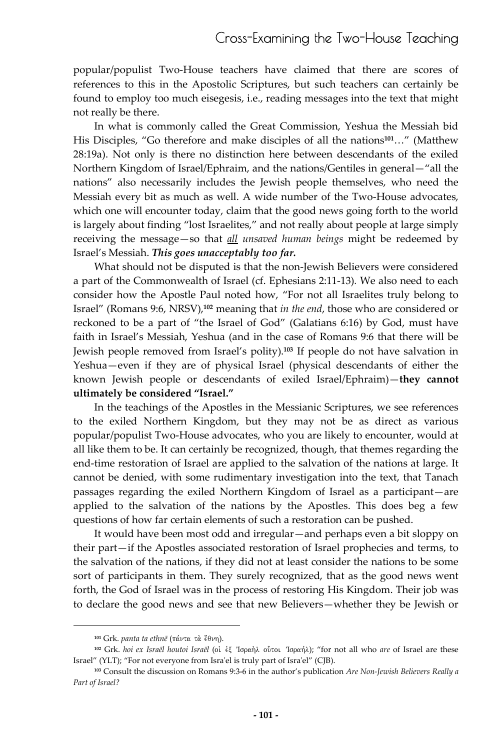popular/populist Two-House teachers have claimed that there are scores of references to this in the Apostolic Scriptures, but such teachers can certainly be found to employ too much eisegesis, i.e., reading messages into the text that might not really be there.

In what is commonly called the Great Commission, Yeshua the Messiah bid His Disciples, "Go therefore and make disciples of all the nations**101**…" (Matthew 28:19a). Not only is there no distinction here between descendants of the exiled Northern Kingdom of Israel/Ephraim, and the nations/Gentiles in general—"all the nations" also necessarily includes the Jewish people themselves, who need the Messiah every bit as much as well. A wide number of the Two-House advocates, which one will encounter today, claim that the good news going forth to the world is largely about finding "lost Israelites," and not really about people at large simply receiving the message—so that *all unsaved human beings* might be redeemed by Israel's Messiah. *This goes unacceptably too far.*

What should not be disputed is that the non-Jewish Believers were considered a part of the Commonwealth of Israel (cf. Ephesians 2:11-13)*.* We also need to each consider how the Apostle Paul noted how, "For not all Israelites truly belong to Israel" (Romans 9:6, NRSV),**102** meaning that *in the end*, those who are considered or reckoned to be a part of "the Israel of God" (Galatians 6:16) by God, must have faith in Israel's Messiah, Yeshua (and in the case of Romans 9:6 that there will be Jewish people removed from Israel's polity).**103** If people do not have salvation in Yeshua—even if they are of physical Israel (physical descendants of either the known Jewish people or descendants of exiled Israel/Ephraim)—**they cannot ultimately be considered "Israel."**

In the teachings of the Apostles in the Messianic Scriptures, we see references to the exiled Northern Kingdom, but they may not be as direct as various popular/populist Two-House advocates, who you are likely to encounter, would at all like them to be. It can certainly be recognized, though, that themes regarding the end-time restoration of Israel are applied to the salvation of the nations at large. It cannot be denied, with some rudimentary investigation into the text, that Tanach passages regarding the exiled Northern Kingdom of Israel as a participant—are applied to the salvation of the nations by the Apostles. This does beg a few questions of how far certain elements of such a restoration can be pushed.

It would have been most odd and irregular—and perhaps even a bit sloppy on their part—if the Apostles associated restoration of Israel prophecies and terms, to the salvation of the nations, if they did not at least consider the nations to be some sort of participants in them. They surely recognized, that as the good news went forth, the God of Israel was in the process of restoring His Kingdom. Their job was to declare the good news and see that new Believers—whether they be Jewish or

<sup>&</sup>lt;sup>101</sup> Grk. *panta ta ethnē* (πάντα τὰ <del>č</del>θνη).

<sup>&</sup>lt;sup>102</sup> Grk. *hoi ex Israēl houtoi Israēl* (oi έξ Ίσραὴλ ούτοι 'Ισραήλ); "for not all who *are* of Israel are these Israel" (YLT); "For not everyone from Isra'el is truly part of Isra'el" (CJB).

**<sup>103</sup>** Consult the discussion on Romans 9:3-6 in the author's publication *Are Non-Jewish Believers Really a Part of Israel?*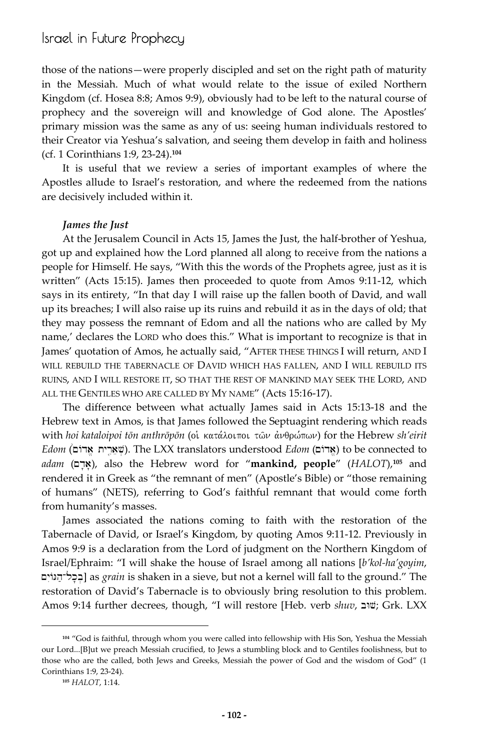those of the nations—were properly discipled and set on the right path of maturity in the Messiah. Much of what would relate to the issue of exiled Northern Kingdom (cf. Hosea 8:8; Amos 9:9), obviously had to be left to the natural course of prophecy and the sovereign will and knowledge of God alone. The Apostles' primary mission was the same as any of us: seeing human individuals restored to their Creator via Yeshua's salvation, and seeing them develop in faith and holiness (cf. 1 Corinthians 1:9, 23-24).**<sup>104</sup>**

It is useful that we review a series of important examples of where the Apostles allude to Israel's restoration, and where the redeemed from the nations are decisively included within it.

#### *James the Just*

At the Jerusalem Council in Acts 15, James the Just, the half-brother of Yeshua, got up and explained how the Lord planned all along to receive from the nations a people for Himself. He says, "With this the words of the Prophets agree, just as it is written" (Acts 15:15). James then proceeded to quote from Amos 9:11-12, which says in its entirety, "In that day I will raise up the fallen booth of David, and wall up its breaches; I will also raise up its ruins and rebuild it as in the days of old; that they may possess the remnant of Edom and all the nations who are called by My name,' declares the LORD who does this." What is important to recognize is that in James' quotation of Amos, he actually said, "AFTER THESE THINGS I will return, AND I WILL REBUILD THE TABERNACLE OF DAVID WHICH HAS FALLEN, AND I WILL REBUILD ITS RUINS, AND I WILL RESTORE IT, SO THAT THE REST OF MANKIND MAY SEEK THE LORD, AND ALL THE GENTILES WHO ARE CALLED BY MY NAME" (Acts 15:16-17).

The difference between what actually James said in Acts 15:13-18 and the Hebrew text in Amos, is that James followed the Septuagint rendering which reads with *hoi kataloipoi tōn anthrōpōn* (οι κατάλοιποι των άνθρώπων) for the Hebrew *sh'eirit Edom* ('~Ada/ tyrIÜaev .). The LXX translators understood *Edom* (~Ada/) to be connected to *adam* (~d'a'), also the Hebrew word for "**mankind, people**" (*HALOT*),**105** and rendered it in Greek as "the remnant of men" (Apostle's Bible) or "those remaining of humans" (NETS), referring to God's faithful remnant that would come forth from humanity's masses.

James associated the nations coming to faith with the restoration of the Tabernacle of David, or Israel's Kingdom, by quoting Amos 9:11-12. Previously in Amos 9:9 is a declaration from the Lord of judgment on the Northern Kingdom of Israel/Ephraim: "I will shake the house of Israel among all nations [*b'kol-ha'goyim*, ~yIAGh;-lk'b.] as *grain* is shaken in a sieve, but not a kernel will fall to the ground." The restoration of David's Tabernacle is to obviously bring resolution to this problem. Amos 9:14 further decrees, though, "I will restore [Heb. verb *shuv*, שוב; Grk. LXX

**<sup>104</sup>** "God is faithful, through whom you were called into fellowship with His Son, Yeshua the Messiah our Lord...[B]ut we preach Messiah crucified, to Jews a stumbling block and to Gentiles foolishness, but to those who are the called, both Jews and Greeks, Messiah the power of God and the wisdom of God" (1 Corinthians 1:9, 23-24).

**<sup>105</sup>** *HALOT*, 1:14.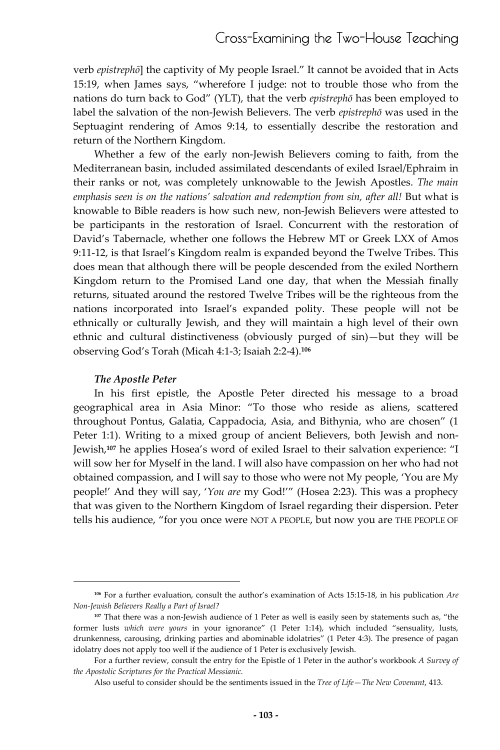verb *epistrephō*] the captivity of My people Israel." It cannot be avoided that in Acts 15:19, when James says, "wherefore I judge: not to trouble those who from the nations do turn back to God" (YLT), that the verb *epistrephō* has been employed to label the salvation of the non-Jewish Believers. The verb *epistrephō* was used in the Septuagint rendering of Amos 9:14, to essentially describe the restoration and return of the Northern Kingdom.

Whether a few of the early non-Jewish Believers coming to faith, from the Mediterranean basin, included assimilated descendants of exiled Israel/Ephraim in their ranks or not, was completely unknowable to the Jewish Apostles. *The main emphasis seen is on the nations' salvation and redemption from sin, after all!* But what is knowable to Bible readers is how such new, non-Jewish Believers were attested to be participants in the restoration of Israel. Concurrent with the restoration of David's Tabernacle, whether one follows the Hebrew MT or Greek LXX of Amos 9:11-12, is that Israel's Kingdom realm is expanded beyond the Twelve Tribes. This does mean that although there will be people descended from the exiled Northern Kingdom return to the Promised Land one day, that when the Messiah finally returns, situated around the restored Twelve Tribes will be the righteous from the nations incorporated into Israel's expanded polity. These people will not be ethnically or culturally Jewish, and they will maintain a high level of their own ethnic and cultural distinctiveness (obviously purged of sin)—but they will be observing God's Torah (Micah 4:1-3; Isaiah 2:2-4).**<sup>106</sup>**

#### *The Apostle Peter*

In his first epistle, the Apostle Peter directed his message to a broad geographical area in Asia Minor: "To those who reside as aliens, scattered throughout Pontus, Galatia, Cappadocia, Asia, and Bithynia, who are chosen" (1 Peter 1:1). Writing to a mixed group of ancient Believers, both Jewish and non-Jewish,**107** he applies Hosea's word of exiled Israel to their salvation experience: "I will sow her for Myself in the land. I will also have compassion on her who had not obtained compassion, and I will say to those who were not My people, 'You are My people!' And they will say, '*You are* my God!'" (Hosea 2:23). This was a prophecy that was given to the Northern Kingdom of Israel regarding their dispersion. Peter tells his audience, "for you once were NOT A PEOPLE, but now you are THE PEOPLE OF

**<sup>106</sup>** For a further evaluation, consult the author's examination of Acts 15:15-18, in his publication *Are Non-Jewish Believers Really a Part of Israel?* 

<sup>&</sup>lt;sup>107</sup> That there was a non-Jewish audience of 1 Peter as well is easily seen by statements such as, "the former lusts *which were yours* in your ignorance" (1 Peter 1:14), which included "sensuality, lusts, drunkenness, carousing, drinking parties and abominable idolatries" (1 Peter 4:3). The presence of pagan idolatry does not apply too well if the audience of 1 Peter is exclusively Jewish.

For a further review, consult the entry for the Epistle of 1 Peter in the author's workbook *A Survey of the Apostolic Scriptures for the Practical Messianic.*

Also useful to consider should be the sentiments issued in the *Tree of Life—The New Covenant*, 413.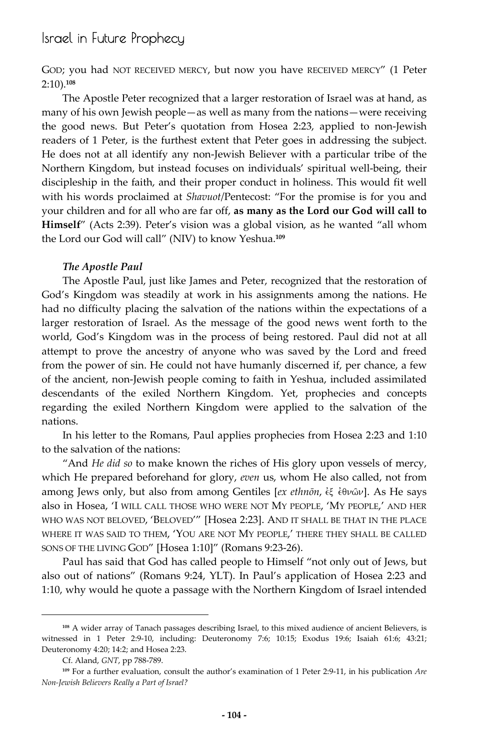GOD; you had NOT RECEIVED MERCY, but now you have RECEIVED MERCY" (1 Peter 2:10).**<sup>108</sup>**

The Apostle Peter recognized that a larger restoration of Israel was at hand, as many of his own Jewish people—as well as many from the nations—were receiving the good news. But Peter's quotation from Hosea 2:23, applied to non-Jewish readers of 1 Peter, is the furthest extent that Peter goes in addressing the subject. He does not at all identify any non-Jewish Believer with a particular tribe of the Northern Kingdom, but instead focuses on individuals' spiritual well-being, their discipleship in the faith, and their proper conduct in holiness. This would fit well with his words proclaimed at *Shavuot*/Pentecost: "For the promise is for you and your children and for all who are far off, **as many as the Lord our God will call to Himself**" (Acts 2:39). Peter's vision was a global vision, as he wanted "all whom the Lord our God will call" (NIV) to know Yeshua.**<sup>109</sup>**

#### *The Apostle Paul*

The Apostle Paul, just like James and Peter, recognized that the restoration of God's Kingdom was steadily at work in his assignments among the nations. He had no difficulty placing the salvation of the nations within the expectations of a larger restoration of Israel. As the message of the good news went forth to the world, God's Kingdom was in the process of being restored. Paul did not at all attempt to prove the ancestry of anyone who was saved by the Lord and freed from the power of sin. He could not have humanly discerned if, per chance, a few of the ancient, non-Jewish people coming to faith in Yeshua, included assimilated descendants of the exiled Northern Kingdom. Yet, prophecies and concepts regarding the exiled Northern Kingdom were applied to the salvation of the nations.

In his letter to the Romans, Paul applies prophecies from Hosea 2:23 and 1:10 to the salvation of the nations:

"And *He did so* to make known the riches of His glory upon vessels of mercy, which He prepared beforehand for glory, *even* us, whom He also called, not from among Jews only, but also from among Gentiles [ex ethnōn,  $\zeta \zeta$  ev $\omega$ v]. As He says also in Hosea, 'I WILL CALL THOSE WHO WERE NOT MY PEOPLE, 'MY PEOPLE,' AND HER WHO WAS NOT BELOVED, 'BELOVED'" [Hosea 2:23]. AND IT SHALL BE THAT IN THE PLACE WHERE IT WAS SAID TO THEM, 'YOU ARE NOT MY PEOPLE,' THERE THEY SHALL BE CALLED SONS OF THE LIVING GOD" [Hosea 1:10]" (Romans 9:23-26).

Paul has said that God has called people to Himself "not only out of Jews, but also out of nations" (Romans 9:24, YLT). In Paul's application of Hosea 2:23 and 1:10, why would he quote a passage with the Northern Kingdom of Israel intended

**<sup>108</sup>** A wider array of Tanach passages describing Israel, to this mixed audience of ancient Believers, is witnessed in 1 Peter 2:9-10, including: Deuteronomy 7:6; 10:15; Exodus 19:6; Isaiah 61:6; 43:21; Deuteronomy 4:20; 14:2; and Hosea 2:23.

Cf. Aland, *GNT*, pp 788-789.

**<sup>109</sup>** For a further evaluation, consult the author's examination of 1 Peter 2:9-11, in his publication *Are Non-Jewish Believers Really a Part of Israel?*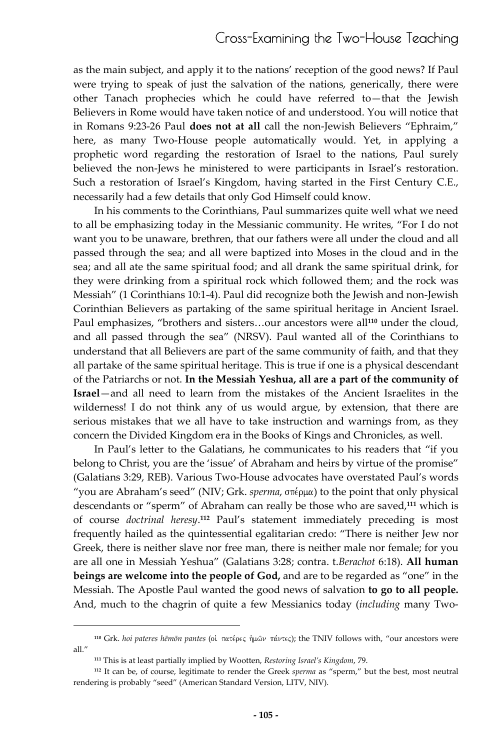as the main subject, and apply it to the nations' reception of the good news? If Paul were trying to speak of just the salvation of the nations, generically, there were other Tanach prophecies which he could have referred to—that the Jewish Believers in Rome would have taken notice of and understood. You will notice that in Romans 9:23-26 Paul **does not at all** call the non-Jewish Believers "Ephraim," here, as many Two-House people automatically would. Yet, in applying a prophetic word regarding the restoration of Israel to the nations, Paul surely believed the non-Jews he ministered to were participants in Israel's restoration. Such a restoration of Israel's Kingdom, having started in the First Century C.E., necessarily had a few details that only God Himself could know.

In his comments to the Corinthians, Paul summarizes quite well what we need to all be emphasizing today in the Messianic community. He writes, "For I do not want you to be unaware, brethren, that our fathers were all under the cloud and all passed through the sea; and all were baptized into Moses in the cloud and in the sea; and all ate the same spiritual food; and all drank the same spiritual drink, for they were drinking from a spiritual rock which followed them; and the rock was Messiah" (1 Corinthians 10:1-4). Paul did recognize both the Jewish and non-Jewish Corinthian Believers as partaking of the same spiritual heritage in Ancient Israel. Paul emphasizes, "brothers and sisters…our ancestors were all**110** under the cloud, and all passed through the sea" (NRSV). Paul wanted all of the Corinthians to understand that all Believers are part of the same community of faith, and that they all partake of the same spiritual heritage. This is true if one is a physical descendant of the Patriarchs or not. **In the Messiah Yeshua, all are a part of the community of Israel**—and all need to learn from the mistakes of the Ancient Israelites in the wilderness! I do not think any of us would argue, by extension, that there are serious mistakes that we all have to take instruction and warnings from, as they concern the Divided Kingdom era in the Books of Kings and Chronicles, as well.

In Paul's letter to the Galatians, he communicates to his readers that "if you belong to Christ, you are the 'issue' of Abraham and heirs by virtue of the promise" (Galatians 3:29, REB). Various Two-House advocates have overstated Paul's words "you are Abraham's seed" (NIV; Grk. *sperma*,  $\sigma \pi \epsilon \rho \mu \alpha$ ) to the point that only physical descendants or "sperm" of Abraham can really be those who are saved,**111** which is of course *doctrinal heresy*. **<sup>112</sup>** Paul's statement immediately preceding is most frequently hailed as the quintessential egalitarian credo: "There is neither Jew nor Greek, there is neither slave nor free man, there is neither male nor female; for you are all one in Messiah Yeshua" (Galatians 3:28; contra. t.*Berachot* 6:18). **All human beings are welcome into the people of God,** and are to be regarded as "one" in the Messiah. The Apostle Paul wanted the good news of salvation **to go to all people.** And, much to the chagrin of quite a few Messianics today (*including* many Two-

<sup>&</sup>lt;sup>110</sup> Grk. *hoi pateres hēmōn pantes* (οί πατέρες ήμων πάντες); the TNIV follows with, "our ancestors were all."

**<sup>111</sup>** This is at least partially implied by Wootten, *Restoring Israel's Kingdom*, 79.

**<sup>112</sup>** It can be, of course, legitimate to render the Greek *sperma* as "sperm," but the best, most neutral rendering is probably "seed" (American Standard Version, LITV, NIV).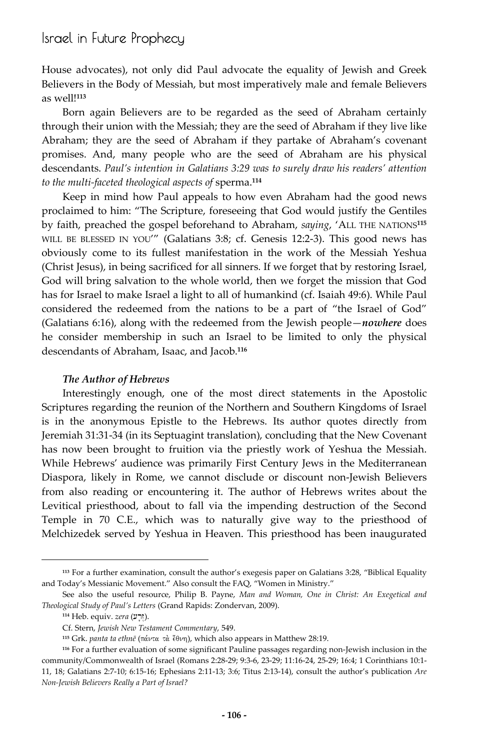House advocates), not only did Paul advocate the equality of Jewish and Greek Believers in the Body of Messiah, but most imperatively male and female Believers as well!**<sup>113</sup>**

Born again Believers are to be regarded as the seed of Abraham certainly through their union with the Messiah; they are the seed of Abraham if they live like Abraham; they are the seed of Abraham if they partake of Abraham's covenant promises. And, many people who are the seed of Abraham are his physical descendants. *Paul's intention in Galatians 3:29 was to surely draw his readers' attention to the multi-faceted theological aspects of* sperma.**<sup>114</sup>**

Keep in mind how Paul appeals to how even Abraham had the good news proclaimed to him: "The Scripture, foreseeing that God would justify the Gentiles by faith, preached the gospel beforehand to Abraham, *saying*, 'ALL THE NATIONS**<sup>115</sup>** WILL BE BLESSED IN YOU'" (Galatians 3:8; cf. Genesis 12:2-3). This good news has obviously come to its fullest manifestation in the work of the Messiah Yeshua (Christ Jesus), in being sacrificed for all sinners. If we forget that by restoring Israel, God will bring salvation to the whole world, then we forget the mission that God has for Israel to make Israel a light to all of humankind (cf. Isaiah 49:6). While Paul considered the redeemed from the nations to be a part of "the Israel of God" (Galatians 6:16), along with the redeemed from the Jewish people—*nowhere* does he consider membership in such an Israel to be limited to only the physical descendants of Abraham, Isaac, and Jacob.**<sup>116</sup>**

#### *The Author of Hebrews*

Interestingly enough, one of the most direct statements in the Apostolic Scriptures regarding the reunion of the Northern and Southern Kingdoms of Israel is in the anonymous Epistle to the Hebrews. Its author quotes directly from Jeremiah 31:31-34 (in its Septuagint translation), concluding that the New Covenant has now been brought to fruition via the priestly work of Yeshua the Messiah. While Hebrews' audience was primarily First Century Jews in the Mediterranean Diaspora, likely in Rome, we cannot disclude or discount non-Jewish Believers from also reading or encountering it. The author of Hebrews writes about the Levitical priesthood, about to fall via the impending destruction of the Second Temple in 70 C.E., which was to naturally give way to the priesthood of Melchizedek served by Yeshua in Heaven. This priesthood has been inaugurated

**<sup>113</sup>** For a further examination, consult the author's exegesis paper on Galatians 3:28, "Biblical Equality and Today's Messianic Movement." Also consult the FAQ, "Women in Ministry."

See also the useful resource, Philip B. Payne, *Man and Woman, One in Christ: An Exegetical and Theological Study of Paul's Letters* (Grand Rapids: Zondervan, 2009).

<sup>&</sup>lt;sup>114</sup> Heb. equiv. *zera* (זרע).

Cf. Stern, *Jewish New Testament Commentary*, 549.

<sup>&</sup>lt;sup>115</sup> Grk. *panta ta ethnē* (πάντα τὰ <del>ἴθ</del>νη), which also appears in Matthew 28:19.

**<sup>116</sup>** For a further evaluation of some significant Pauline passages regarding non-Jewish inclusion in the community/Commonwealth of Israel (Romans 2:28-29; 9:3-6, 23-29; 11:16-24, 25-29; 16:4; 1 Corinthians 10:1- 11, 18; Galatians 2:7-10; 6:15-16; Ephesians 2:11-13; 3:6; Titus 2:13-14), consult the author's publication *Are Non-Jewish Believers Really a Part of Israel?*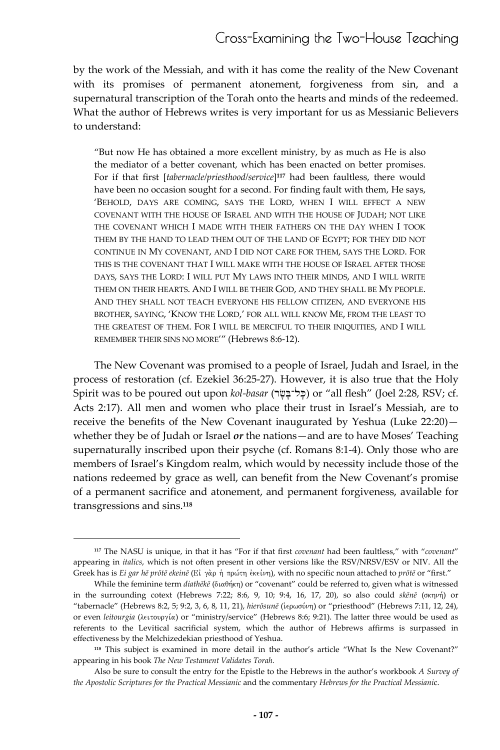by the work of the Messiah, and with it has come the reality of the New Covenant with its promises of permanent atonement, forgiveness from sin, and a supernatural transcription of the Torah onto the hearts and minds of the redeemed. What the author of Hebrews writes is very important for us as Messianic Believers to understand:

"But now He has obtained a more excellent ministry, by as much as He is also the mediator of a better covenant, which has been enacted on better promises. For if that first [*tabernacle/priesthood/service*] **<sup>117</sup>** had been faultless, there would have been no occasion sought for a second. For finding fault with them, He says, 'BEHOLD, DAYS ARE COMING, SAYS THE LORD, WHEN I WILL EFFECT A NEW COVENANT WITH THE HOUSE OF ISRAEL AND WITH THE HOUSE OF JUDAH; NOT LIKE THE COVENANT WHICH I MADE WITH THEIR FATHERS ON THE DAY WHEN I TOOK THEM BY THE HAND TO LEAD THEM OUT OF THE LAND OF EGYPT; FOR THEY DID NOT CONTINUE IN MY COVENANT, AND I DID NOT CARE FOR THEM, SAYS THE LORD. FOR THIS IS THE COVENANT THAT I WILL MAKE WITH THE HOUSE OF ISRAEL AFTER THOSE DAYS, SAYS THE LORD: I WILL PUT MY LAWS INTO THEIR MINDS, AND I WILL WRITE THEM ON THEIR HEARTS. AND I WILL BE THEIR GOD, AND THEY SHALL BE MY PEOPLE. AND THEY SHALL NOT TEACH EVERYONE HIS FELLOW CITIZEN, AND EVERYONE HIS BROTHER, SAYING, 'KNOW THE LORD,' FOR ALL WILL KNOW ME, FROM THE LEAST TO THE GREATEST OF THEM. FOR I WILL BE MERCIFUL TO THEIR INIQUITIES, AND I WILL REMEMBER THEIR SINS NO MORE'" (Hebrews 8:6-12).

The New Covenant was promised to a people of Israel, Judah and Israel, in the process of restoration (cf. Ezekiel 36:25-27). However, it is also true that the Holy Spirit was to be poured out upon *kol-basar* (כָּל<sup>-</sup>בַּשֶׂר) or "all flesh" (Joel 2:28, RSV; cf. Acts 2:17). All men and women who place their trust in Israel's Messiah, are to receive the benefits of the New Covenant inaugurated by Yeshua (Luke 22:20) whether they be of Judah or Israel *or* the nations—and are to have Moses' Teaching supernaturally inscribed upon their psyche (cf. Romans 8:1-4). Only those who are members of Israel's Kingdom realm, which would by necessity include those of the nations redeemed by grace as well, can benefit from the New Covenant's promise of a permanent sacrifice and atonement, and permanent forgiveness, available for transgressions and sins.**<sup>118</sup>**

**<sup>117</sup>** The NASU is unique, in that it has "For if that first *covenant* had been faultless," with "*covenant*" appearing in *italics*, which is not often present in other versions like the RSV/NRSV/ESV or NIV. All the Greek has is *Ei gar hē prōtē ekeinē* (Εἰ γὰρ ή πρώτη ἐκείνη), with no specific noun attached to *prōtē* or "first."

While the feminine term *diathēkē* (διαθήκη) or "covenant" could be referred to, given what is witnessed in the surrounding cotext (Hebrews 7:22; 8:6, 9, 10; 9:4, 16, 17, 20), so also could *skēnē* (σκηνή) or "tabernacle" (Hebrews 8:2, 5; 9:2, 3, 6, 8, 11, 21), *hierōsunē* (ἱερωσύνη) or "priesthood" (Hebrews 7:11, 12, 24), or even *leitourgia* ( $\lambda \in \text{conv}(a)$  or "ministry/service" (Hebrews 8:6; 9:21). The latter three would be used as referents to the Levitical sacrificial system, which the author of Hebrews affirms is surpassed in effectiveness by the Melchizedekian priesthood of Yeshua.

**<sup>118</sup>** This subject is examined in more detail in the author's article "What Is the New Covenant?" appearing in his book *The New Testament Validates Torah.* 

Also be sure to consult the entry for the Epistle to the Hebrews in the author's workbook *A Survey of the Apostolic Scriptures for the Practical Messianic* and the commentary *Hebrews for the Practical Messiani*c.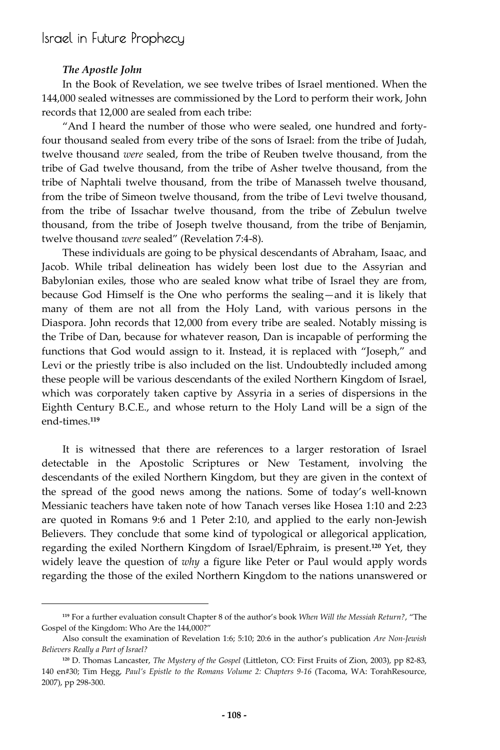#### *The Apostle John*

In the Book of Revelation, we see twelve tribes of Israel mentioned. When the 144,000 sealed witnesses are commissioned by the Lord to perform their work, John records that 12,000 are sealed from each tribe:

"And I heard the number of those who were sealed, one hundred and fortyfour thousand sealed from every tribe of the sons of Israel: from the tribe of Judah, twelve thousand *were* sealed, from the tribe of Reuben twelve thousand, from the tribe of Gad twelve thousand, from the tribe of Asher twelve thousand, from the tribe of Naphtali twelve thousand, from the tribe of Manasseh twelve thousand, from the tribe of Simeon twelve thousand, from the tribe of Levi twelve thousand, from the tribe of Issachar twelve thousand, from the tribe of Zebulun twelve thousand, from the tribe of Joseph twelve thousand, from the tribe of Benjamin, twelve thousand *were* sealed" (Revelation 7:4-8).

These individuals are going to be physical descendants of Abraham, Isaac, and Jacob. While tribal delineation has widely been lost due to the Assyrian and Babylonian exiles, those who are sealed know what tribe of Israel they are from, because God Himself is the One who performs the sealing—and it is likely that many of them are not all from the Holy Land, with various persons in the Diaspora. John records that 12,000 from every tribe are sealed. Notably missing is the Tribe of Dan, because for whatever reason, Dan is incapable of performing the functions that God would assign to it. Instead, it is replaced with "Joseph," and Levi or the priestly tribe is also included on the list. Undoubtedly included among these people will be various descendants of the exiled Northern Kingdom of Israel, which was corporately taken captive by Assyria in a series of dispersions in the Eighth Century B.C.E., and whose return to the Holy Land will be a sign of the end-times.**<sup>119</sup>**

It is witnessed that there are references to a larger restoration of Israel detectable in the Apostolic Scriptures or New Testament, involving the descendants of the exiled Northern Kingdom, but they are given in the context of the spread of the good news among the nations. Some of today's well-known Messianic teachers have taken note of how Tanach verses like Hosea 1:10 and 2:23 are quoted in Romans 9:6 and 1 Peter 2:10, and applied to the early non-Jewish Believers. They conclude that some kind of typological or allegorical application, regarding the exiled Northern Kingdom of Israel/Ephraim, is present.**120** Yet, they widely leave the question of *why* a figure like Peter or Paul would apply words regarding the those of the exiled Northern Kingdom to the nations unanswered or

**<sup>119</sup>** For a further evaluation consult Chapter 8 of the author's book *When Will the Messiah Return?*, "The Gospel of the Kingdom: Who Are the 144,000?"

Also consult the examination of Revelation 1:6; 5:10; 20:6 in the author's publication *Are Non-Jewish Believers Really a Part of Israel?* 

**<sup>120</sup>** D. Thomas Lancaster, *The Mystery of the Gospel* (Littleton, CO: First Fruits of Zion, 2003), pp 82-83, 140 en#30; Tim Hegg, *Paul's Epistle to the Romans Volume 2: Chapters 9-16* (Tacoma, WA: TorahResource, 2007), pp 298-300.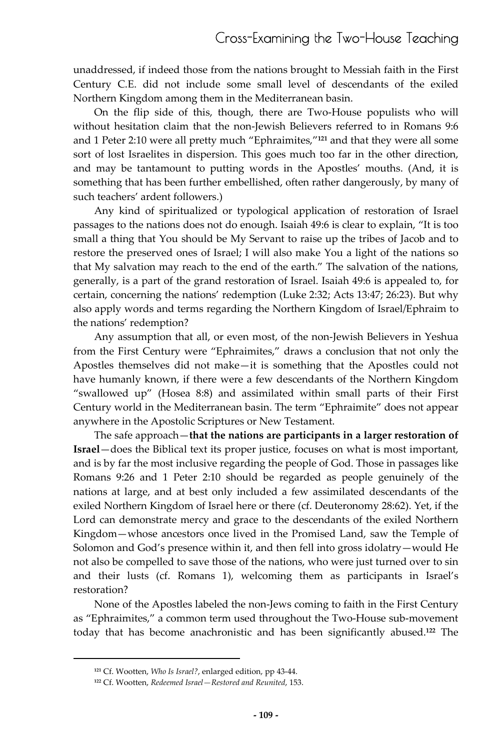unaddressed, if indeed those from the nations brought to Messiah faith in the First Century C.E. did not include some small level of descendants of the exiled Northern Kingdom among them in the Mediterranean basin.

On the flip side of this, though, there are Two-House populists who will without hesitation claim that the non-Jewish Believers referred to in Romans 9:6 and 1 Peter 2:10 were all pretty much "Ephraimites," **<sup>121</sup>** and that they were all some sort of lost Israelites in dispersion. This goes much too far in the other direction, and may be tantamount to putting words in the Apostles' mouths. (And, it is something that has been further embellished, often rather dangerously, by many of such teachers' ardent followers.)

Any kind of spiritualized or typological application of restoration of Israel passages to the nations does not do enough. Isaiah 49:6 is clear to explain, "It is too small a thing that You should be My Servant to raise up the tribes of Jacob and to restore the preserved ones of Israel; I will also make You a light of the nations so that My salvation may reach to the end of the earth." The salvation of the nations, generally, is a part of the grand restoration of Israel. Isaiah 49:6 is appealed to, for certain, concerning the nations' redemption (Luke 2:32; Acts 13:47; 26:23). But why also apply words and terms regarding the Northern Kingdom of Israel/Ephraim to the nations' redemption?

Any assumption that all, or even most, of the non-Jewish Believers in Yeshua from the First Century were "Ephraimites," draws a conclusion that not only the Apostles themselves did not make—it is something that the Apostles could not have humanly known, if there were a few descendants of the Northern Kingdom "swallowed up" (Hosea 8:8) and assimilated within small parts of their First Century world in the Mediterranean basin. The term "Ephraimite" does not appear anywhere in the Apostolic Scriptures or New Testament.

The safe approach—**that the nations are participants in a larger restoration of Israel**—does the Biblical text its proper justice, focuses on what is most important, and is by far the most inclusive regarding the people of God. Those in passages like Romans 9:26 and 1 Peter 2:10 should be regarded as people genuinely of the nations at large, and at best only included a few assimilated descendants of the exiled Northern Kingdom of Israel here or there (cf. Deuteronomy 28:62). Yet, if the Lord can demonstrate mercy and grace to the descendants of the exiled Northern Kingdom—whose ancestors once lived in the Promised Land, saw the Temple of Solomon and God's presence within it, and then fell into gross idolatry—would He not also be compelled to save those of the nations, who were just turned over to sin and their lusts (cf. Romans 1), welcoming them as participants in Israel's restoration?

None of the Apostles labeled the non-Jews coming to faith in the First Century as "Ephraimites," a common term used throughout the Two-House sub-movement today that has become anachronistic and has been significantly abused.**122** The

**<sup>121</sup>** Cf. Wootten, *Who Is Israel?*, enlarged edition, pp 43-44.

**<sup>122</sup>** Cf. Wootten, *Redeemed Israel—Restored and Reunited*, 153.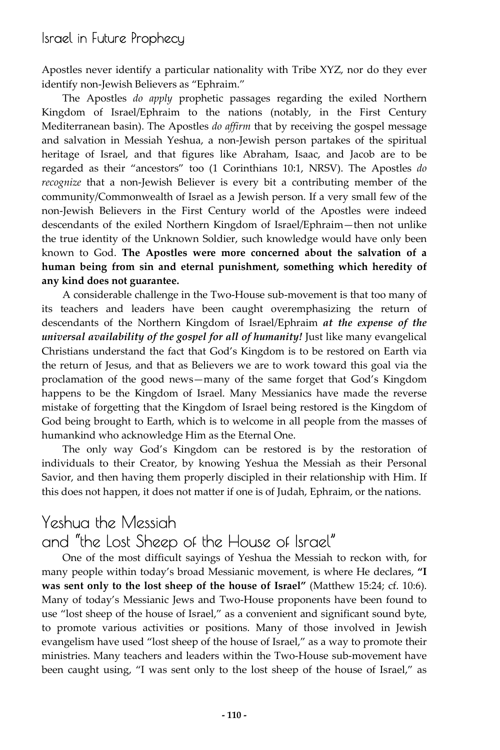Apostles never identify a particular nationality with Tribe XYZ, nor do they ever identify non-Jewish Believers as "Ephraim."

The Apostles *do apply* prophetic passages regarding the exiled Northern Kingdom of Israel/Ephraim to the nations (notably, in the First Century Mediterranean basin). The Apostles *do affirm* that by receiving the gospel message and salvation in Messiah Yeshua, a non-Jewish person partakes of the spiritual heritage of Israel, and that figures like Abraham, Isaac, and Jacob are to be regarded as their "ancestors" too (1 Corinthians 10:1, NRSV). The Apostles *do recognize* that a non-Jewish Believer is every bit a contributing member of the community/Commonwealth of Israel as a Jewish person. If a very small few of the non-Jewish Believers in the First Century world of the Apostles were indeed descendants of the exiled Northern Kingdom of Israel/Ephraim—then not unlike the true identity of the Unknown Soldier, such knowledge would have only been known to God. **The Apostles were more concerned about the salvation of a human being from sin and eternal punishment, something which heredity of any kind does not guarantee.** 

A considerable challenge in the Two-House sub-movement is that too many of its teachers and leaders have been caught overemphasizing the return of descendants of the Northern Kingdom of Israel/Ephraim *at the expense of the universal availability of the gospel for all of humanity!* Just like many evangelical Christians understand the fact that God's Kingdom is to be restored on Earth via the return of Jesus, and that as Believers we are to work toward this goal via the proclamation of the good news—many of the same forget that God's Kingdom happens to be the Kingdom of Israel. Many Messianics have made the reverse mistake of forgetting that the Kingdom of Israel being restored is the Kingdom of God being brought to Earth, which is to welcome in all people from the masses of humankind who acknowledge Him as the Eternal One.

The only way God's Kingdom can be restored is by the restoration of individuals to their Creator, by knowing Yeshua the Messiah as their Personal Savior, and then having them properly discipled in their relationship with Him. If this does not happen, it does not matter if one is of Judah, Ephraim, or the nations.

## Yeshua the Messiah and "the Lost Sheep of the House of Israel"

One of the most difficult sayings of Yeshua the Messiah to reckon with, for many people within today's broad Messianic movement, is where He declares, **"I was sent only to the lost sheep of the house of Israel"** (Matthew 15:24; cf. 10:6). Many of today's Messianic Jews and Two-House proponents have been found to use "lost sheep of the house of Israel," as a convenient and significant sound byte, to promote various activities or positions. Many of those involved in Jewish evangelism have used "lost sheep of the house of Israel," as a way to promote their ministries. Many teachers and leaders within the Two-House sub-movement have been caught using, "I was sent only to the lost sheep of the house of Israel," as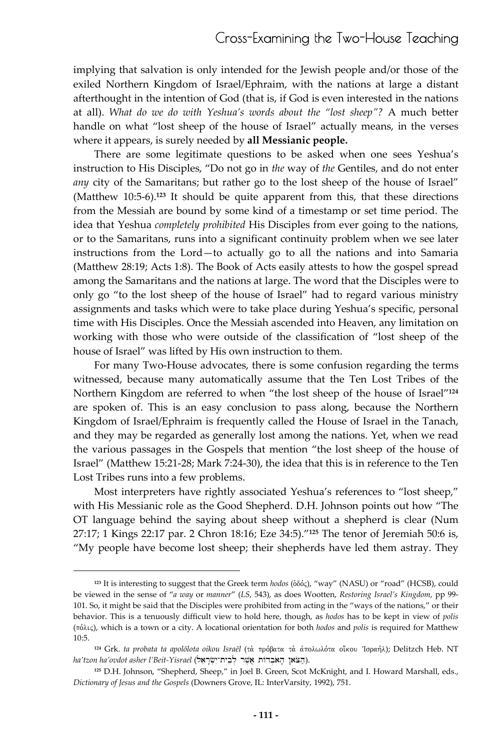implying that salvation is only intended for the Jewish people and/or those of the exiled Northern Kingdom of Israel/Ephraim, with the nations at large a distant afterthought in the intention of God (that is, if God is even interested in the nations at all). *What do we do with Yeshua's words about the "lost sheep"?* A much better handle on what "lost sheep of the house of Israel" actually means, in the verses where it appears, is surely needed by **all Messianic people.**

There are some legitimate questions to be asked when one sees Yeshua's instruction to His Disciples, "Do not go in *the* way of *the* Gentiles, and do not enter *any* city of the Samaritans; but rather go to the lost sheep of the house of Israel" (Matthew 10:5-6).**123** It should be quite apparent from this, that these directions from the Messiah are bound by some kind of a timestamp or set time period. The idea that Yeshua *completely prohibited* His Disciples from ever going to the nations, or to the Samaritans, runs into a significant continuity problem when we see later instructions from the Lord—to actually go to all the nations and into Samaria (Matthew 28:19; Acts 1:8). The Book of Acts easily attests to how the gospel spread among the Samaritans and the nations at large. The word that the Disciples were to only go "to the lost sheep of the house of Israel" had to regard various ministry assignments and tasks which were to take place during Yeshua's specific, personal time with His Disciples. Once the Messiah ascended into Heaven, any limitation on working with those who were outside of the classification of "lost sheep of the house of Israel" was lifted by His own instruction to them.

For many Two-House advocates, there is some confusion regarding the terms witnessed, because many automatically assume that the Ten Lost Tribes of the Northern Kingdom are referred to when "the lost sheep of the house of Israel"**<sup>124</sup>** are spoken of. This is an easy conclusion to pass along, because the Northern Kingdom of Israel/Ephraim is frequently called the House of Israel in the Tanach, and they may be regarded as generally lost among the nations. Yet, when we read the various passages in the Gospels that mention "the lost sheep of the house of Israel" (Matthew 15:21-28; Mark 7:24-30), the idea that this is in reference to the Ten Lost Tribes runs into a few problems.

Most interpreters have rightly associated Yeshua's references to "lost sheep," with His Messianic role as the Good Shepherd. D.H. Johnson points out how "The OT language behind the saying about sheep without a shepherd is clear (Num 27:17; 1 Kings 22:17 par. 2 Chron 18:16; Eze 34:5)." **<sup>125</sup>** The tenor of Jeremiah 50:6 is, "My people have become lost sheep; their shepherds have led them astray. They

<sup>&</sup>lt;sup>123</sup> It is interesting to suggest that the Greek term *hodos* (ὁδός), "way" (NASU) or "road" (HCSB), could be viewed in the sense of "*a way* or *manner*" (*LS*, 543), as does Wootten, *Restoring Israel's Kingdom*, pp 99- 101. So, it might be said that the Disciples were prohibited from acting in the "ways of the nations," or their behavior. This is a tenuously difficult view to hold here, though, as *hodos* has to be kept in view of *polis* (po,lij), which is a town or a city. A locational orientation for both *hodos* and *polis* is required for Matthew 10:5.

<sup>124</sup> Grk. ta probata ta apolōlota oikou Israēl (τα πρόβατα τα απολωλότα οἴκου Ίσραήλ); Delitzch Heb. NT h*a'tzon ha'ovdot asher l'Beit-Yisrael (בְּצֹאן הָאבְרוֹת אֲשֶׁר לְבֵית־יִשְׂרָאֵל*).

**<sup>125</sup>** D.H. Johnson, "Shepherd, Sheep," in Joel B. Green, Scot McKnight, and I. Howard Marshall, eds., *Dictionary of Jesus and the Gospels* (Downers Grove, IL: InterVarsity, 1992), 751.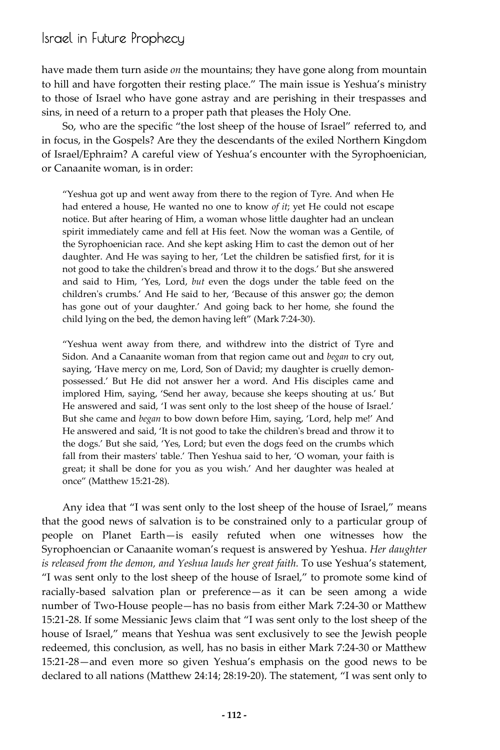have made them turn aside *on* the mountains; they have gone along from mountain to hill and have forgotten their resting place." The main issue is Yeshua's ministry to those of Israel who have gone astray and are perishing in their trespasses and sins, in need of a return to a proper path that pleases the Holy One.

So, who are the specific "the lost sheep of the house of Israel" referred to, and in focus, in the Gospels? Are they the descendants of the exiled Northern Kingdom of Israel/Ephraim? A careful view of Yeshua's encounter with the Syrophoenician, or Canaanite woman, is in order:

"Yeshua got up and went away from there to the region of Tyre. And when He had entered a house, He wanted no one to know *of it*; yet He could not escape notice. But after hearing of Him, a woman whose little daughter had an unclean spirit immediately came and fell at His feet. Now the woman was a Gentile, of the Syrophoenician race. And she kept asking Him to cast the demon out of her daughter. And He was saying to her, 'Let the children be satisfied first, for it is not good to take the children's bread and throw it to the dogs.' But she answered and said to Him, 'Yes, Lord, *but* even the dogs under the table feed on the children's crumbs.' And He said to her, 'Because of this answer go; the demon has gone out of your daughter.' And going back to her home, she found the child lying on the bed, the demon having left" (Mark 7:24-30).

"Yeshua went away from there, and withdrew into the district of Tyre and Sidon. And a Canaanite woman from that region came out and *began* to cry out, saying, 'Have mercy on me, Lord, Son of David; my daughter is cruelly demonpossessed.' But He did not answer her a word. And His disciples came and implored Him, saying, 'Send her away, because she keeps shouting at us.' But He answered and said, 'I was sent only to the lost sheep of the house of Israel.' But she came and *began* to bow down before Him, saying, 'Lord, help me!' And He answered and said, 'It is not good to take the children's bread and throw it to the dogs.' But she said, 'Yes, Lord; but even the dogs feed on the crumbs which fall from their masters' table.' Then Yeshua said to her, 'O woman, your faith is great; it shall be done for you as you wish.' And her daughter was healed at once" (Matthew 15:21-28).

Any idea that "I was sent only to the lost sheep of the house of Israel," means that the good news of salvation is to be constrained only to a particular group of people on Planet Earth—is easily refuted when one witnesses how the Syrophoencian or Canaanite woman's request is answered by Yeshua. *Her daughter is released from the demon, and Yeshua lauds her great faith.* To use Yeshua's statement, "I was sent only to the lost sheep of the house of Israel," to promote some kind of racially-based salvation plan or preference—as it can be seen among a wide number of Two-House people—has no basis from either Mark 7:24-30 or Matthew 15:21-28. If some Messianic Jews claim that "I was sent only to the lost sheep of the house of Israel," means that Yeshua was sent exclusively to see the Jewish people redeemed, this conclusion, as well, has no basis in either Mark 7:24-30 or Matthew 15:21-28—and even more so given Yeshua's emphasis on the good news to be declared to all nations (Matthew 24:14; 28:19-20). The statement, "I was sent only to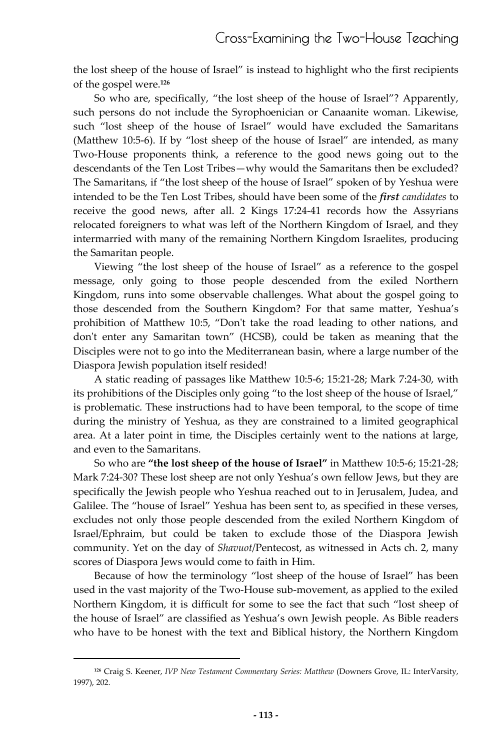the lost sheep of the house of Israel" is instead to highlight who the first recipients of the gospel were.**<sup>126</sup>**

So who are, specifically, "the lost sheep of the house of Israel"? Apparently, such persons do not include the Syrophoenician or Canaanite woman. Likewise, such "lost sheep of the house of Israel" would have excluded the Samaritans (Matthew 10:5-6). If by "lost sheep of the house of Israel" are intended, as many Two-House proponents think, a reference to the good news going out to the descendants of the Ten Lost Tribes—why would the Samaritans then be excluded? The Samaritans, if "the lost sheep of the house of Israel" spoken of by Yeshua were intended to be the Ten Lost Tribes, should have been some of the *first candidates* to receive the good news, after all. 2 Kings 17:24-41 records how the Assyrians relocated foreigners to what was left of the Northern Kingdom of Israel, and they intermarried with many of the remaining Northern Kingdom Israelites, producing the Samaritan people.

Viewing "the lost sheep of the house of Israel" as a reference to the gospel message, only going to those people descended from the exiled Northern Kingdom, runs into some observable challenges. What about the gospel going to those descended from the Southern Kingdom? For that same matter, Yeshua's prohibition of Matthew 10:5, "Don't take the road leading to other nations, and don't enter any Samaritan town" (HCSB), could be taken as meaning that the Disciples were not to go into the Mediterranean basin, where a large number of the Diaspora Jewish population itself resided!

A static reading of passages like Matthew 10:5-6; 15:21-28; Mark 7:24-30, with its prohibitions of the Disciples only going "to the lost sheep of the house of Israel," is problematic. These instructions had to have been temporal, to the scope of time during the ministry of Yeshua, as they are constrained to a limited geographical area. At a later point in time, the Disciples certainly went to the nations at large, and even to the Samaritans.

So who are **"the lost sheep of the house of Israel"** in Matthew 10:5-6; 15:21-28; Mark 7:24-30? These lost sheep are not only Yeshua's own fellow Jews, but they are specifically the Jewish people who Yeshua reached out to in Jerusalem, Judea, and Galilee. The "house of Israel" Yeshua has been sent to, as specified in these verses, excludes not only those people descended from the exiled Northern Kingdom of Israel/Ephraim, but could be taken to exclude those of the Diaspora Jewish community. Yet on the day of *Shavuot*/Pentecost, as witnessed in Acts ch. 2, many scores of Diaspora Jews would come to faith in Him.

Because of how the terminology "lost sheep of the house of Israel" has been used in the vast majority of the Two-House sub-movement, as applied to the exiled Northern Kingdom, it is difficult for some to see the fact that such "lost sheep of the house of Israel" are classified as Yeshua's own Jewish people. As Bible readers who have to be honest with the text and Biblical history, the Northern Kingdom

**<sup>126</sup>** Craig S. Keener, *IVP New Testament Commentary Series: Matthew* (Downers Grove, IL: InterVarsity, 1997), 202.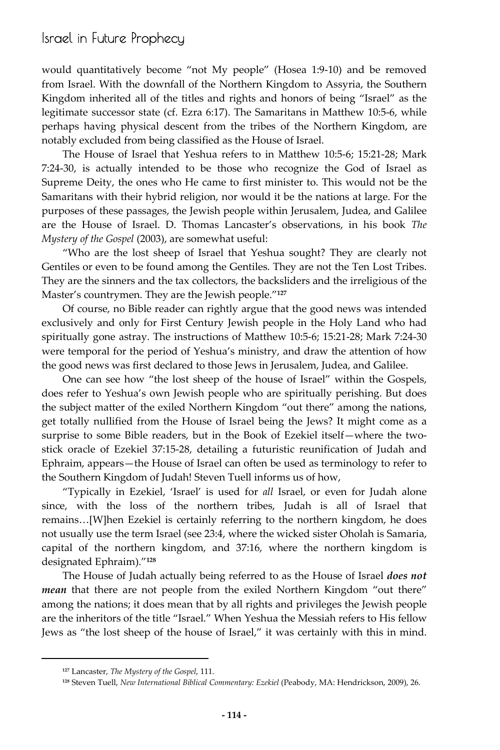would quantitatively become "not My people" (Hosea 1:9-10) and be removed from Israel. With the downfall of the Northern Kingdom to Assyria, the Southern Kingdom inherited all of the titles and rights and honors of being "Israel" as the legitimate successor state (cf. Ezra 6:17). The Samaritans in Matthew 10:5-6, while perhaps having physical descent from the tribes of the Northern Kingdom, are notably excluded from being classified as the House of Israel.

The House of Israel that Yeshua refers to in Matthew 10:5-6; 15:21-28; Mark 7:24-30, is actually intended to be those who recognize the God of Israel as Supreme Deity, the ones who He came to first minister to. This would not be the Samaritans with their hybrid religion, nor would it be the nations at large. For the purposes of these passages, the Jewish people within Jerusalem, Judea, and Galilee are the House of Israel. D. Thomas Lancaster's observations, in his book *The Mystery of the Gospel* (2003), are somewhat useful:

"Who are the lost sheep of Israel that Yeshua sought? They are clearly not Gentiles or even to be found among the Gentiles. They are not the Ten Lost Tribes. They are the sinners and the tax collectors, the backsliders and the irreligious of the Master's countrymen. They are the Jewish people."**<sup>127</sup>**

Of course, no Bible reader can rightly argue that the good news was intended exclusively and only for First Century Jewish people in the Holy Land who had spiritually gone astray. The instructions of Matthew 10:5-6; 15:21-28; Mark 7:24-30 were temporal for the period of Yeshua's ministry, and draw the attention of how the good news was first declared to those Jews in Jerusalem, Judea, and Galilee.

One can see how "the lost sheep of the house of Israel" within the Gospels, does refer to Yeshua's own Jewish people who are spiritually perishing. But does the subject matter of the exiled Northern Kingdom "out there" among the nations, get totally nullified from the House of Israel being the Jews? It might come as a surprise to some Bible readers, but in the Book of Ezekiel itself—where the twostick oracle of Ezekiel 37:15-28, detailing a futuristic reunification of Judah and Ephraim, appears—the House of Israel can often be used as terminology to refer to the Southern Kingdom of Judah! Steven Tuell informs us of how,

"Typically in Ezekiel, 'Israel' is used for *all* Israel, or even for Judah alone since, with the loss of the northern tribes, Judah is all of Israel that remains…[W]hen Ezekiel is certainly referring to the northern kingdom, he does not usually use the term Israel (see 23:4, where the wicked sister Oholah is Samaria, capital of the northern kingdom, and 37:16, where the northern kingdom is designated Ephraim)."**<sup>128</sup>**

The House of Judah actually being referred to as the House of Israel *does not mean* that there are not people from the exiled Northern Kingdom "out there" among the nations; it does mean that by all rights and privileges the Jewish people are the inheritors of the title "Israel." When Yeshua the Messiah refers to His fellow Jews as "the lost sheep of the house of Israel," it was certainly with this in mind.

**<sup>127</sup>** Lancaster, *The Mystery of the Gospel*, 111.

**<sup>128</sup>** Steven Tuell, *New International Biblical Commentary: Ezekiel* (Peabody, MA: Hendrickson, 2009), 26.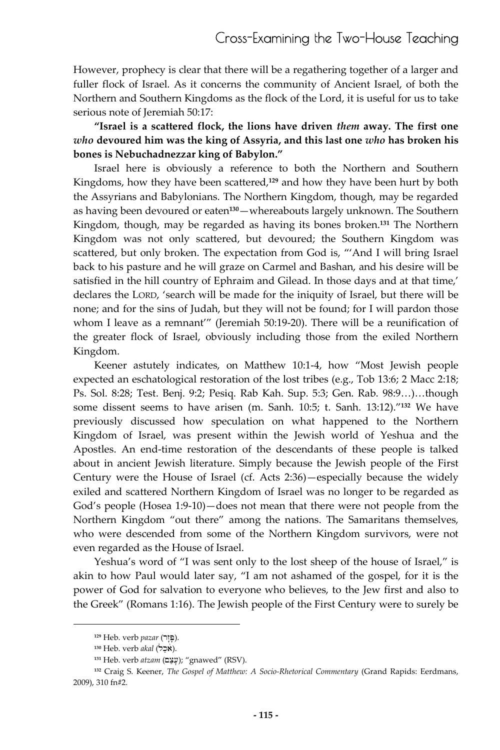However, prophecy is clear that there will be a regathering together of a larger and fuller flock of Israel. As it concerns the community of Ancient Israel, of both the Northern and Southern Kingdoms as the flock of the Lord, it is useful for us to take serious note of Jeremiah 50:17:

**"Israel is a scattered flock, the lions have driven** *them* **away. The first one**  *who* **devoured him was the king of Assyria, and this last one** *who* **has broken his bones is Nebuchadnezzar king of Babylon."** 

Israel here is obviously a reference to both the Northern and Southern Kingdoms, how they have been scattered,**129** and how they have been hurt by both the Assyrians and Babylonians. The Northern Kingdom, though, may be regarded as having been devoured or eaten**130**—whereabouts largely unknown. The Southern Kingdom, though, may be regarded as having its bones broken.**131** The Northern Kingdom was not only scattered, but devoured; the Southern Kingdom was scattered, but only broken. The expectation from God is, "'And I will bring Israel back to his pasture and he will graze on Carmel and Bashan, and his desire will be satisfied in the hill country of Ephraim and Gilead. In those days and at that time,' declares the LORD, 'search will be made for the iniquity of Israel, but there will be none; and for the sins of Judah, but they will not be found; for I will pardon those whom I leave as a remnant'" (Jeremiah 50:19-20). There will be a reunification of the greater flock of Israel, obviously including those from the exiled Northern Kingdom.

Keener astutely indicates, on Matthew 10:1-4, how "Most Jewish people expected an eschatological restoration of the lost tribes (e.g., Tob 13:6; 2 Macc 2:18; Ps. Sol. 8:28; Test. Benj. 9:2; Pesiq. Rab Kah. Sup. 5:3; Gen. Rab. 98:9…)…though some dissent seems to have arisen (m. Sanh. 10:5; t. Sanh. 13:12)."**132** We have previously discussed how speculation on what happened to the Northern Kingdom of Israel, was present within the Jewish world of Yeshua and the Apostles. An end-time restoration of the descendants of these people is talked about in ancient Jewish literature. Simply because the Jewish people of the First Century were the House of Israel (cf. Acts 2:36)—especially because the widely exiled and scattered Northern Kingdom of Israel was no longer to be regarded as God's people (Hosea 1:9-10)—does not mean that there were not people from the Northern Kingdom "out there" among the nations. The Samaritans themselves, who were descended from some of the Northern Kingdom survivors, were not even regarded as the House of Israel.

Yeshua's word of "I was sent only to the lost sheep of the house of Israel," is akin to how Paul would later say, "I am not ashamed of the gospel, for it is the power of God for salvation to everyone who believes, to the Jew first and also to the Greek" (Romans 1:16). The Jewish people of the First Century were to surely be

**<sup>129</sup>** Heb. verb *pazar* (rz"P').

**<sup>130</sup>** Heb. verb *akal* (**אכל**).

<sup>131</sup> Heb. verb *atzam* (עָצָם); "gnawed" (RSV).

**<sup>132</sup>** Craig S. Keener, *The Gospel of Matthew: A Socio-Rhetorical Commentary* (Grand Rapids: Eerdmans, 2009), 310 fn#2.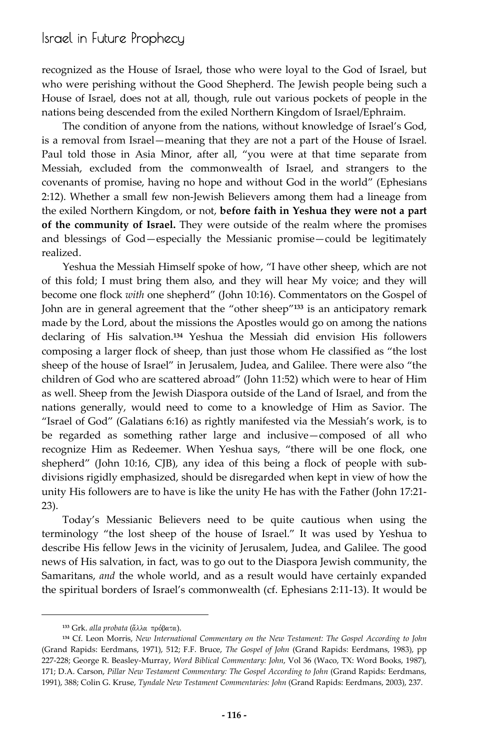recognized as the House of Israel, those who were loyal to the God of Israel, but who were perishing without the Good Shepherd. The Jewish people being such a House of Israel, does not at all, though, rule out various pockets of people in the nations being descended from the exiled Northern Kingdom of Israel/Ephraim.

The condition of anyone from the nations, without knowledge of Israel's God, is a removal from Israel—meaning that they are not a part of the House of Israel. Paul told those in Asia Minor, after all, "you were at that time separate from Messiah, excluded from the commonwealth of Israel, and strangers to the covenants of promise, having no hope and without God in the world" (Ephesians 2:12). Whether a small few non-Jewish Believers among them had a lineage from the exiled Northern Kingdom, or not, **before faith in Yeshua they were not a part of the community of Israel.** They were outside of the realm where the promises and blessings of God—especially the Messianic promise—could be legitimately realized.

Yeshua the Messiah Himself spoke of how, "I have other sheep, which are not of this fold; I must bring them also, and they will hear My voice; and they will become one flock *with* one shepherd" (John 10:16). Commentators on the Gospel of John are in general agreement that the "other sheep" **<sup>133</sup>** is an anticipatory remark made by the Lord, about the missions the Apostles would go on among the nations declaring of His salvation.**134** Yeshua the Messiah did envision His followers composing a larger flock of sheep, than just those whom He classified as "the lost sheep of the house of Israel" in Jerusalem, Judea, and Galilee. There were also "the children of God who are scattered abroad" (John 11:52) which were to hear of Him as well. Sheep from the Jewish Diaspora outside of the Land of Israel, and from the nations generally, would need to come to a knowledge of Him as Savior. The "Israel of God" (Galatians 6:16) as rightly manifested via the Messiah's work, is to be regarded as something rather large and inclusive—composed of all who recognize Him as Redeemer. When Yeshua says, "there will be one flock, one shepherd" (John 10:16, CJB), any idea of this being a flock of people with subdivisions rigidly emphasized, should be disregarded when kept in view of how the unity His followers are to have is like the unity He has with the Father (John 17:21- 23).

Today's Messianic Believers need to be quite cautious when using the terminology "the lost sheep of the house of Israel." It was used by Yeshua to describe His fellow Jews in the vicinity of Jerusalem, Judea, and Galilee. The good news of His salvation, in fact, was to go out to the Diaspora Jewish community, the Samaritans, *and* the whole world, and as a result would have certainly expanded the spiritual borders of Israel's commonwealth (cf. Ephesians 2:11-13). It would be

<sup>&</sup>lt;sup>133</sup> Grk. *alla probata* (ἄλλα πρόβατα).

**<sup>134</sup>** Cf. Leon Morris, *New International Commentary on the New Testament: The Gospel According to John* (Grand Rapids: Eerdmans, 1971), 512; F.F. Bruce, *The Gospel of John* (Grand Rapids: Eerdmans, 1983), pp 227-228; George R. Beasley-Murray, *Word Biblical Commentary: John*, Vol 36 (Waco, TX: Word Books, 1987), 171; D.A. Carson, *Pillar New Testament Commentary: The Gospel According to John* (Grand Rapids: Eerdmans, 1991), 388; Colin G. Kruse, *Tyndale New Testament Commentaries: John* (Grand Rapids: Eerdmans, 2003), 237.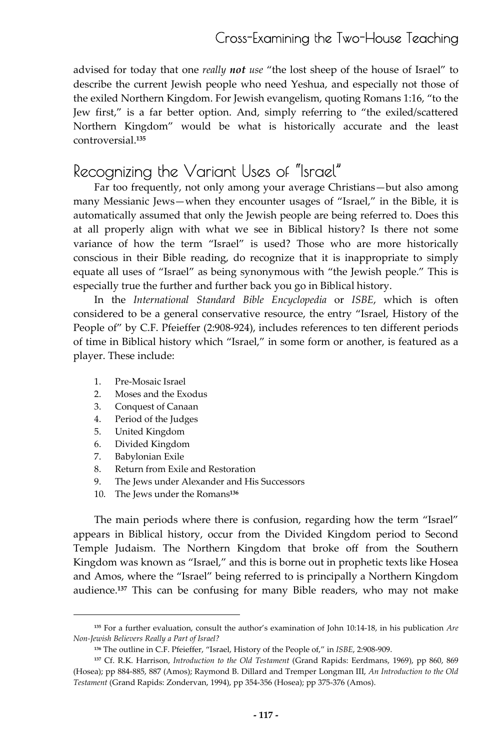advised for today that one *really not use* "the lost sheep of the house of Israel" to describe the current Jewish people who need Yeshua, and especially not those of the exiled Northern Kingdom. For Jewish evangelism, quoting Romans 1:16, "to the Jew first," is a far better option. And, simply referring to "the exiled/scattered Northern Kingdom" would be what is historically accurate and the least controversial.**<sup>135</sup>**

## Recognizing the Variant Uses of "Israel"

Far too frequently, not only among your average Christians—but also among many Messianic Jews—when they encounter usages of "Israel," in the Bible, it is automatically assumed that only the Jewish people are being referred to. Does this at all properly align with what we see in Biblical history? Is there not some variance of how the term "Israel" is used? Those who are more historically conscious in their Bible reading, do recognize that it is inappropriate to simply equate all uses of "Israel" as being synonymous with "the Jewish people." This is especially true the further and further back you go in Biblical history.

In the *International Standard Bible Encyclopedia* or *ISBE*, which is often considered to be a general conservative resource, the entry "Israel, History of the People of" by C.F. Pfeieffer (2:908-924), includes references to ten different periods of time in Biblical history which "Israel," in some form or another, is featured as a player. These include:

- 1. Pre-Mosaic Israel
- 2. Moses and the Exodus
- 3. Conquest of Canaan
- 4. Period of the Judges
- 5. United Kingdom
- 6. Divided Kingdom
- 7. Babylonian Exile
- 8. Return from Exile and Restoration
- 9. The Jews under Alexander and His Successors
- 10. The Jews under the Romans**<sup>136</sup>**

The main periods where there is confusion, regarding how the term "Israel" appears in Biblical history, occur from the Divided Kingdom period to Second Temple Judaism. The Northern Kingdom that broke off from the Southern Kingdom was known as "Israel," and this is borne out in prophetic texts like Hosea and Amos, where the "Israel" being referred to is principally a Northern Kingdom audience.**137** This can be confusing for many Bible readers, who may not make

**<sup>135</sup>** For a further evaluation, consult the author's examination of John 10:14-18, in his publication *Are Non-Jewish Believers Really a Part of Israel?* 

**<sup>136</sup>** The outline in C.F. Pfeieffer, "Israel, History of the People of," in *ISBE*, 2:908-909.

**<sup>137</sup>** Cf. R.K. Harrison, *Introduction to the Old Testament* (Grand Rapids: Eerdmans, 1969), pp 860, 869 (Hosea); pp 884-885, 887 (Amos); Raymond B. Dillard and Tremper Longman III, *An Introduction to the Old Testament* (Grand Rapids: Zondervan, 1994), pp 354-356 (Hosea); pp 375-376 (Amos).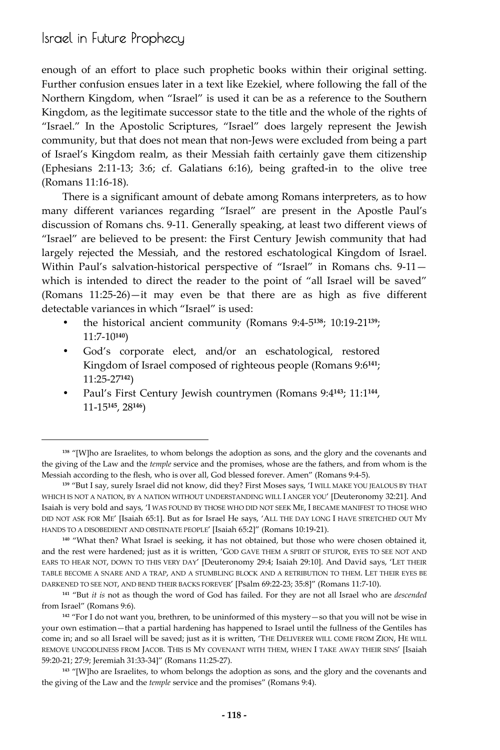enough of an effort to place such prophetic books within their original setting. Further confusion ensues later in a text like Ezekiel, where following the fall of the Northern Kingdom, when "Israel" is used it can be as a reference to the Southern Kingdom, as the legitimate successor state to the title and the whole of the rights of "Israel." In the Apostolic Scriptures, "Israel" does largely represent the Jewish community, but that does not mean that non-Jews were excluded from being a part of Israel's Kingdom realm, as their Messiah faith certainly gave them citizenship (Ephesians 2:11-13; 3:6; cf. Galatians 6:16), being grafted-in to the olive tree (Romans 11:16-18).

There is a significant amount of debate among Romans interpreters, as to how many different variances regarding "Israel" are present in the Apostle Paul's discussion of Romans chs. 9-11. Generally speaking, at least two different views of "Israel" are believed to be present: the First Century Jewish community that had largely rejected the Messiah, and the restored eschatological Kingdom of Israel. Within Paul's salvation-historical perspective of "Israel" in Romans chs. 9-11 which is intended to direct the reader to the point of "all Israel will be saved" (Romans 11:25-26)—it may even be that there are as high as five different detectable variances in which "Israel" is used:

- the historical ancient community (Romans 9:4-5**138**; 10:19-21**139**; 11:7-10**140**)
- God's corporate elect, and/or an eschatological, restored Kingdom of Israel composed of righteous people (Romans 9:6**141**; 11:25-27**142**)
- Paul's First Century Jewish countrymen (Romans 9:4**143**; 11:1**<sup>144</sup>** , 11-15**145**, 28**146**)

**<sup>138</sup>** "[W]ho are Israelites, to whom belongs the adoption as sons, and the glory and the covenants and the giving of the Law and the *temple* service and the promises, whose are the fathers, and from whom is the Messiah according to the flesh, who is over all, God blessed forever. Amen" (Romans 9:4-5).

**<sup>139</sup>** "But I say, surely Israel did not know, did they? First Moses says, 'I WILL MAKE YOU JEALOUS BY THAT WHICH IS NOT A NATION, BY A NATION WITHOUT UNDERSTANDING WILL I ANGER YOU' [Deuteronomy 32:21]. And Isaiah is very bold and says, 'I WAS FOUND BY THOSE WHO DID NOT SEEK ME, I BECAME MANIFEST TO THOSE WHO DID NOT ASK FOR ME' [Isaiah 65:1]. But as for Israel He says, 'ALL THE DAY LONG I HAVE STRETCHED OUT MY HANDS TO A DISOBEDIENT AND OBSTINATE PEOPLE' [Isaiah 65:2]" (Romans 10:19-21).

**<sup>140</sup>** "What then? What Israel is seeking, it has not obtained, but those who were chosen obtained it, and the rest were hardened; just as it is written, 'GOD GAVE THEM A SPIRIT OF STUPOR, EYES TO SEE NOT AND EARS TO HEAR NOT, DOWN TO THIS VERY DAY' [Deuteronomy 29:4; Isaiah 29:10]. And David says, 'LET THEIR TABLE BECOME A SNARE AND A TRAP, AND A STUMBLING BLOCK AND A RETRIBUTION TO THEM. LET THEIR EYES BE DARKENED TO SEE NOT, AND BEND THEIR BACKS FOREVER' [Psalm 69:22-23; 35:8]" (Romans 11:7-10).

**<sup>141</sup>** "But *it is* not as though the word of God has failed. For they are not all Israel who are *descended*  from Israel" (Romans 9:6).

**<sup>142</sup>** "For I do not want you, brethren, to be uninformed of this mystery—so that you will not be wise in your own estimation—that a partial hardening has happened to Israel until the fullness of the Gentiles has come in; and so all Israel will be saved; just as it is written, 'THE DELIVERER WILL COME FROM ZION, HE WILL REMOVE UNGODLINESS FROM JACOB. THIS IS MY COVENANT WITH THEM, WHEN I TAKE AWAY THEIR SINS' [Isaiah 59:20-21; 27:9; Jeremiah 31:33-34]" (Romans 11:25-27).

**<sup>143</sup>** "[W]ho are Israelites, to whom belongs the adoption as sons, and the glory and the covenants and the giving of the Law and the *temple* service and the promises" (Romans 9:4).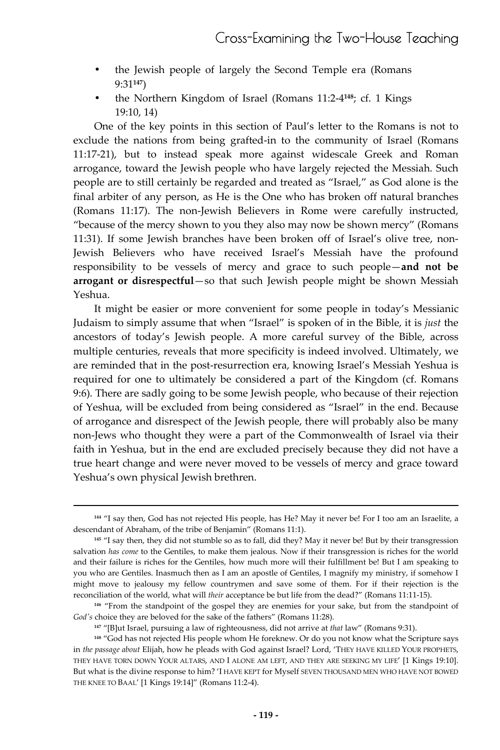- the Jewish people of largely the Second Temple era (Romans 9:31**147**)
- the Northern Kingdom of Israel (Romans 11:2-4**148**; cf. 1 Kings 19:10, 14)

One of the key points in this section of Paul's letter to the Romans is not to exclude the nations from being grafted-in to the community of Israel (Romans 11:17-21), but to instead speak more against widescale Greek and Roman arrogance, toward the Jewish people who have largely rejected the Messiah. Such people are to still certainly be regarded and treated as "Israel," as God alone is the final arbiter of any person, as He is the One who has broken off natural branches (Romans 11:17). The non-Jewish Believers in Rome were carefully instructed, "because of the mercy shown to you they also may now be shown mercy" (Romans 11:31). If some Jewish branches have been broken off of Israel's olive tree, non-Jewish Believers who have received Israel's Messiah have the profound responsibility to be vessels of mercy and grace to such people—**and not be arrogant or disrespectful**—so that such Jewish people might be shown Messiah Yeshua.

It might be easier or more convenient for some people in today's Messianic Judaism to simply assume that when "Israel" is spoken of in the Bible, it is *just* the ancestors of today's Jewish people. A more careful survey of the Bible, across multiple centuries, reveals that more specificity is indeed involved. Ultimately, we are reminded that in the post-resurrection era, knowing Israel's Messiah Yeshua is required for one to ultimately be considered a part of the Kingdom (cf. Romans 9:6). There are sadly going to be some Jewish people, who because of their rejection of Yeshua, will be excluded from being considered as "Israel" in the end. Because of arrogance and disrespect of the Jewish people, there will probably also be many non-Jews who thought they were a part of the Commonwealth of Israel via their faith in Yeshua, but in the end are excluded precisely because they did not have a true heart change and were never moved to be vessels of mercy and grace toward Yeshua's own physical Jewish brethren.

**<sup>144</sup>** "I say then, God has not rejected His people, has He? May it never be! For I too am an Israelite, a descendant of Abraham, of the tribe of Benjamin" (Romans 11:1).

**<sup>145</sup>** "I say then, they did not stumble so as to fall, did they? May it never be! But by their transgression salvation *has come* to the Gentiles, to make them jealous. Now if their transgression is riches for the world and their failure is riches for the Gentiles, how much more will their fulfillment be! But I am speaking to you who are Gentiles. Inasmuch then as I am an apostle of Gentiles, I magnify my ministry, if somehow I might move to jealousy my fellow countrymen and save some of them. For if their rejection is the reconciliation of the world, what will *their* acceptance be but life from the dead?" (Romans 11:11-15).

**<sup>146</sup>** "From the standpoint of the gospel they are enemies for your sake, but from the standpoint of *God's* choice they are beloved for the sake of the fathers" (Romans 11:28).

**<sup>147</sup>** "[B]ut Israel, pursuing a law of righteousness, did not arrive at *that* law" (Romans 9:31).

**<sup>148</sup>** "God has not rejected His people whom He foreknew. Or do you not know what the Scripture says in *the passage about* Elijah, how he pleads with God against Israel? Lord, 'THEY HAVE KILLED YOUR PROPHETS, THEY HAVE TORN DOWN YOUR ALTARS, AND I ALONE AM LEFT, AND THEY ARE SEEKING MY LIFE' [1 Kings 19:10]. But what is the divine response to him? 'I HAVE KEPT for Myself SEVEN THOUSAND MEN WHO HAVE NOT BOWED THE KNEE TO BAAL' [1 Kings 19:14]" (Romans 11:2-4).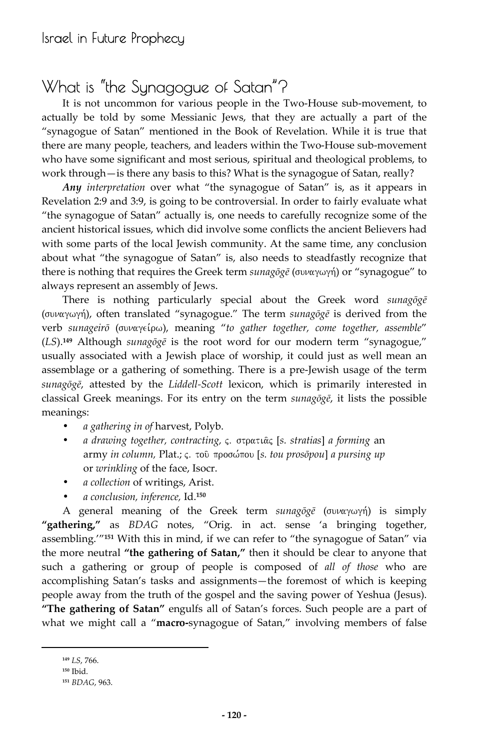## What is "the Synagogue of Satan"?

It is not uncommon for various people in the Two-House sub-movement, to actually be told by some Messianic Jews, that they are actually a part of the "synagogue of Satan" mentioned in the Book of Revelation. While it is true that there are many people, teachers, and leaders within the Two-House sub-movement who have some significant and most serious, spiritual and theological problems, to work through—is there any basis to this? What is the synagogue of Satan, really?

*Any interpretation* over what "the synagogue of Satan" is, as it appears in Revelation 2:9 and 3:9, is going to be controversial. In order to fairly evaluate what "the synagogue of Satan" actually is, one needs to carefully recognize some of the ancient historical issues, which did involve some conflicts the ancient Believers had with some parts of the local Jewish community. At the same time, any conclusion about what "the synagogue of Satan" is, also needs to steadfastly recognize that there is nothing that requires the Greek term *sunagōgē* (συναγωγή) or "synagogue" to always represent an assembly of Jews.

There is nothing particularly special about the Greek word *sunagōgē* (sunagwgh,), often translated "synagogue." The term *sunagōgē* is derived from the verb *sunageirō* (συναγείρω), meaning "to gather together, come together, assemble" (*LS*).**149** Although *sunagōgē* is the root word for our modern term "synagogue," usually associated with a Jewish place of worship, it could just as well mean an assemblage or a gathering of something. There is a pre-Jewish usage of the term *sunagōgē*, attested by the *Liddell-Scott* lexicon, which is primarily interested in classical Greek meanings. For its entry on the term *sunagōgē*, it lists the possible meanings:

- *a gathering in of* harvest, Polyb.
- *a drawing together, contracting, ς. στρατιας [s. stratias] a forming an* army *in column*, Plat.; ς. τοῦ προσώπου [s. tou prosōpou] *a pursing up* or *wrinkling* of the face, Isocr.
- *a collection* of writings, Arist.
- *a conclusion, inference,* Id.**<sup>150</sup>**

A general meaning of the Greek term *sunagōgē* (συναγωγή) is simply **"gathering,"** as *BDAG* notes, "Orig. in act. sense 'a bringing together, assembling.'"**151** With this in mind, if we can refer to "the synagogue of Satan" via the more neutral **"the gathering of Satan,"** then it should be clear to anyone that such a gathering or group of people is composed of *all of those* who are accomplishing Satan's tasks and assignments—the foremost of which is keeping people away from the truth of the gospel and the saving power of Yeshua (Jesus). **"The gathering of Satan"** engulfs all of Satan's forces. Such people are a part of what we might call a "**macro-**synagogue of Satan," involving members of false

**<sup>149</sup>** *LS*, 766.

**<sup>150</sup>** Ibid.

**<sup>151</sup>** *BDAG*, 963.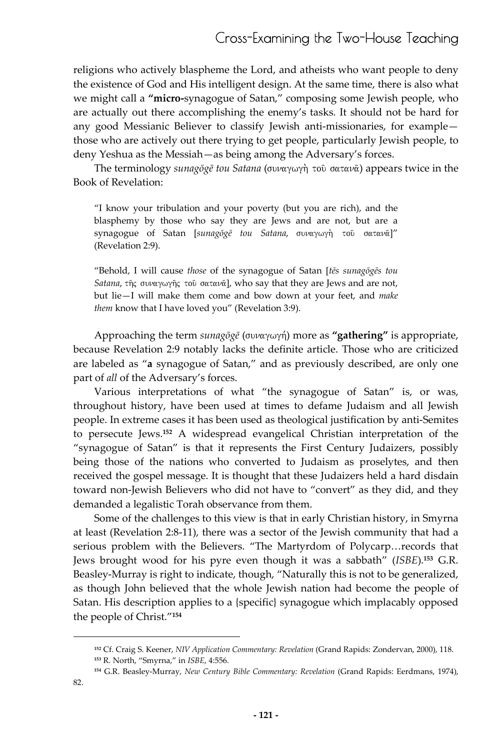religions who actively blaspheme the Lord, and atheists who want people to deny the existence of God and His intelligent design. At the same time, there is also what we might call a **"micro-**synagogue of Satan," composing some Jewish people, who are actually out there accomplishing the enemy's tasks. It should not be hard for any good Messianic Believer to classify Jewish anti-missionaries, for example those who are actively out there trying to get people, particularly Jewish people, to deny Yeshua as the Messiah—as being among the Adversary's forces.

The terminology *sunagōgē tou Satana* (συναγωγὴ τοῦ σατανᾶ) appears twice in the Book of Revelation:

"I know your tribulation and your poverty (but you are rich), and the blasphemy by those who say they are Jews and are not, but are a synagogue of Satan [sunagōgē tou Satana, συναγωγή τοῦ σατανα]" (Revelation 2:9).

"Behold, I will cause *those* of the synagogue of Satan [*tēs sunagōgēs tou Satana*, της συναγωγής τοῦ σατανα<sup>]</sup>, who say that they are Jews and are not, but lie—I will make them come and bow down at your feet, and *make them* know that I have loved you" (Revelation 3:9).

Approaching the term *sunagōgē* (συναγωγή) more as "gathering" is appropriate, because Revelation 2:9 notably lacks the definite article. Those who are criticized are labeled as "**a** synagogue of Satan," and as previously described, are only one part of *all* of the Adversary's forces.

Various interpretations of what "the synagogue of Satan" is, or was, throughout history, have been used at times to defame Judaism and all Jewish people. In extreme cases it has been used as theological justification by anti-Semites to persecute Jews.**152** A widespread evangelical Christian interpretation of the "synagogue of Satan" is that it represents the First Century Judaizers, possibly being those of the nations who converted to Judaism as proselytes, and then received the gospel message. It is thought that these Judaizers held a hard disdain toward non-Jewish Believers who did not have to "convert" as they did, and they demanded a legalistic Torah observance from them.

Some of the challenges to this view is that in early Christian history, in Smyrna at least (Revelation 2:8-11), there was a sector of the Jewish community that had a serious problem with the Believers. "The Martyrdom of Polycarp…records that Jews brought wood for his pyre even though it was a sabbath" (*ISBE*).**153** G.R. Beasley-Murray is right to indicate, though, "Naturally this is not to be generalized, as though John believed that the whole Jewish nation had become the people of Satan. His description applies to a {specific} synagogue which implacably opposed the people of Christ."**<sup>154</sup>**

**<sup>152</sup>** Cf. Craig S. Keener, *NIV Application Commentary: Revelation* (Grand Rapids: Zondervan, 2000), 118. **<sup>153</sup>** R. North, "Smyrna," in *ISBE*, 4:556.

**<sup>154</sup>** G.R. Beasley-Murray, *New Century Bible Commentary: Revelation* (Grand Rapids: Eerdmans, 1974),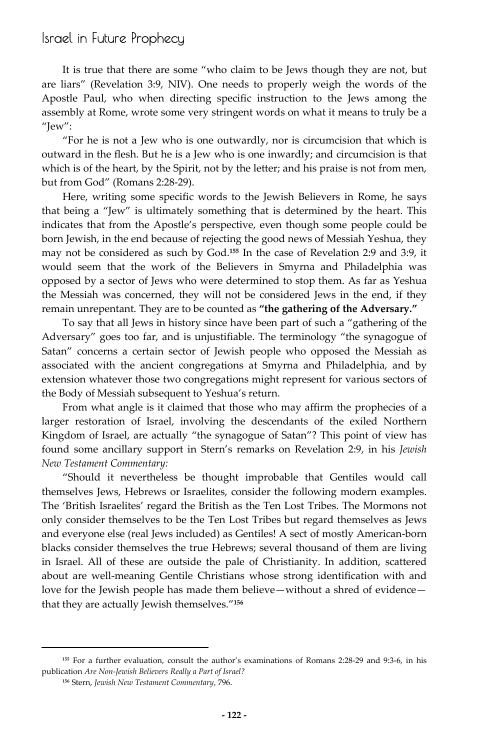It is true that there are some "who claim to be Jews though they are not, but are liars" (Revelation 3:9, NIV). One needs to properly weigh the words of the Apostle Paul, who when directing specific instruction to the Jews among the assembly at Rome, wrote some very stringent words on what it means to truly be a "Jew":

"For he is not a Jew who is one outwardly, nor is circumcision that which is outward in the flesh. But he is a Jew who is one inwardly; and circumcision is that which is of the heart, by the Spirit, not by the letter; and his praise is not from men, but from God" (Romans 2:28-29).

Here, writing some specific words to the Jewish Believers in Rome, he says that being a "Jew" is ultimately something that is determined by the heart. This indicates that from the Apostle's perspective, even though some people could be born Jewish, in the end because of rejecting the good news of Messiah Yeshua, they may not be considered as such by God.**155** In the case of Revelation 2:9 and 3:9, it would seem that the work of the Believers in Smyrna and Philadelphia was opposed by a sector of Jews who were determined to stop them. As far as Yeshua the Messiah was concerned, they will not be considered Jews in the end, if they remain unrepentant. They are to be counted as **"the gathering of the Adversary."**

To say that all Jews in history since have been part of such a "gathering of the Adversary" goes too far, and is unjustifiable. The terminology "the synagogue of Satan" concerns a certain sector of Jewish people who opposed the Messiah as associated with the ancient congregations at Smyrna and Philadelphia, and by extension whatever those two congregations might represent for various sectors of the Body of Messiah subsequent to Yeshua's return.

From what angle is it claimed that those who may affirm the prophecies of a larger restoration of Israel, involving the descendants of the exiled Northern Kingdom of Israel, are actually "the synagogue of Satan"? This point of view has found some ancillary support in Stern's remarks on Revelation 2:9, in his *Jewish New Testament Commentary:* 

"Should it nevertheless be thought improbable that Gentiles would call themselves Jews, Hebrews or Israelites, consider the following modern examples. The 'British Israelites' regard the British as the Ten Lost Tribes. The Mormons not only consider themselves to be the Ten Lost Tribes but regard themselves as Jews and everyone else (real Jews included) as Gentiles! A sect of mostly American-born blacks consider themselves the true Hebrews; several thousand of them are living in Israel. All of these are outside the pale of Christianity. In addition, scattered about are well-meaning Gentile Christians whose strong identification with and love for the Jewish people has made them believe—without a shred of evidence that they are actually Jewish themselves."**<sup>156</sup>**

**<sup>155</sup>** For a further evaluation, consult the author's examinations of Romans 2:28-29 and 9:3-6, in his publication *Are Non-Jewish Believers Really a Part of Israel?* 

**<sup>156</sup>** Stern, *Jewish New Testament Commentary*, 796.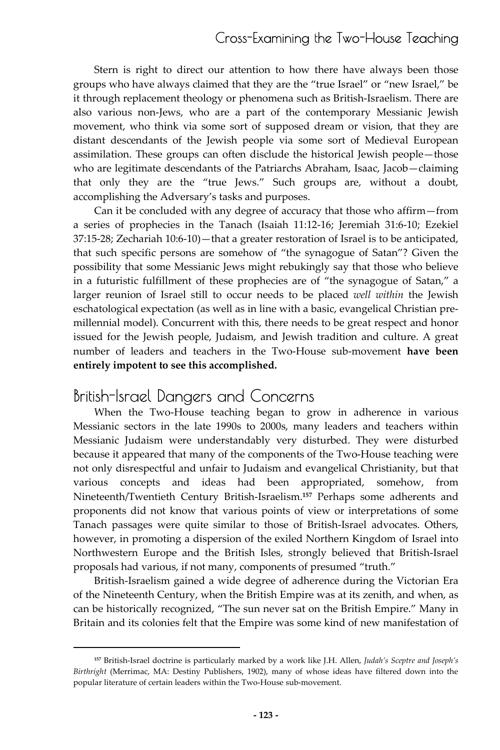Stern is right to direct our attention to how there have always been those groups who have always claimed that they are the "true Israel" or "new Israel," be it through replacement theology or phenomena such as British-Israelism. There are also various non-Jews, who are a part of the contemporary Messianic Jewish movement, who think via some sort of supposed dream or vision, that they are distant descendants of the Jewish people via some sort of Medieval European assimilation. These groups can often disclude the historical Jewish people—those who are legitimate descendants of the Patriarchs Abraham, Isaac, Jacob—claiming that only they are the "true Jews." Such groups are, without a doubt, accomplishing the Adversary's tasks and purposes.

Can it be concluded with any degree of accuracy that those who affirm—from a series of prophecies in the Tanach (Isaiah 11:12-16; Jeremiah 31:6-10; Ezekiel 37:15-28; Zechariah 10:6-10)—that a greater restoration of Israel is to be anticipated, that such specific persons are somehow of "the synagogue of Satan"? Given the possibility that some Messianic Jews might rebukingly say that those who believe in a futuristic fulfillment of these prophecies are of "the synagogue of Satan," a larger reunion of Israel still to occur needs to be placed *well within* the Jewish eschatological expectation (as well as in line with a basic, evangelical Christian premillennial model). Concurrent with this, there needs to be great respect and honor issued for the Jewish people, Judaism, and Jewish tradition and culture. A great number of leaders and teachers in the Two-House sub-movement **have been entirely impotent to see this accomplished.**

## British-Israel Dangers and Concerns

When the Two-House teaching began to grow in adherence in various Messianic sectors in the late 1990s to 2000s, many leaders and teachers within Messianic Judaism were understandably very disturbed. They were disturbed because it appeared that many of the components of the Two-House teaching were not only disrespectful and unfair to Judaism and evangelical Christianity, but that various concepts and ideas had been appropriated, somehow, from Nineteenth/Twentieth Century British-Israelism.**157** Perhaps some adherents and proponents did not know that various points of view or interpretations of some Tanach passages were quite similar to those of British-Israel advocates. Others, however, in promoting a dispersion of the exiled Northern Kingdom of Israel into Northwestern Europe and the British Isles, strongly believed that British-Israel proposals had various, if not many, components of presumed "truth."

British-Israelism gained a wide degree of adherence during the Victorian Era of the Nineteenth Century, when the British Empire was at its zenith, and when, as can be historically recognized, "The sun never sat on the British Empire." Many in Britain and its colonies felt that the Empire was some kind of new manifestation of

**<sup>157</sup>** British-Israel doctrine is particularly marked by a work like J.H. Allen, *Judah's Sceptre and Joseph's Birthright* (Merrimac, MA: Destiny Publishers, 1902), many of whose ideas have filtered down into the popular literature of certain leaders within the Two-House sub-movement.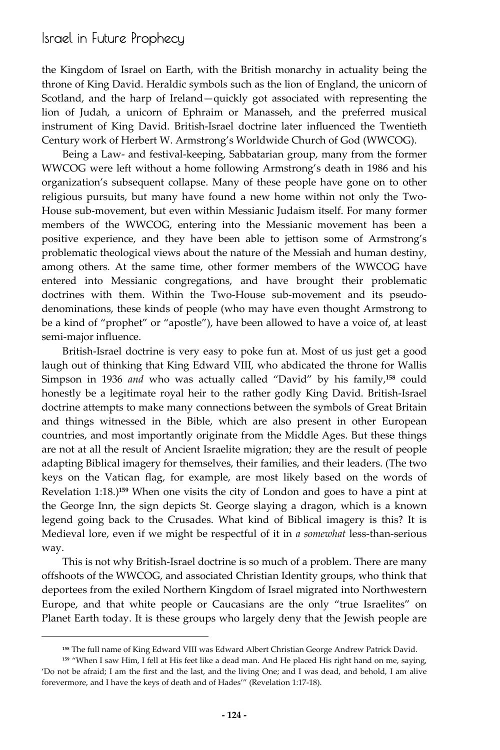the Kingdom of Israel on Earth, with the British monarchy in actuality being the throne of King David. Heraldic symbols such as the lion of England, the unicorn of Scotland, and the harp of Ireland—quickly got associated with representing the lion of Judah, a unicorn of Ephraim or Manasseh, and the preferred musical instrument of King David. British-Israel doctrine later influenced the Twentieth Century work of Herbert W. Armstrong's Worldwide Church of God (WWCOG).

Being a Law- and festival-keeping, Sabbatarian group, many from the former WWCOG were left without a home following Armstrong's death in 1986 and his organization's subsequent collapse. Many of these people have gone on to other religious pursuits, but many have found a new home within not only the Two-House sub-movement, but even within Messianic Judaism itself. For many former members of the WWCOG, entering into the Messianic movement has been a positive experience, and they have been able to jettison some of Armstrong's problematic theological views about the nature of the Messiah and human destiny, among others. At the same time, other former members of the WWCOG have entered into Messianic congregations, and have brought their problematic doctrines with them. Within the Two-House sub-movement and its pseudodenominations, these kinds of people (who may have even thought Armstrong to be a kind of "prophet" or "apostle"), have been allowed to have a voice of, at least semi-major influence.

British-Israel doctrine is very easy to poke fun at. Most of us just get a good laugh out of thinking that King Edward VIII, who abdicated the throne for Wallis Simpson in 1936 *and* who was actually called "David" by his family,**158** could honestly be a legitimate royal heir to the rather godly King David. British-Israel doctrine attempts to make many connections between the symbols of Great Britain and things witnessed in the Bible, which are also present in other European countries, and most importantly originate from the Middle Ages. But these things are not at all the result of Ancient Israelite migration; they are the result of people adapting Biblical imagery for themselves, their families, and their leaders. (The two keys on the Vatican flag, for example, are most likely based on the words of Revelation 1:18.)**159** When one visits the city of London and goes to have a pint at the George Inn, the sign depicts St. George slaying a dragon, which is a known legend going back to the Crusades. What kind of Biblical imagery is this? It is Medieval lore, even if we might be respectful of it in *a somewhat* less-than-serious way.

This is not why British-Israel doctrine is so much of a problem. There are many offshoots of the WWCOG, and associated Christian Identity groups, who think that deportees from the exiled Northern Kingdom of Israel migrated into Northwestern Europe, and that white people or Caucasians are the only "true Israelites" on Planet Earth today. It is these groups who largely deny that the Jewish people are

**<sup>158</sup>** The full name of King Edward VIII was Edward Albert Christian George Andrew Patrick David.

**<sup>159</sup>** "When I saw Him, I fell at His feet like a dead man. And He placed His right hand on me, saying, 'Do not be afraid; I am the first and the last, and the living One; and I was dead, and behold, I am alive forevermore, and I have the keys of death and of Hades'" (Revelation 1:17-18).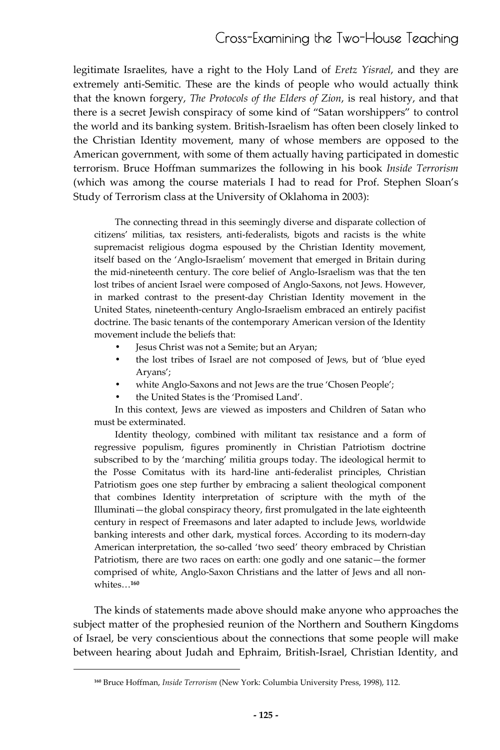legitimate Israelites, have a right to the Holy Land of *Eretz Yisrael*, and they are extremely anti-Semitic. These are the kinds of people who would actually think that the known forgery, *The Protocols of the Elders of Zion*, is real history, and that there is a secret Jewish conspiracy of some kind of "Satan worshippers" to control the world and its banking system. British-Israelism has often been closely linked to the Christian Identity movement, many of whose members are opposed to the American government, with some of them actually having participated in domestic terrorism. Bruce Hoffman summarizes the following in his book *Inside Terrorism*  (which was among the course materials I had to read for Prof. Stephen Sloan's Study of Terrorism class at the University of Oklahoma in 2003):

The connecting thread in this seemingly diverse and disparate collection of citizens' militias, tax resisters, anti-federalists, bigots and racists is the white supremacist religious dogma espoused by the Christian Identity movement, itself based on the 'Anglo-Israelism' movement that emerged in Britain during the mid-nineteenth century. The core belief of Anglo-Israelism was that the ten lost tribes of ancient Israel were composed of Anglo-Saxons, not Jews. However, in marked contrast to the present-day Christian Identity movement in the United States, nineteenth-century Anglo-Israelism embraced an entirely pacifist doctrine. The basic tenants of the contemporary American version of the Identity movement include the beliefs that:

- Jesus Christ was not a Semite; but an Aryan;
- the lost tribes of Israel are not composed of Jews, but of 'blue eyed Aryans';
- white Anglo-Saxons and not Jews are the true 'Chosen People';
- the United States is the 'Promised Land'.

In this context, Jews are viewed as imposters and Children of Satan who must be exterminated.

Identity theology, combined with militant tax resistance and a form of regressive populism, figures prominently in Christian Patriotism doctrine subscribed to by the 'marching' militia groups today. The ideological hermit to the Posse Comitatus with its hard-line anti-federalist principles, Christian Patriotism goes one step further by embracing a salient theological component that combines Identity interpretation of scripture with the myth of the Illuminati—the global conspiracy theory, first promulgated in the late eighteenth century in respect of Freemasons and later adapted to include Jews, worldwide banking interests and other dark, mystical forces. According to its modern-day American interpretation, the so-called 'two seed' theory embraced by Christian Patriotism, there are two races on earth: one godly and one satanic—the former comprised of white, Anglo-Saxon Christians and the latter of Jews and all nonwhites…**<sup>160</sup>**

The kinds of statements made above should make anyone who approaches the subject matter of the prophesied reunion of the Northern and Southern Kingdoms of Israel, be very conscientious about the connections that some people will make between hearing about Judah and Ephraim, British-Israel, Christian Identity, and

**<sup>160</sup>** Bruce Hoffman, *Inside Terrorism* (New York: Columbia University Press, 1998), 112.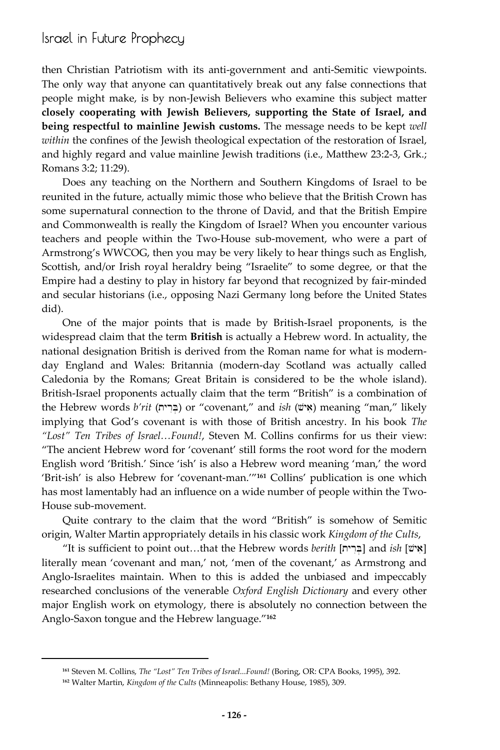then Christian Patriotism with its anti-government and anti-Semitic viewpoints. The only way that anyone can quantitatively break out any false connections that people might make, is by non-Jewish Believers who examine this subject matter **closely cooperating with Jewish Believers, supporting the State of Israel, and being respectful to mainline Jewish customs.** The message needs to be kept *well within* the confines of the Jewish theological expectation of the restoration of Israel, and highly regard and value mainline Jewish traditions (i.e., Matthew 23:2-3, Grk.; Romans 3:2; 11:29).

Does any teaching on the Northern and Southern Kingdoms of Israel to be reunited in the future, actually mimic those who believe that the British Crown has some supernatural connection to the throne of David, and that the British Empire and Commonwealth is really the Kingdom of Israel? When you encounter various teachers and people within the Two-House sub-movement, who were a part of Armstrong's WWCOG, then you may be very likely to hear things such as English, Scottish, and/or Irish royal heraldry being "Israelite" to some degree, or that the Empire had a destiny to play in history far beyond that recognized by fair-minded and secular historians (i.e., opposing Nazi Germany long before the United States did).

One of the major points that is made by British-Israel proponents, is the widespread claim that the term **British** is actually a Hebrew word. In actuality, the national designation British is derived from the Roman name for what is modernday England and Wales: Britannia (modern-day Scotland was actually called Caledonia by the Romans; Great Britain is considered to be the whole island). British-Israel proponents actually claim that the term "British" is a combination of the Hebrew words *b'rit* (בְּרִית) or "covenant," and *ish* (אִישׁ) meaning "man," likely implying that God's covenant is with those of British ancestry. In his book *The "Lost" Ten Tribes of Israel…Found!*, Steven M. Collins confirms for us their view: "The ancient Hebrew word for 'covenant' still forms the root word for the modern English word 'British.' Since 'ish' is also a Hebrew word meaning 'man,' the word 'Brit-ish' is also Hebrew for 'covenant-man.'"**161** Collins' publication is one which has most lamentably had an influence on a wide number of people within the Two-House sub-movement.

Quite contrary to the claim that the word "British" is somehow of Semitic origin, Walter Martin appropriately details in his classic work *Kingdom of the Cults*,

"It is sufficient to point out...that the Hebrew words *berith* [ברית] and *ish* [עיש] literally mean 'covenant and man,' not, 'men of the covenant,' as Armstrong and Anglo-Israelites maintain. When to this is added the unbiased and impeccably researched conclusions of the venerable *Oxford English Dictionary* and every other major English work on etymology, there is absolutely no connection between the Anglo-Saxon tongue and the Hebrew language."**<sup>162</sup>**

**<sup>161</sup>** Steven M. Collins, *The "Lost" Ten Tribes of Israel...Found!* (Boring, OR: CPA Books, 1995), 392.

**<sup>162</sup>** Walter Martin, *Kingdom of the Cults* (Minneapolis: Bethany House, 1985), 309.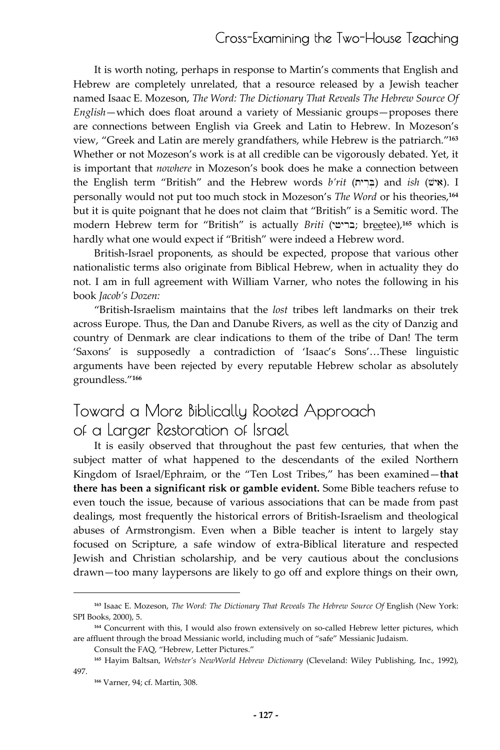It is worth noting, perhaps in response to Martin's comments that English and Hebrew are completely unrelated, that a resource released by a Jewish teacher named Isaac E. Mozeson, *The Word: The Dictionary That Reveals The Hebrew Source Of English*—which does float around a variety of Messianic groups—proposes there are connections between English via Greek and Latin to Hebrew. In Mozeson's view, "Greek and Latin are merely grandfathers, while Hebrew is the patriarch."**<sup>163</sup>** Whether or not Mozeson's work is at all credible can be vigorously debated. Yet, it is important that *nowhere* in Mozeson's book does he make a connection between the English term "British" and the Hebrew words *b'rit* (בְּרִ**יה)** and *ish* (אִישׁ: I personally would not put too much stock in Mozeson's *The Word* or his theories,**<sup>164</sup>** but it is quite poignant that he does not claim that "British" is a Semitic word. The modern Hebrew term for "British" is actually *Briti* (yjyrb; breetee),**165** which is hardly what one would expect if "British" were indeed a Hebrew word.

British-Israel proponents, as should be expected, propose that various other nationalistic terms also originate from Biblical Hebrew, when in actuality they do not. I am in full agreement with William Varner, who notes the following in his book *Jacob's Dozen:*

"British-Israelism maintains that the *lost* tribes left landmarks on their trek across Europe. Thus, the Dan and Danube Rivers, as well as the city of Danzig and country of Denmark are clear indications to them of the tribe of Dan! The term 'Saxons' is supposedly a contradiction of 'Isaac's Sons'…These linguistic arguments have been rejected by every reputable Hebrew scholar as absolutely groundless."**<sup>166</sup>**

## Toward a More Biblically Rooted Approach of a Larger Restoration of Israel

It is easily observed that throughout the past few centuries, that when the subject matter of what happened to the descendants of the exiled Northern Kingdom of Israel/Ephraim, or the "Ten Lost Tribes," has been examined—**that there has been a significant risk or gamble evident.** Some Bible teachers refuse to even touch the issue, because of various associations that can be made from past dealings, most frequently the historical errors of British-Israelism and theological abuses of Armstrongism. Even when a Bible teacher is intent to largely stay focused on Scripture, a safe window of extra-Biblical literature and respected Jewish and Christian scholarship, and be very cautious about the conclusions drawn—too many laypersons are likely to go off and explore things on their own,

Consult the FAQ, "Hebrew, Letter Pictures."

**<sup>163</sup>** Isaac E. Mozeson, *The Word: The Dictionary That Reveals The Hebrew Source Of* English (New York: SPI Books, 2000), 5.

**<sup>164</sup>** Concurrent with this, I would also frown extensively on so-called Hebrew letter pictures, which are affluent through the broad Messianic world, including much of "safe" Messianic Judaism.

**<sup>165</sup>** Hayim Baltsan, *Webster's NewWorld Hebrew Dictionary* (Cleveland: Wiley Publishing, Inc., 1992), 497.

**<sup>166</sup>** Varner, 94; cf. Martin, 308.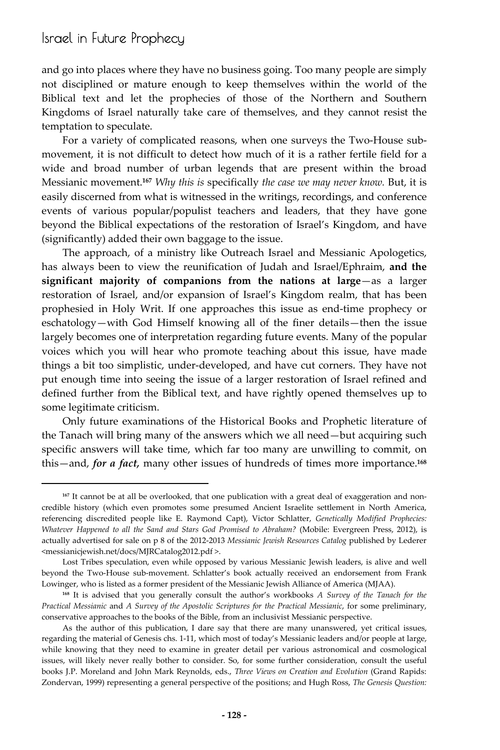and go into places where they have no business going. Too many people are simply not disciplined or mature enough to keep themselves within the world of the Biblical text and let the prophecies of those of the Northern and Southern Kingdoms of Israel naturally take care of themselves, and they cannot resist the temptation to speculate.

For a variety of complicated reasons, when one surveys the Two-House submovement, it is not difficult to detect how much of it is a rather fertile field for a wide and broad number of urban legends that are present within the broad Messianic movement.**<sup>167</sup>** *Why this is* specifically *the case we may never know.* But, it is easily discerned from what is witnessed in the writings, recordings, and conference events of various popular/populist teachers and leaders, that they have gone beyond the Biblical expectations of the restoration of Israel's Kingdom, and have (significantly) added their own baggage to the issue.

The approach, of a ministry like Outreach Israel and Messianic Apologetics, has always been to view the reunification of Judah and Israel/Ephraim, **and the significant majority of companions from the nations at large**—as a larger restoration of Israel, and/or expansion of Israel's Kingdom realm, that has been prophesied in Holy Writ. If one approaches this issue as end-time prophecy or eschatology—with God Himself knowing all of the finer details—then the issue largely becomes one of interpretation regarding future events. Many of the popular voices which you will hear who promote teaching about this issue, have made things a bit too simplistic, under-developed, and have cut corners. They have not put enough time into seeing the issue of a larger restoration of Israel refined and defined further from the Biblical text, and have rightly opened themselves up to some legitimate criticism.

Only future examinations of the Historical Books and Prophetic literature of the Tanach will bring many of the answers which we all need—but acquiring such specific answers will take time, which far too many are unwilling to commit, on this—and, *for a fact,* many other issues of hundreds of times more importance.**<sup>168</sup>**

<sup>&</sup>lt;sup>167</sup> It cannot be at all be overlooked, that one publication with a great deal of exaggeration and noncredible history (which even promotes some presumed Ancient Israelite settlement in North America, referencing discredited people like E. Raymond Capt), Victor Schlatter, *Genetically Modified Prophecies: Whatever Happened to all the Sand and Stars God Promised to Abraham?* (Mobile: Evergreen Press, 2012), is actually advertised for sale on p 8 of the 2012-2013 *Messianic Jewish Resources Catalog* published by Lederer <messianicjewish.net/docs/MJRCatalog2012.pdf >.

Lost Tribes speculation, even while opposed by various Messianic Jewish leaders, is alive and well beyond the Two-House sub-movement. Schlatter's book actually received an endorsement from Frank Lowinger, who is listed as a former president of the Messianic Jewish Alliance of America (MJAA).

**<sup>168</sup>** It is advised that you generally consult the author's workbooks *A Survey of the Tanach for the Practical Messianic* and *A Survey of the Apostolic Scriptures for the Practical Messianic*, for some preliminary, conservative approaches to the books of the Bible, from an inclusivist Messianic perspective.

As the author of this publication, I dare say that there are many unanswered, yet critical issues, regarding the material of Genesis chs. 1-11, which most of today's Messianic leaders and/or people at large, while knowing that they need to examine in greater detail per various astronomical and cosmological issues, will likely never really bother to consider. So, for some further consideration, consult the useful books J.P. Moreland and John Mark Reynolds, eds., *Three Views on Creation and Evolution* (Grand Rapids: Zondervan, 1999) representing a general perspective of the positions; and Hugh Ross, *The Genesis Question:*